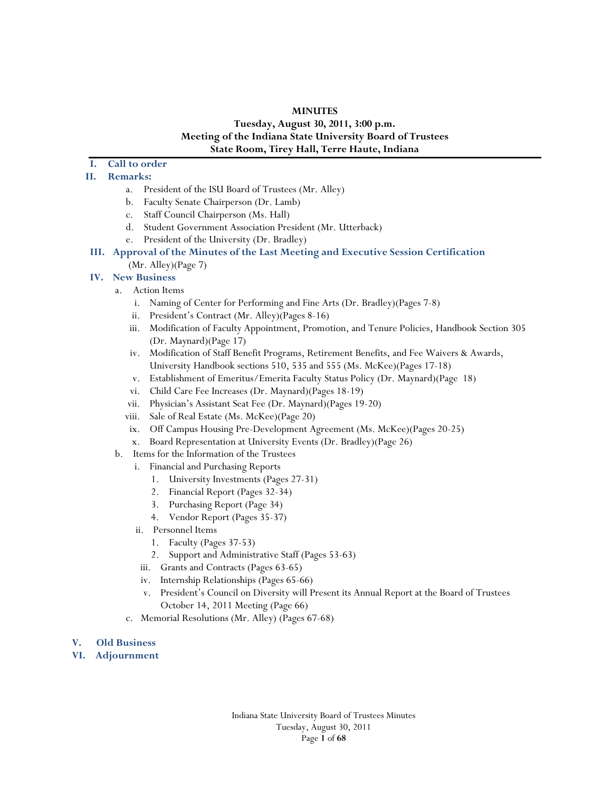#### **MINUTES**

# **Tuesday, August 30, 2011, 3:00 p.m. Meeting of the Indiana State University Board of Trustees State Room, Tirey Hall, Terre Haute, Indiana**

# **I. Call to order**

## **II. Remarks:**

- a. President of the ISU Board of Trustees (Mr. Alley)
- b. Faculty Senate Chairperson (Dr. Lamb)
- c. Staff Council Chairperson (Ms. Hall)
- d. Student Government Association President (Mr. Utterback)
- e. President of the University (Dr. Bradley)
- **III. Approval of the Minutes of the Last Meeting and Executive Session Certification**  (Mr. Alley)(Page 7)

#### **IV. New Business**

- a. Action Items
	- i. Naming of Center for Performing and Fine Arts (Dr. Bradley)(Pages 7-8)
	- ii. President's Contract (Mr. Alley)(Pages 8-16)
	- iii. Modification of Faculty Appointment, Promotion, and Tenure Policies, Handbook Section 305 (Dr. Maynard)(Page 17)
	- iv. Modification of Staff Benefit Programs, Retirement Benefits, and Fee Waivers & Awards, University Handbook sections 510, 535 and 555 (Ms. McKee)(Pages 17-18)
	- v. Establishment of Emeritus/Emerita Faculty Status Policy (Dr. Maynard)(Page 18)
	- vi. Child Care Fee Increases (Dr. Maynard)(Pages 18-19)
	- vii. Physician's Assistant Seat Fee (Dr. Maynard)(Pages 19-20)
	- viii. Sale of Real Estate (Ms. McKee)(Page 20)
	- ix. Off Campus Housing Pre-Development Agreement (Ms. McKee)(Pages 20-25)
	- x. Board Representation at University Events (Dr. Bradley)(Page 26)
- b. Items for the Information of the Trustees
	- i. Financial and Purchasing Reports
		- 1. University Investments (Pages 27-31)
		- 2. Financial Report (Pages 32-34)
		- 3. Purchasing Report (Page 34)
		- 4. Vendor Report (Pages 35-37)
	- ii. Personnel Items
		- 1. Faculty (Pages 37-53)
		- 2. Support and Administrative Staff (Pages 53-63)
	- iii. Grants and Contracts (Pages 63-65)
	- iv. Internship Relationships (Pages 65-66)
	- v. President's Council on Diversity will Present its Annual Report at the Board of Trustees October 14, 2011 Meeting (Page 66)
	- c. Memorial Resolutions (Mr. Alley) (Pages 67-68)

#### **V. Old Business**

**VI. Adjournment**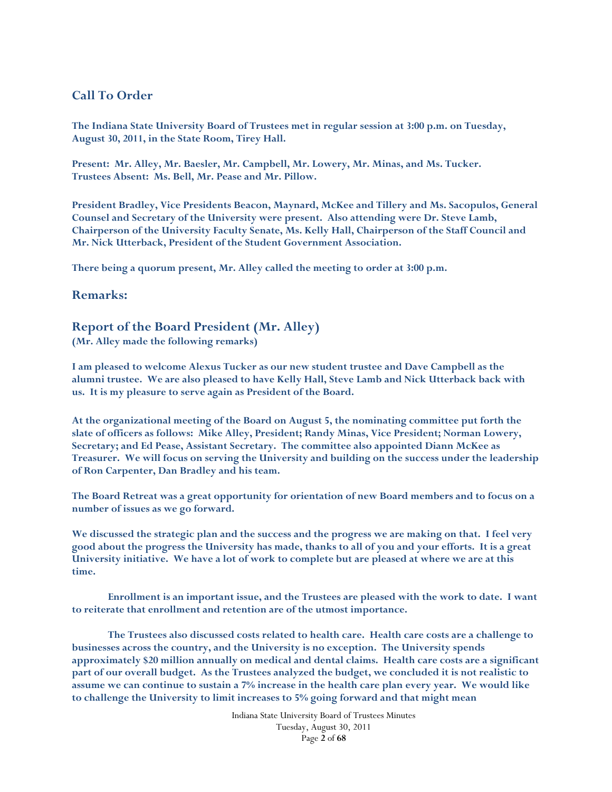# **Call To Order**

**The Indiana State University Board of Trustees met in regular session at 3:00 p.m. on Tuesday, August 30, 2011, in the State Room, Tirey Hall.** 

**Present: Mr. Alley, Mr. Baesler, Mr. Campbell, Mr. Lowery, Mr. Minas, and Ms. Tucker. Trustees Absent: Ms. Bell, Mr. Pease and Mr. Pillow.** 

**President Bradley, Vice Presidents Beacon, Maynard, McKee and Tillery and Ms. Sacopulos, General Counsel and Secretary of the University were present. Also attending were Dr. Steve Lamb, Chairperson of the University Faculty Senate, Ms. Kelly Hall, Chairperson of the Staff Council and Mr. Nick Utterback, President of the Student Government Association.** 

**There being a quorum present, Mr. Alley called the meeting to order at 3:00 p.m.** 

## **Remarks:**

# **Report of the Board President (Mr. Alley)**

**(Mr. Alley made the following remarks)** 

**I am pleased to welcome Alexus Tucker as our new student trustee and Dave Campbell as the alumni trustee. We are also pleased to have Kelly Hall, Steve Lamb and Nick Utterback back with us. It is my pleasure to serve again as President of the Board.** 

**At the organizational meeting of the Board on August 5, the nominating committee put forth the slate of officers as follows: Mike Alley, President; Randy Minas, Vice President; Norman Lowery, Secretary; and Ed Pease, Assistant Secretary. The committee also appointed Diann McKee as Treasurer. We will focus on serving the University and building on the success under the leadership of Ron Carpenter, Dan Bradley and his team.** 

**The Board Retreat was a great opportunity for orientation of new Board members and to focus on a number of issues as we go forward.** 

**We discussed the strategic plan and the success and the progress we are making on that. I feel very good about the progress the University has made, thanks to all of you and your efforts. It is a great University initiative. We have a lot of work to complete but are pleased at where we are at this time.** 

 **Enrollment is an important issue, and the Trustees are pleased with the work to date. I want to reiterate that enrollment and retention are of the utmost importance.** 

 **The Trustees also discussed costs related to health care. Health care costs are a challenge to businesses across the country, and the University is no exception. The University spends approximately \$20 million annually on medical and dental claims. Health care costs are a significant part of our overall budget. As the Trustees analyzed the budget, we concluded it is not realistic to assume we can continue to sustain a 7% increase in the health care plan every year. We would like to challenge the University to limit increases to 5% going forward and that might mean**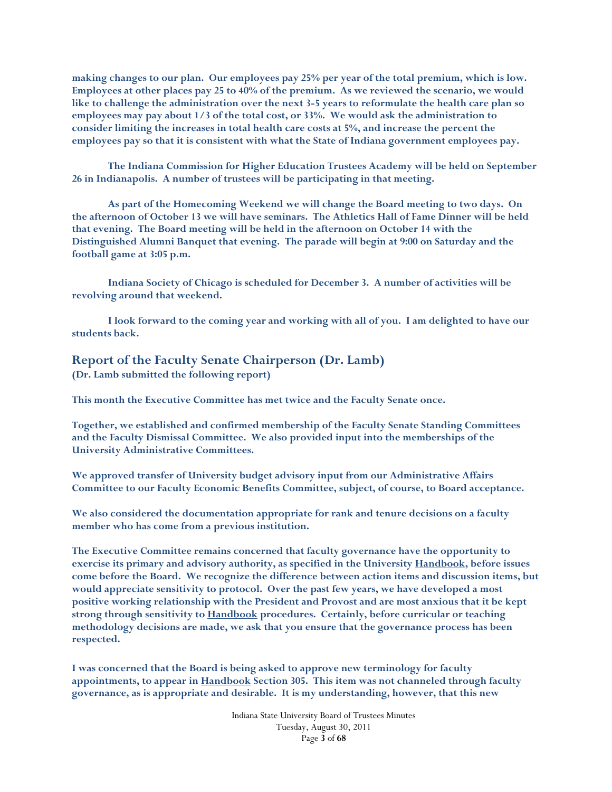**making changes to our plan. Our employees pay 25% per year of the total premium, which is low. Employees at other places pay 25 to 40% of the premium. As we reviewed the scenario, we would like to challenge the administration over the next 3-5 years to reformulate the health care plan so employees may pay about 1/3 of the total cost, or 33%. We would ask the administration to consider limiting the increases in total health care costs at 5%, and increase the percent the employees pay so that it is consistent with what the State of Indiana government employees pay.** 

 **The Indiana Commission for Higher Education Trustees Academy will be held on September 26 in Indianapolis. A number of trustees will be participating in that meeting.** 

 **As part of the Homecoming Weekend we will change the Board meeting to two days. On the afternoon of October 13 we will have seminars. The Athletics Hall of Fame Dinner will be held that evening. The Board meeting will be held in the afternoon on October 14 with the Distinguished Alumni Banquet that evening. The parade will begin at 9:00 on Saturday and the football game at 3:05 p.m.** 

**Indiana Society of Chicago is scheduled for December 3. A number of activities will be revolving around that weekend.** 

 **I look forward to the coming year and working with all of you. I am delighted to have our students back.** 

# **Report of the Faculty Senate Chairperson (Dr. Lamb)**

**(Dr. Lamb submitted the following report)** 

**This month the Executive Committee has met twice and the Faculty Senate once.** 

**Together, we established and confirmed membership of the Faculty Senate Standing Committees and the Faculty Dismissal Committee. We also provided input into the memberships of the University Administrative Committees.** 

**We approved transfer of University budget advisory input from our Administrative Affairs Committee to our Faculty Economic Benefits Committee, subject, of course, to Board acceptance.** 

**We also considered the documentation appropriate for rank and tenure decisions on a faculty member who has come from a previous institution.** 

**The Executive Committee remains concerned that faculty governance have the opportunity to exercise its primary and advisory authority, as specified in the University Handbook, before issues come before the Board. We recognize the difference between action items and discussion items, but would appreciate sensitivity to protocol. Over the past few years, we have developed a most positive working relationship with the President and Provost and are most anxious that it be kept strong through sensitivity to Handbook procedures. Certainly, before curricular or teaching methodology decisions are made, we ask that you ensure that the governance process has been respected.** 

**I was concerned that the Board is being asked to approve new terminology for faculty appointments, to appear in Handbook Section 305. This item was not channeled through faculty governance, as is appropriate and desirable. It is my understanding, however, that this new** 

> Indiana State University Board of Trustees Minutes Tuesday, August 30, 2011 Page **3** of **68**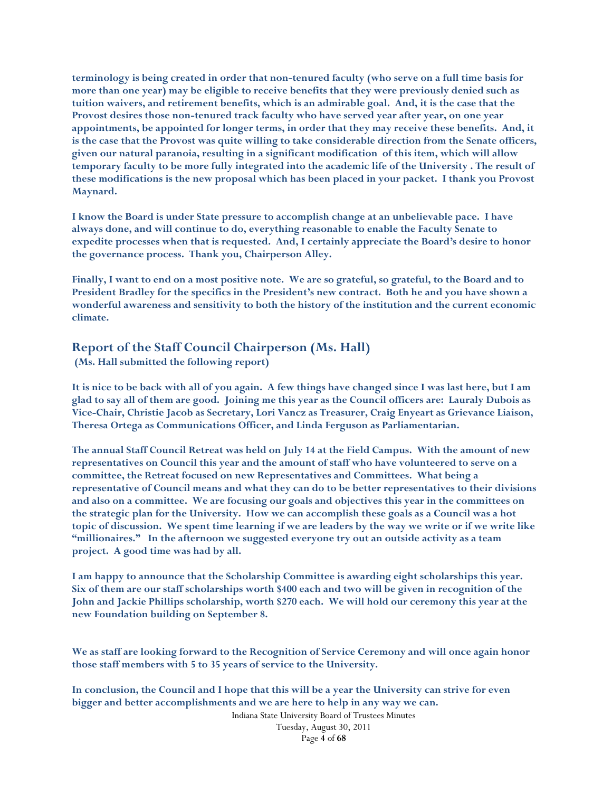**terminology is being created in order that non-tenured faculty (who serve on a full time basis for more than one year) may be eligible to receive benefits that they were previously denied such as tuition waivers, and retirement benefits, which is an admirable goal. And, it is the case that the Provost desires those non-tenured track faculty who have served year after year, on one year appointments, be appointed for longer terms, in order that they may receive these benefits. And, it is the case that the Provost was quite willing to take considerable direction from the Senate officers, given our natural paranoia, resulting in a significant modification of this item, which will allow temporary faculty to be more fully integrated into the academic life of the University . The result of these modifications is the new proposal which has been placed in your packet. I thank you Provost Maynard.** 

**I know the Board is under State pressure to accomplish change at an unbelievable pace. I have always done, and will continue to do, everything reasonable to enable the Faculty Senate to expedite processes when that is requested. And, I certainly appreciate the Board's desire to honor the governance process. Thank you, Chairperson Alley.** 

**Finally, I want to end on a most positive note. We are so grateful, so grateful, to the Board and to President Bradley for the specifics in the President's new contract. Both he and you have shown a wonderful awareness and sensitivity to both the history of the institution and the current economic climate.** 

# **Report of the Staff Council Chairperson (Ms. Hall)**

 **(Ms. Hall submitted the following report)** 

**It is nice to be back with all of you again. A few things have changed since I was last here, but I am glad to say all of them are good. Joining me this year as the Council officers are: Lauraly Dubois as Vice-Chair, Christie Jacob as Secretary, Lori Vancz as Treasurer, Craig Enyeart as Grievance Liaison, Theresa Ortega as Communications Officer, and Linda Ferguson as Parliamentarian.** 

**The annual Staff Council Retreat was held on July 14 at the Field Campus. With the amount of new representatives on Council this year and the amount of staff who have volunteered to serve on a committee, the Retreat focused on new Representatives and Committees. What being a representative of Council means and what they can do to be better representatives to their divisions and also on a committee. We are focusing our goals and objectives this year in the committees on the strategic plan for the University. How we can accomplish these goals as a Council was a hot topic of discussion. We spent time learning if we are leaders by the way we write or if we write like "millionaires." In the afternoon we suggested everyone try out an outside activity as a team project. A good time was had by all.** 

**I am happy to announce that the Scholarship Committee is awarding eight scholarships this year. Six of them are our staff scholarships worth \$400 each and two will be given in recognition of the John and Jackie Phillips scholarship, worth \$270 each. We will hold our ceremony this year at the new Foundation building on September 8.** 

**We as staff are looking forward to the Recognition of Service Ceremony and will once again honor those staff members with 5 to 35 years of service to the University.** 

**In conclusion, the Council and I hope that this will be a year the University can strive for even bigger and better accomplishments and we are here to help in any way we can.** 

> Indiana State University Board of Trustees Minutes Tuesday, August 30, 2011 Page **4** of **68**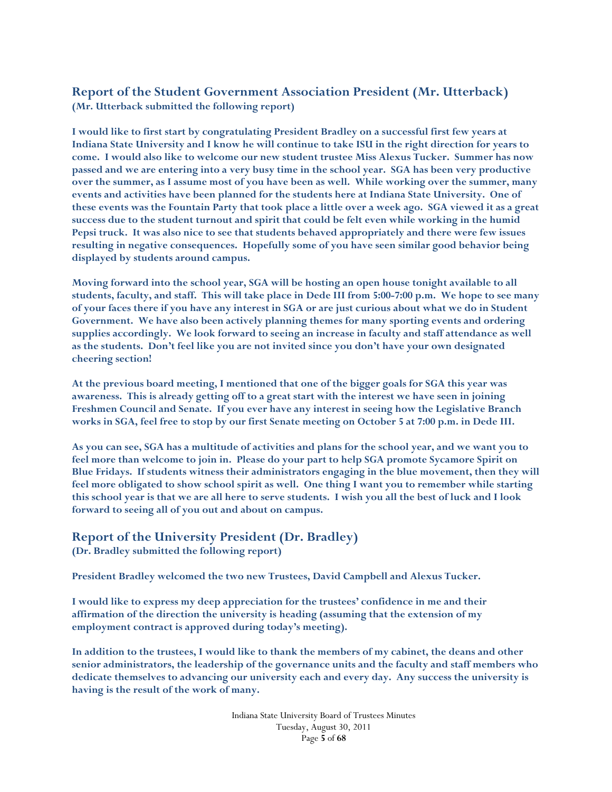# **Report of the Student Government Association President (Mr. Utterback) (Mr. Utterback submitted the following report)**

**I would like to first start by congratulating President Bradley on a successful first few years at Indiana State University and I know he will continue to take ISU in the right direction for years to come. I would also like to welcome our new student trustee Miss Alexus Tucker. Summer has now passed and we are entering into a very busy time in the school year. SGA has been very productive over the summer, as I assume most of you have been as well. While working over the summer, many events and activities have been planned for the students here at Indiana State University. One of these events was the Fountain Party that took place a little over a week ago. SGA viewed it as a great success due to the student turnout and spirit that could be felt even while working in the humid Pepsi truck. It was also nice to see that students behaved appropriately and there were few issues resulting in negative consequences. Hopefully some of you have seen similar good behavior being displayed by students around campus.** 

**Moving forward into the school year, SGA will be hosting an open house tonight available to all students, faculty, and staff. This will take place in Dede III from 5:00-7:00 p.m. We hope to see many of your faces there if you have any interest in SGA or are just curious about what we do in Student Government. We have also been actively planning themes for many sporting events and ordering supplies accordingly. We look forward to seeing an increase in faculty and staff attendance as well as the students. Don't feel like you are not invited since you don't have your own designated cheering section!** 

**At the previous board meeting, I mentioned that one of the bigger goals for SGA this year was awareness. This is already getting off to a great start with the interest we have seen in joining Freshmen Council and Senate. If you ever have any interest in seeing how the Legislative Branch works in SGA, feel free to stop by our first Senate meeting on October 5 at 7:00 p.m. in Dede III.** 

**As you can see, SGA has a multitude of activities and plans for the school year, and we want you to feel more than welcome to join in. Please do your part to help SGA promote Sycamore Spirit on Blue Fridays. If students witness their administrators engaging in the blue movement, then they will feel more obligated to show school spirit as well. One thing I want you to remember while starting this school year is that we are all here to serve students. I wish you all the best of luck and I look forward to seeing all of you out and about on campus.** 

# **Report of the University President (Dr. Bradley)**

**(Dr. Bradley submitted the following report)** 

**President Bradley welcomed the two new Trustees, David Campbell and Alexus Tucker.** 

**I would like to express my deep appreciation for the trustees' confidence in me and their affirmation of the direction the university is heading (assuming that the extension of my employment contract is approved during today's meeting).** 

**In addition to the trustees, I would like to thank the members of my cabinet, the deans and other senior administrators, the leadership of the governance units and the faculty and staff members who dedicate themselves to advancing our university each and every day. Any success the university is having is the result of the work of many.**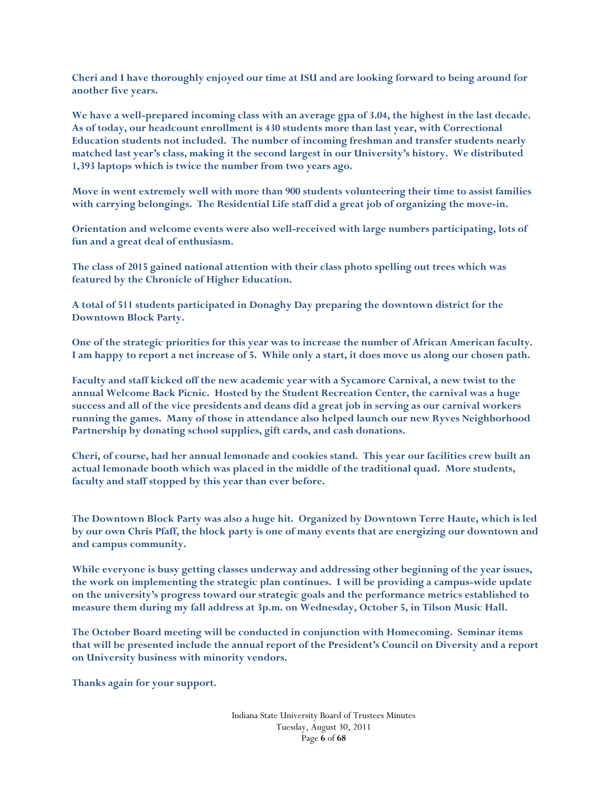**Cheri and I have thoroughly enjoyed our time at ISU and are looking forward to being around for another five years.** 

**We have a well-prepared incoming class with an average gpa of 3.04, the highest in the last decade. As of today, our headcount enrollment is 430 students more than last year, with Correctional Education students not included. The number of incoming freshman and transfer students nearly matched last year's class, making it the second largest in our University's history. We distributed 1,393 laptops which is twice the number from two years ago.** 

**Move in went extremely well with more than 900 students volunteering their time to assist families with carrying belongings. The Residential Life staff did a great job of organizing the move-in.** 

**Orientation and welcome events were also well-received with large numbers participating, lots of fun and a great deal of enthusiasm.** 

**The class of 2015 gained national attention with their class photo spelling out trees which was featured by the Chronicle of Higher Education.** 

**A total of 511 students participated in Donaghy Day preparing the downtown district for the Downtown Block Party.** 

**One of the strategic priorities for this year was to increase the number of African American faculty. I am happy to report a net increase of 5. While only a start, it does move us along our chosen path.** 

**Faculty and staff kicked off the new academic year with a Sycamore Carnival, a new twist to the annual Welcome Back Picnic. Hosted by the Student Recreation Center, the carnival was a huge success and all of the vice presidents and deans did a great job in serving as our carnival workers running the games. Many of those in attendance also helped launch our new Ryves Neighborhood Partnership by donating school supplies, gift cards, and cash donations.** 

**Cheri, of course, had her annual lemonade and cookies stand. This year our facilities crew built an actual lemonade booth which was placed in the middle of the traditional quad. More students, faculty and staff stopped by this year than ever before.** 

**The Downtown Block Party was also a huge hit. Organized by Downtown Terre Haute, which is led by our own Chris Pfaff, the block party is one of many events that are energizing our downtown and and campus community.** 

**While everyone is busy getting classes underway and addressing other beginning of the year issues, the work on implementing the strategic plan continues. I will be providing a campus-wide update on the university's progress toward our strategic goals and the performance metrics established to measure them during my fall address at 3p.m. on Wednesday, October 5, in Tilson Music Hall.** 

**The October Board meeting will be conducted in conjunction with Homecoming. Seminar items that will be presented include the annual report of the President's Council on Diversity and a report on University business with minority vendors.** 

**Thanks again for your support.**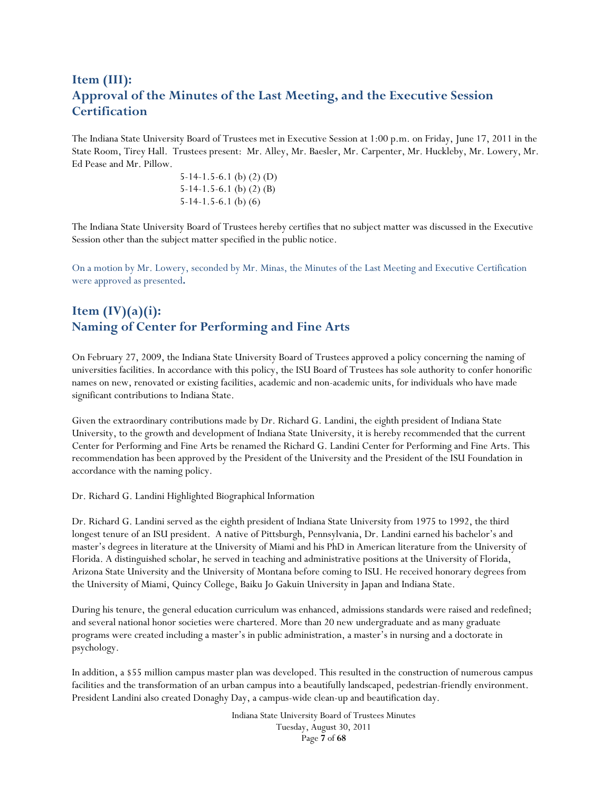# **Item (III): Approval of the Minutes of the Last Meeting, and the Executive Session Certification**

The Indiana State University Board of Trustees met in Executive Session at 1:00 p.m. on Friday, June 17, 2011 in the State Room, Tirey Hall. Trustees present: Mr. Alley, Mr. Baesler, Mr. Carpenter, Mr. Huckleby, Mr. Lowery, Mr. Ed Pease and Mr. Pillow.

> 5-14-1.5-6.1 (b) (2) (D) 5-14-1.5-6.1 (b) (2) (B) 5-14-1.5-6.1 (b) (6)

The Indiana State University Board of Trustees hereby certifies that no subject matter was discussed in the Executive Session other than the subject matter specified in the public notice.

On a motion by Mr. Lowery, seconded by Mr. Minas, the Minutes of the Last Meeting and Executive Certification were approved as presented**.** 

# **Item (IV)(a)(i): Naming of Center for Performing and Fine Arts**

On February 27, 2009, the Indiana State University Board of Trustees approved a policy concerning the naming of universities facilities. In accordance with this policy, the ISU Board of Trustees has sole authority to confer honorific names on new, renovated or existing facilities, academic and non-academic units, for individuals who have made significant contributions to Indiana State.

Given the extraordinary contributions made by Dr. Richard G. Landini, the eighth president of Indiana State University, to the growth and development of Indiana State University, it is hereby recommended that the current Center for Performing and Fine Arts be renamed the Richard G. Landini Center for Performing and Fine Arts. This recommendation has been approved by the President of the University and the President of the ISU Foundation in accordance with the naming policy.

Dr. Richard G. Landini Highlighted Biographical Information

Dr. Richard G. Landini served as the eighth president of Indiana State University from 1975 to 1992, the third longest tenure of an ISU president. A native of Pittsburgh, Pennsylvania, Dr. Landini earned his bachelor's and master's degrees in literature at the University of Miami and his PhD in American literature from the University of Florida. A distinguished scholar, he served in teaching and administrative positions at the University of Florida, Arizona State University and the University of Montana before coming to ISU. He received honorary degrees from the University of Miami, Quincy College, Baiku Jo Gakuin University in Japan and Indiana State.

During his tenure, the general education curriculum was enhanced, admissions standards were raised and redefined; and several national honor societies were chartered. More than 20 new undergraduate and as many graduate programs were created including a master's in public administration, a master's in nursing and a doctorate in psychology.

In addition, a \$55 million campus master plan was developed. This resulted in the construction of numerous campus facilities and the transformation of an urban campus into a beautifully landscaped, pedestrian-friendly environment. President Landini also created Donaghy Day, a campus-wide clean-up and beautification day.

> Indiana State University Board of Trustees Minutes Tuesday, August 30, 2011 Page **7** of **68**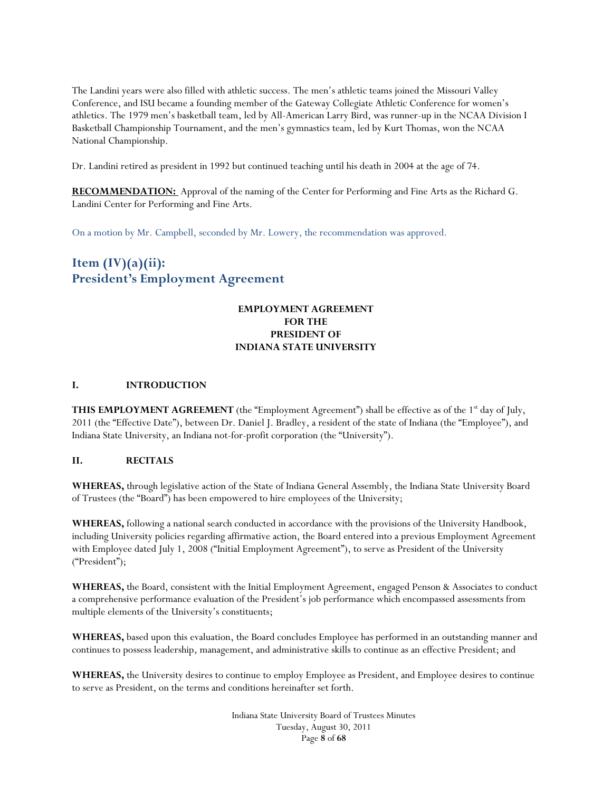The Landini years were also filled with athletic success. The men's athletic teams joined the Missouri Valley Conference, and ISU became a founding member of the Gateway Collegiate Athletic Conference for women's athletics. The 1979 men's basketball team, led by All-American Larry Bird, was runner-up in the NCAA Division I Basketball Championship Tournament, and the men's gymnastics team, led by Kurt Thomas, won the NCAA National Championship.

Dr. Landini retired as president in 1992 but continued teaching until his death in 2004 at the age of 74.

**RECOMMENDATION:** Approval of the naming of the Center for Performing and Fine Arts as the Richard G. Landini Center for Performing and Fine Arts.

On a motion by Mr. Campbell, seconded by Mr. Lowery, the recommendation was approved.

# **Item (IV)(a)(ii): President's Employment Agreement**

# **EMPLOYMENT AGREEMENT FOR THE PRESIDENT OF INDIANA STATE UNIVERSITY**

#### **I. INTRODUCTION**

**THIS EMPLOYMENT AGREEMENT** (the "Employment Agreement") shall be effective as of the 1<sup>st</sup> day of July, 2011 (the "Effective Date"), between Dr. Daniel J. Bradley, a resident of the state of Indiana (the "Employee"), and Indiana State University, an Indiana not-for-profit corporation (the "University").

#### **II. RECITALS**

**WHEREAS,** through legislative action of the State of Indiana General Assembly, the Indiana State University Board of Trustees (the "Board") has been empowered to hire employees of the University;

**WHEREAS,** following a national search conducted in accordance with the provisions of the University Handbook, including University policies regarding affirmative action, the Board entered into a previous Employment Agreement with Employee dated July 1, 2008 ("Initial Employment Agreement"), to serve as President of the University ("President");

**WHEREAS,** the Board, consistent with the Initial Employment Agreement, engaged Penson & Associates to conduct a comprehensive performance evaluation of the President's job performance which encompassed assessments from multiple elements of the University's constituents;

**WHEREAS,** based upon this evaluation, the Board concludes Employee has performed in an outstanding manner and continues to possess leadership, management, and administrative skills to continue as an effective President; and

**WHEREAS,** the University desires to continue to employ Employee as President, and Employee desires to continue to serve as President, on the terms and conditions hereinafter set forth.

> Indiana State University Board of Trustees Minutes Tuesday, August 30, 2011 Page **8** of **68**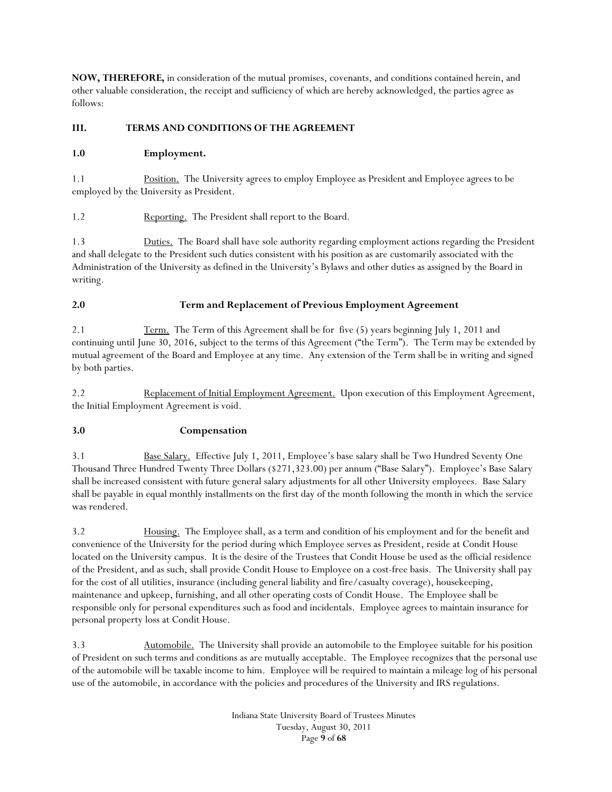**NOW, THEREFORE,** in consideration of the mutual promises, covenants, and conditions contained herein, and other valuable consideration, the receipt and sufficiency of which are hereby acknowledged, the parties agree as follows:

# **III. TERMS AND CONDITIONS OF THE AGREEMENT**

# **1.0 Employment.**

1.1 Position. The University agrees to employ Employee as President and Employee agrees to be employed by the University as President.

1.2 Reporting. The President shall report to the Board.

1.3 Duties. The Board shall have sole authority regarding employment actions regarding the President and shall delegate to the President such duties consistent with his position as are customarily associated with the Administration of the University as defined in the University's Bylaws and other duties as assigned by the Board in writing.

# **2.0 Term and Replacement of Previous Employment Agreement**

2.1 Term. The Term of this Agreement shall be for five (5) years beginning July 1, 2011 and continuing until June 30, 2016, subject to the terms of this Agreement ("the Term"). The Term may be extended by mutual agreement of the Board and Employee at any time. Any extension of the Term shall be in writing and signed by both parties.

2.2 Replacement of Initial Employment Agreement. Upon execution of this Employment Agreement, the Initial Employment Agreement is void.

# **3.0 Compensation**

3.1 Base Salary. Effective July 1, 2011, Employee's base salary shall be Two Hundred Seventy One Thousand Three Hundred Twenty Three Dollars (\$271,323.00) per annum ("Base Salary"). Employee's Base Salary shall be increased consistent with future general salary adjustments for all other University employees. Base Salary shall be payable in equal monthly installments on the first day of the month following the month in which the service was rendered.

3.2 Housing. The Employee shall, as a term and condition of his employment and for the benefit and convenience of the University for the period during which Employee serves as President, reside at Condit House located on the University campus. It is the desire of the Trustees that Condit House be used as the official residence of the President, and as such, shall provide Condit House to Employee on a cost-free basis. The University shall pay for the cost of all utilities, insurance (including general liability and fire/casualty coverage), housekeeping, maintenance and upkeep, furnishing, and all other operating costs of Condit House. The Employee shall be responsible only for personal expenditures such as food and incidentals. Employee agrees to maintain insurance for personal property loss at Condit House.

3.3 Automobile. The University shall provide an automobile to the Employee suitable for his position of President on such terms and conditions as are mutually acceptable. The Employee recognizes that the personal use of the automobile will be taxable income to him. Employee will be required to maintain a mileage log of his personal use of the automobile, in accordance with the policies and procedures of the University and IRS regulations.

> Indiana State University Board of Trustees Minutes Tuesday, August 30, 2011 Page **9** of **68**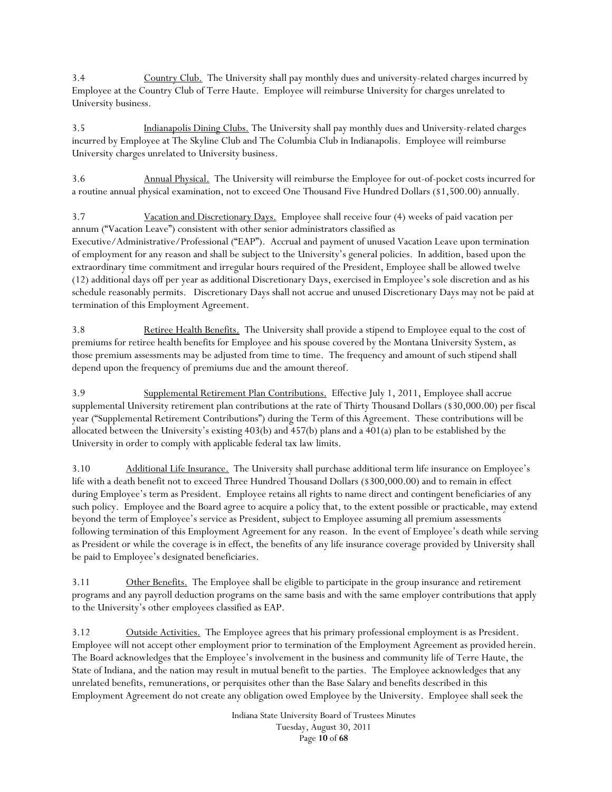3.4 Country Club. The University shall pay monthly dues and university-related charges incurred by Employee at the Country Club of Terre Haute. Employee will reimburse University for charges unrelated to University business.

3.5 Indianapolis Dining Clubs. The University shall pay monthly dues and University-related charges incurred by Employee at The Skyline Club and The Columbia Club in Indianapolis. Employee will reimburse University charges unrelated to University business.

3.6 Annual Physical. The University will reimburse the Employee for out-of-pocket costs incurred for a routine annual physical examination, not to exceed One Thousand Five Hundred Dollars (\$1,500.00) annually.

3.7 Vacation and Discretionary Days. Employee shall receive four (4) weeks of paid vacation per annum ("Vacation Leave") consistent with other senior administrators classified as Executive/Administrative/Professional ("EAP"). Accrual and payment of unused Vacation Leave upon termination of employment for any reason and shall be subject to the University's general policies. In addition, based upon the extraordinary time commitment and irregular hours required of the President, Employee shall be allowed twelve (12) additional days off per year as additional Discretionary Days, exercised in Employee's sole discretion and as his schedule reasonably permits. Discretionary Days shall not accrue and unused Discretionary Days may not be paid at termination of this Employment Agreement.

3.8 Retiree Health Benefits. The University shall provide a stipend to Employee equal to the cost of premiums for retiree health benefits for Employee and his spouse covered by the Montana University System, as those premium assessments may be adjusted from time to time. The frequency and amount of such stipend shall depend upon the frequency of premiums due and the amount thereof.

3.9 Supplemental Retirement Plan Contributions. Effective July 1, 2011, Employee shall accrue supplemental University retirement plan contributions at the rate of Thirty Thousand Dollars (\$30,000.00) per fiscal year ("Supplemental Retirement Contributions") during the Term of this Agreement. These contributions will be allocated between the University's existing 403(b) and 457(b) plans and a 401(a) plan to be established by the University in order to comply with applicable federal tax law limits.

3.10 Additional Life Insurance. The University shall purchase additional term life insurance on Employee's life with a death benefit not to exceed Three Hundred Thousand Dollars (\$300,000.00) and to remain in effect during Employee's term as President. Employee retains all rights to name direct and contingent beneficiaries of any such policy. Employee and the Board agree to acquire a policy that, to the extent possible or practicable, may extend beyond the term of Employee's service as President, subject to Employee assuming all premium assessments following termination of this Employment Agreement for any reason. In the event of Employee's death while serving as President or while the coverage is in effect, the benefits of any life insurance coverage provided by University shall be paid to Employee's designated beneficiaries.

3.11 Other Benefits. The Employee shall be eligible to participate in the group insurance and retirement programs and any payroll deduction programs on the same basis and with the same employer contributions that apply to the University's other employees classified as EAP.

3.12 Outside Activities. The Employee agrees that his primary professional employment is as President. Employee will not accept other employment prior to termination of the Employment Agreement as provided herein. The Board acknowledges that the Employee's involvement in the business and community life of Terre Haute, the State of Indiana, and the nation may result in mutual benefit to the parties. The Employee acknowledges that any unrelated benefits, remunerations, or perquisites other than the Base Salary and benefits described in this Employment Agreement do not create any obligation owed Employee by the University. Employee shall seek the

> Indiana State University Board of Trustees Minutes Tuesday, August 30, 2011 Page **10** of **68**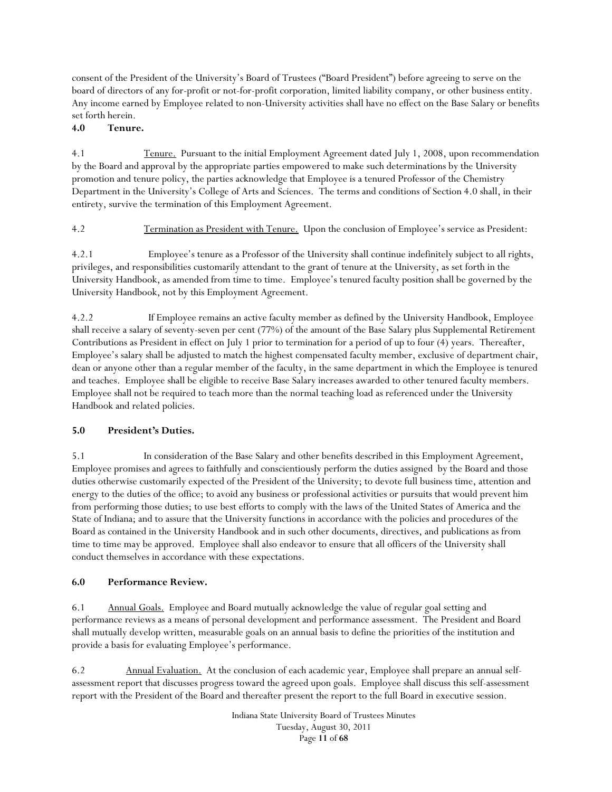consent of the President of the University's Board of Trustees ("Board President") before agreeing to serve on the board of directors of any for-profit or not-for-profit corporation, limited liability company, or other business entity. Any income earned by Employee related to non-University activities shall have no effect on the Base Salary or benefits set forth herein.

### **4.0 Tenure.**

4.1 Tenure. Pursuant to the initial Employment Agreement dated July 1, 2008, upon recommendation by the Board and approval by the appropriate parties empowered to make such determinations by the University promotion and tenure policy, the parties acknowledge that Employee is a tenured Professor of the Chemistry Department in the University's College of Arts and Sciences. The terms and conditions of Section 4.0 shall, in their entirety, survive the termination of this Employment Agreement.

4.2 Termination as President with Tenure. Upon the conclusion of Employee's service as President:

4.2.1 Employee's tenure as a Professor of the University shall continue indefinitely subject to all rights, privileges, and responsibilities customarily attendant to the grant of tenure at the University, as set forth in the University Handbook, as amended from time to time. Employee's tenured faculty position shall be governed by the University Handbook, not by this Employment Agreement.

4.2.2 If Employee remains an active faculty member as defined by the University Handbook, Employee shall receive a salary of seventy-seven per cent (77%) of the amount of the Base Salary plus Supplemental Retirement Contributions as President in effect on July 1 prior to termination for a period of up to four (4) years. Thereafter, Employee's salary shall be adjusted to match the highest compensated faculty member, exclusive of department chair, dean or anyone other than a regular member of the faculty, in the same department in which the Employee is tenured and teaches. Employee shall be eligible to receive Base Salary increases awarded to other tenured faculty members. Employee shall not be required to teach more than the normal teaching load as referenced under the University Handbook and related policies.

## **5.0 President's Duties.**

5.1 In consideration of the Base Salary and other benefits described in this Employment Agreement, Employee promises and agrees to faithfully and conscientiously perform the duties assigned by the Board and those duties otherwise customarily expected of the President of the University; to devote full business time, attention and energy to the duties of the office; to avoid any business or professional activities or pursuits that would prevent him from performing those duties; to use best efforts to comply with the laws of the United States of America and the State of Indiana; and to assure that the University functions in accordance with the policies and procedures of the Board as contained in the University Handbook and in such other documents, directives, and publications as from time to time may be approved. Employee shall also endeavor to ensure that all officers of the University shall conduct themselves in accordance with these expectations.

#### **6.0 Performance Review.**

6.1 Annual Goals. Employee and Board mutually acknowledge the value of regular goal setting and performance reviews as a means of personal development and performance assessment. The President and Board shall mutually develop written, measurable goals on an annual basis to define the priorities of the institution and provide a basis for evaluating Employee's performance.

6.2 Annual Evaluation. At the conclusion of each academic year, Employee shall prepare an annual selfassessment report that discusses progress toward the agreed upon goals. Employee shall discuss this self-assessment report with the President of the Board and thereafter present the report to the full Board in executive session.

> Indiana State University Board of Trustees Minutes Tuesday, August 30, 2011 Page **11** of **68**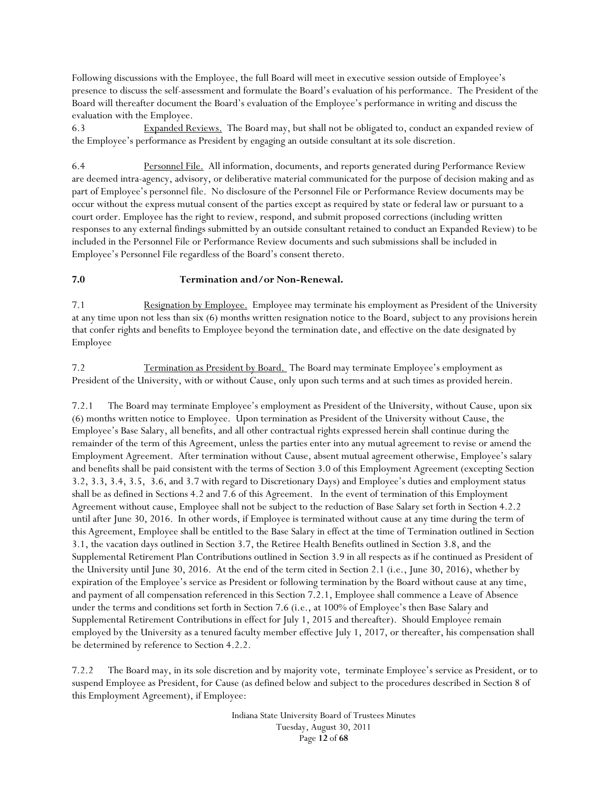Following discussions with the Employee, the full Board will meet in executive session outside of Employee's presence to discuss the self-assessment and formulate the Board's evaluation of his performance. The President of the Board will thereafter document the Board's evaluation of the Employee's performance in writing and discuss the evaluation with the Employee.

6.3 Expanded Reviews. The Board may, but shall not be obligated to, conduct an expanded review of the Employee's performance as President by engaging an outside consultant at its sole discretion.

6.4 Personnel File. All information, documents, and reports generated during Performance Review are deemed intra-agency, advisory, or deliberative material communicated for the purpose of decision making and as part of Employee's personnel file. No disclosure of the Personnel File or Performance Review documents may be occur without the express mutual consent of the parties except as required by state or federal law or pursuant to a court order. Employee has the right to review, respond, and submit proposed corrections (including written responses to any external findings submitted by an outside consultant retained to conduct an Expanded Review) to be included in the Personnel File or Performance Review documents and such submissions shall be included in Employee's Personnel File regardless of the Board's consent thereto.

#### **7.0 Termination and/or Non-Renewal.**

7.1 Resignation by Employee. Employee may terminate his employment as President of the University at any time upon not less than six (6) months written resignation notice to the Board, subject to any provisions herein that confer rights and benefits to Employee beyond the termination date, and effective on the date designated by Employee

7.2 Termination as President by Board. The Board may terminate Employee's employment as President of the University, with or without Cause, only upon such terms and at such times as provided herein.

7.2.1 The Board may terminate Employee's employment as President of the University, without Cause, upon six (6) months written notice to Employee. Upon termination as President of the University without Cause, the Employee's Base Salary, all benefits, and all other contractual rights expressed herein shall continue during the remainder of the term of this Agreement, unless the parties enter into any mutual agreement to revise or amend the Employment Agreement. After termination without Cause, absent mutual agreement otherwise, Employee's salary and benefits shall be paid consistent with the terms of Section 3.0 of this Employment Agreement (excepting Section 3.2, 3.3, 3.4, 3.5, 3.6, and 3.7 with regard to Discretionary Days) and Employee's duties and employment status shall be as defined in Sections 4.2 and 7.6 of this Agreement. In the event of termination of this Employment Agreement without cause, Employee shall not be subject to the reduction of Base Salary set forth in Section 4.2.2 until after June 30, 2016. In other words, if Employee is terminated without cause at any time during the term of this Agreement, Employee shall be entitled to the Base Salary in effect at the time of Termination outlined in Section 3.1, the vacation days outlined in Section 3.7, the Retiree Health Benefits outlined in Section 3.8, and the Supplemental Retirement Plan Contributions outlined in Section 3.9 in all respects as if he continued as President of the University until June 30, 2016. At the end of the term cited in Section 2.1 (i.e., June 30, 2016), whether by expiration of the Employee's service as President or following termination by the Board without cause at any time, and payment of all compensation referenced in this Section 7.2.1, Employee shall commence a Leave of Absence under the terms and conditions set forth in Section 7.6 (i.e., at 100% of Employee's then Base Salary and Supplemental Retirement Contributions in effect for July 1, 2015 and thereafter). Should Employee remain employed by the University as a tenured faculty member effective July 1, 2017, or thereafter, his compensation shall be determined by reference to Section 4.2.2.

7.2.2 The Board may, in its sole discretion and by majority vote, terminate Employee's service as President, or to suspend Employee as President, for Cause (as defined below and subject to the procedures described in Section 8 of this Employment Agreement), if Employee: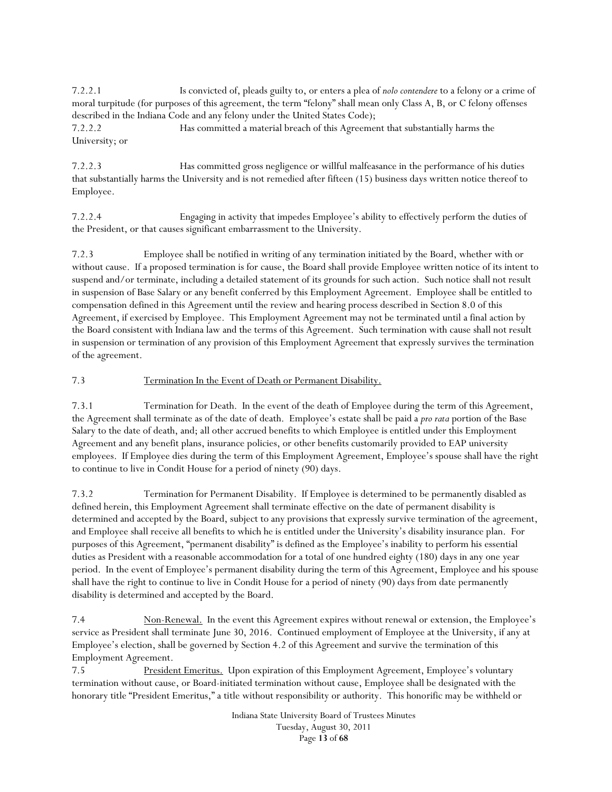7.2.2.1 Is convicted of, pleads guilty to, or enters a plea of *nolo contendere* to a felony or a crime of moral turpitude (for purposes of this agreement, the term "felony" shall mean only Class A, B, or C felony offenses described in the Indiana Code and any felony under the United States Code);

7.2.2.2 Has committed a material breach of this Agreement that substantially harms the University; or

7.2.2.3 Has committed gross negligence or willful malfeasance in the performance of his duties that substantially harms the University and is not remedied after fifteen (15) business days written notice thereof to Employee.

7.2.2.4 Engaging in activity that impedes Employee's ability to effectively perform the duties of the President, or that causes significant embarrassment to the University.

7.2.3 Employee shall be notified in writing of any termination initiated by the Board, whether with or without cause. If a proposed termination is for cause, the Board shall provide Employee written notice of its intent to suspend and/or terminate, including a detailed statement of its grounds for such action. Such notice shall not result in suspension of Base Salary or any benefit conferred by this Employment Agreement. Employee shall be entitled to compensation defined in this Agreement until the review and hearing process described in Section 8.0 of this Agreement, if exercised by Employee. This Employment Agreement may not be terminated until a final action by the Board consistent with Indiana law and the terms of this Agreement. Such termination with cause shall not result in suspension or termination of any provision of this Employment Agreement that expressly survives the termination of the agreement.

## 7.3 Termination In the Event of Death or Permanent Disability.

7.3.1 Termination for Death. In the event of the death of Employee during the term of this Agreement, the Agreement shall terminate as of the date of death. Employee's estate shall be paid a *pro rata* portion of the Base Salary to the date of death, and; all other accrued benefits to which Employee is entitled under this Employment Agreement and any benefit plans, insurance policies, or other benefits customarily provided to EAP university employees. If Employee dies during the term of this Employment Agreement, Employee's spouse shall have the right to continue to live in Condit House for a period of ninety (90) days.

7.3.2 Termination for Permanent Disability. If Employee is determined to be permanently disabled as defined herein, this Employment Agreement shall terminate effective on the date of permanent disability is determined and accepted by the Board, subject to any provisions that expressly survive termination of the agreement, and Employee shall receive all benefits to which he is entitled under the University's disability insurance plan. For purposes of this Agreement, "permanent disability" is defined as the Employee's inability to perform his essential duties as President with a reasonable accommodation for a total of one hundred eighty (180) days in any one year period. In the event of Employee's permanent disability during the term of this Agreement, Employee and his spouse shall have the right to continue to live in Condit House for a period of ninety (90) days from date permanently disability is determined and accepted by the Board.

7.4 Non-Renewal. In the event this Agreement expires without renewal or extension, the Employee's service as President shall terminate June 30, 2016. Continued employment of Employee at the University, if any at Employee's election, shall be governed by Section 4.2 of this Agreement and survive the termination of this Employment Agreement.

7.5 President Emeritus. Upon expiration of this Employment Agreement, Employee's voluntary termination without cause, or Board-initiated termination without cause, Employee shall be designated with the honorary title "President Emeritus," a title without responsibility or authority. This honorific may be withheld or

> Indiana State University Board of Trustees Minutes Tuesday, August 30, 2011 Page **13** of **68**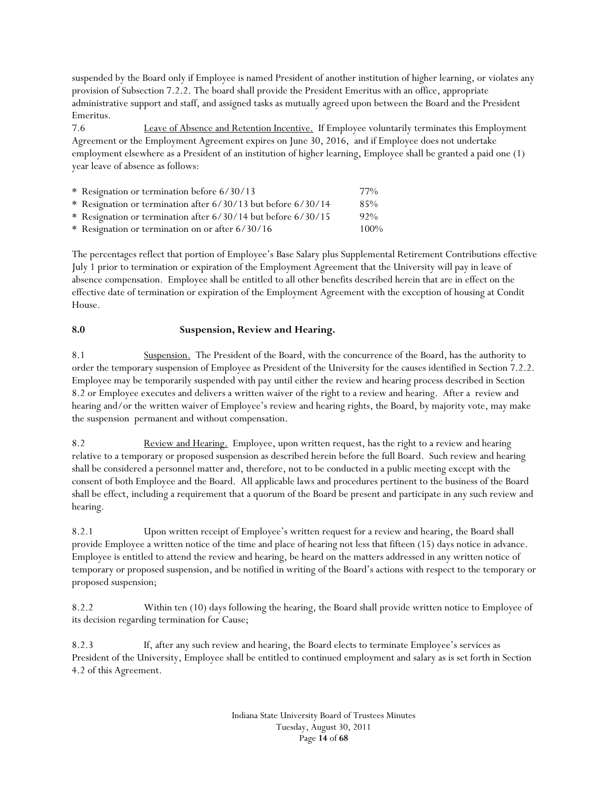suspended by the Board only if Employee is named President of another institution of higher learning, or violates any provision of Subsection 7.2.2. The board shall provide the President Emeritus with an office, appropriate administrative support and staff, and assigned tasks as mutually agreed upon between the Board and the President Emeritus.

7.6 Leave of Absence and Retention Incentive. If Employee voluntarily terminates this Employment Agreement or the Employment Agreement expires on June 30, 2016, and if Employee does not undertake employment elsewhere as a President of an institution of higher learning, Employee shall be granted a paid one (1) year leave of absence as follows:

| * Resignation or termination before 6/30/13                   | 77%     |
|---------------------------------------------------------------|---------|
| * Resignation or termination after 6/30/13 but before 6/30/14 | 85%     |
| * Resignation or termination after 6/30/14 but before 6/30/15 | 92%     |
| * Resignation or termination on or after 6/30/16              | $100\%$ |

The percentages reflect that portion of Employee's Base Salary plus Supplemental Retirement Contributions effective July 1 prior to termination or expiration of the Employment Agreement that the University will pay in leave of absence compensation. Employee shall be entitled to all other benefits described herein that are in effect on the effective date of termination or expiration of the Employment Agreement with the exception of housing at Condit House.

## **8.0 Suspension, Review and Hearing.**

8.1 Suspension. The President of the Board, with the concurrence of the Board, has the authority to order the temporary suspension of Employee as President of the University for the causes identified in Section 7.2.2. Employee may be temporarily suspended with pay until either the review and hearing process described in Section 8.2 or Employee executes and delivers a written waiver of the right to a review and hearing. After a review and hearing and/or the written waiver of Employee's review and hearing rights, the Board, by majority vote, may make the suspension permanent and without compensation.

8.2 Review and Hearing. Employee, upon written request, has the right to a review and hearing relative to a temporary or proposed suspension as described herein before the full Board. Such review and hearing shall be considered a personnel matter and, therefore, not to be conducted in a public meeting except with the consent of both Employee and the Board. All applicable laws and procedures pertinent to the business of the Board shall be effect, including a requirement that a quorum of the Board be present and participate in any such review and hearing.

8.2.1 Upon written receipt of Employee's written request for a review and hearing, the Board shall provide Employee a written notice of the time and place of hearing not less that fifteen (15) days notice in advance. Employee is entitled to attend the review and hearing, be heard on the matters addressed in any written notice of temporary or proposed suspension, and be notified in writing of the Board's actions with respect to the temporary or proposed suspension;

8.2.2 Within ten (10) days following the hearing, the Board shall provide written notice to Employee of its decision regarding termination for Cause;

8.2.3 If, after any such review and hearing, the Board elects to terminate Employee's services as President of the University, Employee shall be entitled to continued employment and salary as is set forth in Section 4.2 of this Agreement.

> Indiana State University Board of Trustees Minutes Tuesday, August 30, 2011 Page **14** of **68**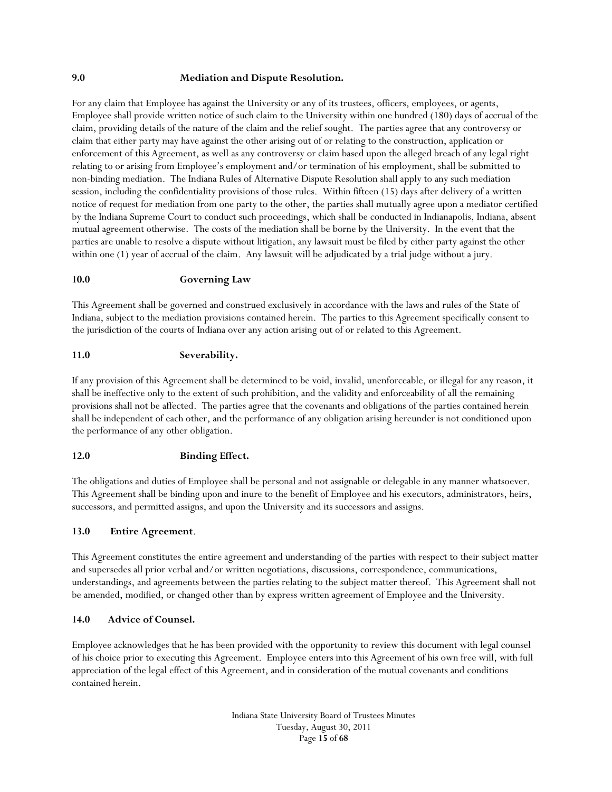#### **9.0 Mediation and Dispute Resolution.**

For any claim that Employee has against the University or any of its trustees, officers, employees, or agents, Employee shall provide written notice of such claim to the University within one hundred (180) days of accrual of the claim, providing details of the nature of the claim and the relief sought. The parties agree that any controversy or claim that either party may have against the other arising out of or relating to the construction, application or enforcement of this Agreement, as well as any controversy or claim based upon the alleged breach of any legal right relating to or arising from Employee's employment and/or termination of his employment, shall be submitted to non-binding mediation. The Indiana Rules of Alternative Dispute Resolution shall apply to any such mediation session, including the confidentiality provisions of those rules. Within fifteen (15) days after delivery of a written notice of request for mediation from one party to the other, the parties shall mutually agree upon a mediator certified by the Indiana Supreme Court to conduct such proceedings, which shall be conducted in Indianapolis, Indiana, absent mutual agreement otherwise. The costs of the mediation shall be borne by the University. In the event that the parties are unable to resolve a dispute without litigation, any lawsuit must be filed by either party against the other within one (1) year of accrual of the claim. Any lawsuit will be adjudicated by a trial judge without a jury.

#### **10.0 Governing Law**

This Agreement shall be governed and construed exclusively in accordance with the laws and rules of the State of Indiana, subject to the mediation provisions contained herein. The parties to this Agreement specifically consent to the jurisdiction of the courts of Indiana over any action arising out of or related to this Agreement.

#### **11.0 Severability.**

If any provision of this Agreement shall be determined to be void, invalid, unenforceable, or illegal for any reason, it shall be ineffective only to the extent of such prohibition, and the validity and enforceability of all the remaining provisions shall not be affected. The parties agree that the covenants and obligations of the parties contained herein shall be independent of each other, and the performance of any obligation arising hereunder is not conditioned upon the performance of any other obligation.

#### **12.0 Binding Effect.**

The obligations and duties of Employee shall be personal and not assignable or delegable in any manner whatsoever. This Agreement shall be binding upon and inure to the benefit of Employee and his executors, administrators, heirs, successors, and permitted assigns, and upon the University and its successors and assigns.

#### **13.0 Entire Agreement**.

This Agreement constitutes the entire agreement and understanding of the parties with respect to their subject matter and supersedes all prior verbal and/or written negotiations, discussions, correspondence, communications, understandings, and agreements between the parties relating to the subject matter thereof. This Agreement shall not be amended, modified, or changed other than by express written agreement of Employee and the University.

#### **14.0 Advice of Counsel.**

Employee acknowledges that he has been provided with the opportunity to review this document with legal counsel of his choice prior to executing this Agreement. Employee enters into this Agreement of his own free will, with full appreciation of the legal effect of this Agreement, and in consideration of the mutual covenants and conditions contained herein.

> Indiana State University Board of Trustees Minutes Tuesday, August 30, 2011 Page **15** of **68**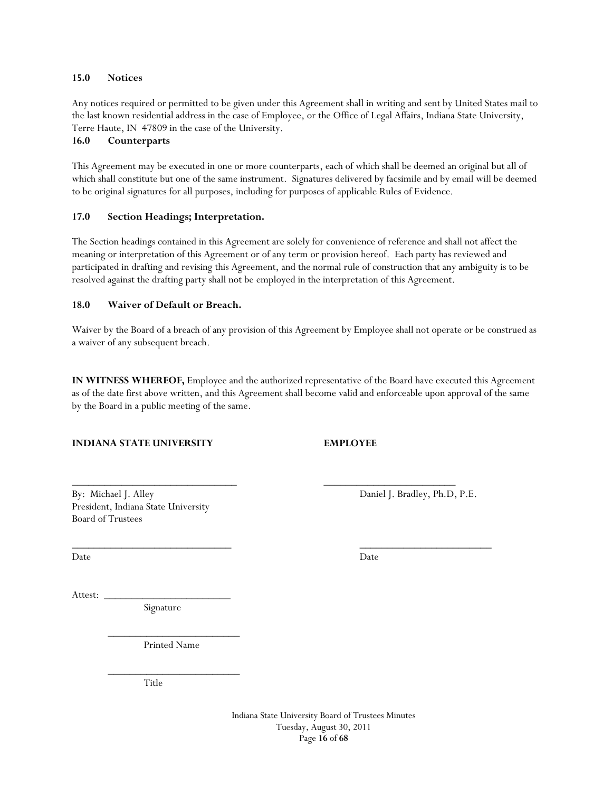#### **15.0 Notices**

Any notices required or permitted to be given under this Agreement shall in writing and sent by United States mail to the last known residential address in the case of Employee, or the Office of Legal Affairs, Indiana State University, Terre Haute, IN 47809 in the case of the University.

### **16.0 Counterparts**

This Agreement may be executed in one or more counterparts, each of which shall be deemed an original but all of which shall constitute but one of the same instrument. Signatures delivered by facsimile and by email will be deemed to be original signatures for all purposes, including for purposes of applicable Rules of Evidence.

### **17.0 Section Headings; Interpretation.**

The Section headings contained in this Agreement are solely for convenience of reference and shall not affect the meaning or interpretation of this Agreement or of any term or provision hereof. Each party has reviewed and participated in drafting and revising this Agreement, and the normal rule of construction that any ambiguity is to be resolved against the drafting party shall not be employed in the interpretation of this Agreement.

### **18.0 Waiver of Default or Breach.**

Waiver by the Board of a breach of any provision of this Agreement by Employee shall not operate or be construed as a waiver of any subsequent breach.

**IN WITNESS WHEREOF,** Employee and the authorized representative of the Board have executed this Agreement as of the date first above written, and this Agreement shall become valid and enforceable upon approval of the same by the Board in a public meeting of the same.

\_\_\_\_\_\_\_\_\_\_\_\_\_\_\_\_\_\_\_\_\_\_\_\_\_\_\_\_\_\_ \_\_\_\_\_\_\_\_\_\_\_\_\_\_\_\_\_\_\_\_\_\_\_\_

 $\overline{\phantom{a}}$  ,  $\overline{\phantom{a}}$  ,  $\overline{\phantom{a}}$  ,  $\overline{\phantom{a}}$  ,  $\overline{\phantom{a}}$  ,  $\overline{\phantom{a}}$  ,  $\overline{\phantom{a}}$  ,  $\overline{\phantom{a}}$  ,  $\overline{\phantom{a}}$  ,  $\overline{\phantom{a}}$  ,  $\overline{\phantom{a}}$  ,  $\overline{\phantom{a}}$  ,  $\overline{\phantom{a}}$  ,  $\overline{\phantom{a}}$  ,  $\overline{\phantom{a}}$  ,  $\overline{\phantom{a}}$ 

#### **INDIANA STATE UNIVERSITY EMPLOYEE**

By: Michael J. Alley Daniel J. Bradley, Ph.D, P.E. President, Indiana State University Board of Trustees

Date Date Date

Attest: \_\_\_\_\_\_\_\_\_\_\_\_\_\_\_\_\_\_\_\_\_\_\_

Signature

 $\frac{1}{2}$  ,  $\frac{1}{2}$  ,  $\frac{1}{2}$  ,  $\frac{1}{2}$  ,  $\frac{1}{2}$  ,  $\frac{1}{2}$  ,  $\frac{1}{2}$  ,  $\frac{1}{2}$  ,  $\frac{1}{2}$  ,  $\frac{1}{2}$  ,  $\frac{1}{2}$  ,  $\frac{1}{2}$  ,  $\frac{1}{2}$  ,  $\frac{1}{2}$  ,  $\frac{1}{2}$  ,  $\frac{1}{2}$  ,  $\frac{1}{2}$  ,  $\frac{1}{2}$  ,  $\frac{1$ Printed Name

 $\frac{1}{2}$  ,  $\frac{1}{2}$  ,  $\frac{1}{2}$  ,  $\frac{1}{2}$  ,  $\frac{1}{2}$  ,  $\frac{1}{2}$  ,  $\frac{1}{2}$  ,  $\frac{1}{2}$  ,  $\frac{1}{2}$  ,  $\frac{1}{2}$  ,  $\frac{1}{2}$  ,  $\frac{1}{2}$  ,  $\frac{1}{2}$  ,  $\frac{1}{2}$  ,  $\frac{1}{2}$  ,  $\frac{1}{2}$  ,  $\frac{1}{2}$  ,  $\frac{1}{2}$  ,  $\frac{1$ Title

> Indiana State University Board of Trustees Minutes Tuesday, August 30, 2011 Page **16** of **68**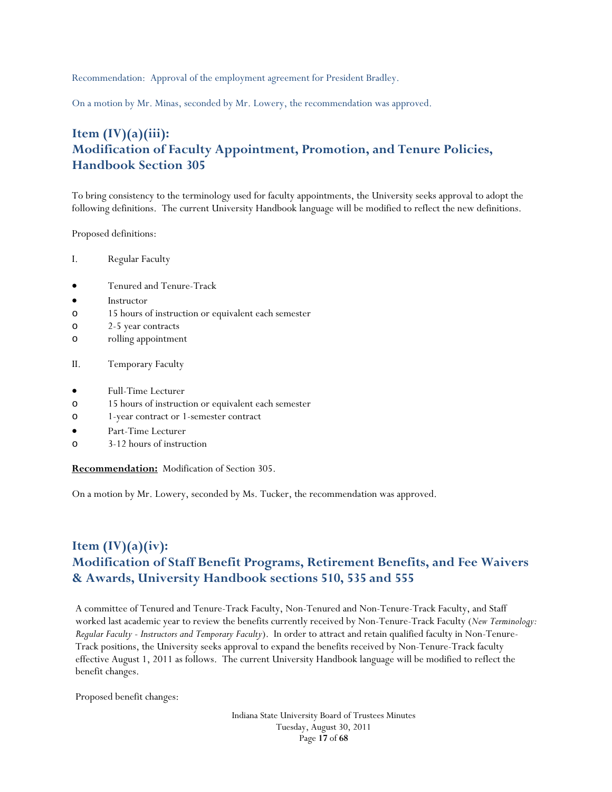Recommendation: Approval of the employment agreement for President Bradley.

On a motion by Mr. Minas, seconded by Mr. Lowery, the recommendation was approved.

# **Item (IV)(a)(iii): Modification of Faculty Appointment, Promotion, and Tenure Policies, Handbook Section 305**

To bring consistency to the terminology used for faculty appointments, the University seeks approval to adopt the following definitions. The current University Handbook language will be modified to reflect the new definitions.

Proposed definitions:

- I. Regular Faculty
- Tenured and Tenure-Track
- Instructor
- o 15 hours of instruction or equivalent each semester
- o 2-5 year contracts
- o rolling appointment
- II. Temporary Faculty
- Full-Time Lecturer
- o 15 hours of instruction or equivalent each semester
- o 1-year contract or 1-semester contract
- Part-Time Lecturer
- o 3-12 hours of instruction

**Recommendation:** Modification of Section 305.

On a motion by Mr. Lowery, seconded by Ms. Tucker, the recommendation was approved.

# **Item (IV)(a)(iv): Modification of Staff Benefit Programs, Retirement Benefits, and Fee Waivers & Awards, University Handbook sections 510, 535 and 555**

A committee of Tenured and Tenure-Track Faculty, Non-Tenured and Non-Tenure-Track Faculty, and Staff worked last academic year to review the benefits currently received by Non-Tenure-Track Faculty (*New Terminology: Regular Faculty - Instructors and Temporary Faculty*). In order to attract and retain qualified faculty in Non-Tenure-Track positions, the University seeks approval to expand the benefits received by Non-Tenure-Track faculty effective August 1, 2011 as follows. The current University Handbook language will be modified to reflect the benefit changes.

Proposed benefit changes:

Indiana State University Board of Trustees Minutes Tuesday, August 30, 2011 Page **17** of **68**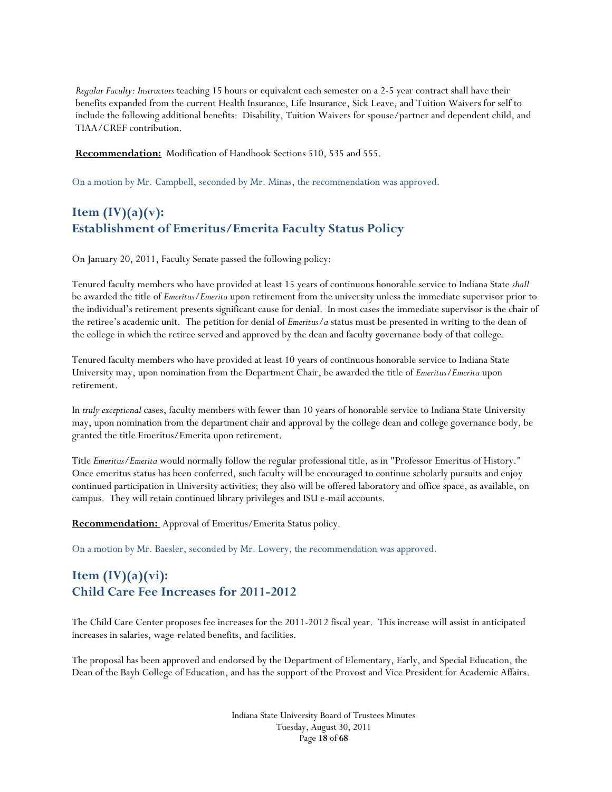*Regular Faculty: Instructors* teaching 15 hours or equivalent each semester on a 2-5 year contract shall have their benefits expanded from the current Health Insurance, Life Insurance, Sick Leave, and Tuition Waivers for self to include the following additional benefits: Disability, Tuition Waivers for spouse/partner and dependent child, and TIAA/CREF contribution.

**Recommendation:** Modification of Handbook Sections 510, 535 and 555.

On a motion by Mr. Campbell, seconded by Mr. Minas, the recommendation was approved.

# Item  $(IV)(a)(v)$ : **Establishment of Emeritus/Emerita Faculty Status Policy**

On January 20, 2011, Faculty Senate passed the following policy:

Tenured faculty members who have provided at least 15 years of continuous honorable service to Indiana State *shall*  be awarded the title of *Emeritus/Emerita* upon retirement from the university unless the immediate supervisor prior to the individual's retirement presents significant cause for denial. In most cases the immediate supervisor is the chair of the retiree's academic unit. The petition for denial of *Emeritus/a* status must be presented in writing to the dean of the college in which the retiree served and approved by the dean and faculty governance body of that college.

Tenured faculty members who have provided at least 10 years of continuous honorable service to Indiana State University may, upon nomination from the Department Chair, be awarded the title of *Emeritus/Emerita* upon retirement.

In *truly exceptional* cases, faculty members with fewer than 10 years of honorable service to Indiana State University may, upon nomination from the department chair and approval by the college dean and college governance body, be granted the title Emeritus/Emerita upon retirement.

Title *Emeritus/Emerita* would normally follow the regular professional title, as in "Professor Emeritus of History." Once emeritus status has been conferred, such faculty will be encouraged to continue scholarly pursuits and enjoy continued participation in University activities; they also will be offered laboratory and office space, as available, on campus. They will retain continued library privileges and ISU e-mail accounts.

**Recommendation:** Approval of Emeritus/Emerita Status policy.

On a motion by Mr. Baesler, seconded by Mr. Lowery, the recommendation was approved.

# **Item (IV)(a)(vi): Child Care Fee Increases for 2011-2012**

The Child Care Center proposes fee increases for the 2011-2012 fiscal year. This increase will assist in anticipated increases in salaries, wage-related benefits, and facilities.

The proposal has been approved and endorsed by the Department of Elementary, Early, and Special Education, the Dean of the Bayh College of Education, and has the support of the Provost and Vice President for Academic Affairs.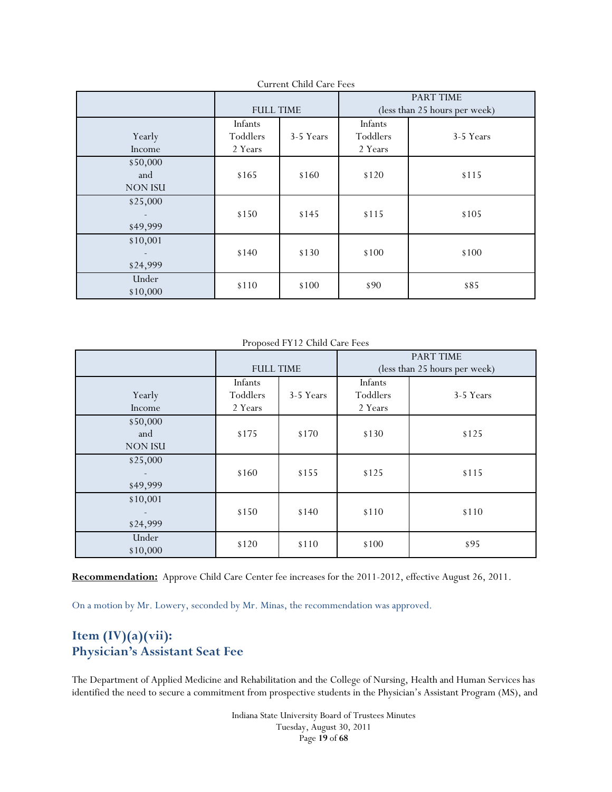|                                                  | <b>FULL TIME</b>                            |       | PART TIME<br>(less than 25 hours per week) |           |
|--------------------------------------------------|---------------------------------------------|-------|--------------------------------------------|-----------|
| Yearly<br>Income                                 | Infants<br>Toddlers<br>3-5 Years<br>2 Years |       | Infants<br>Toddlers<br>2 Years             | 3-5 Years |
| \$50,000<br>and<br><b>NON ISU</b>                | \$165                                       | \$160 | \$120                                      | \$115     |
| \$25,000<br>$\overline{\phantom{a}}$<br>\$49,999 | \$150                                       | \$145 | \$115                                      | \$105     |
| \$10,001<br>$\overline{\phantom{a}}$<br>\$24,999 | \$140                                       | \$130 | \$100                                      | \$100     |
| Under<br>\$10,000                                | \$110                                       | \$100 | \$90                                       | \$85      |

Current Child Care Fees

Proposed FY12 Child Care Fees

|                                                  |                                             |       | <b>PART TIME</b>               |           |
|--------------------------------------------------|---------------------------------------------|-------|--------------------------------|-----------|
|                                                  | <b>FULL TIME</b>                            |       | (less than 25 hours per week)  |           |
| Yearly<br>Income                                 | Infants<br>Toddlers<br>3-5 Years<br>2 Years |       | Infants<br>Toddlers<br>2 Years | 3-5 Years |
| \$50,000<br>and<br><b>NON ISU</b>                | \$175                                       | \$170 | \$130                          | \$125     |
| \$25,000<br>$\overline{\phantom{a}}$<br>\$49,999 | \$160                                       | \$155 | \$125                          | \$115     |
| \$10,001<br>$\overline{\phantom{a}}$<br>\$24,999 | \$150                                       | \$140 | \$110                          | \$110     |
| Under<br>\$10,000                                | \$120                                       | \$110 | \$100                          | \$95      |

**Recommendation:** Approve Child Care Center fee increases for the 2011-2012, effective August 26, 2011.

On a motion by Mr. Lowery, seconded by Mr. Minas, the recommendation was approved.

# **Item (IV)(a)(vii): Physician's Assistant Seat Fee**

The Department of Applied Medicine and Rehabilitation and the College of Nursing, Health and Human Services has identified the need to secure a commitment from prospective students in the Physician's Assistant Program (MS), and

> Indiana State University Board of Trustees Minutes Tuesday, August 30, 2011 Page **19** of **68**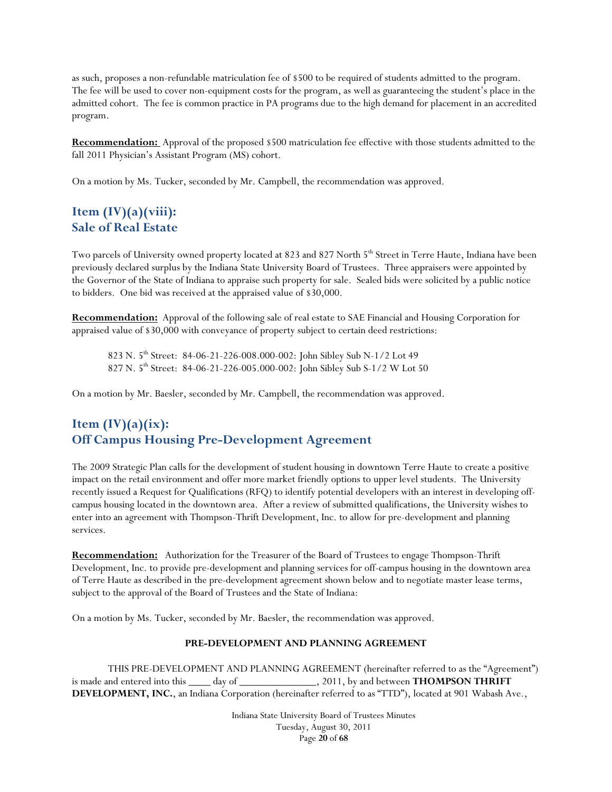as such, proposes a non-refundable matriculation fee of \$500 to be required of students admitted to the program. The fee will be used to cover non-equipment costs for the program, as well as guaranteeing the student's place in the admitted cohort. The fee is common practice in PA programs due to the high demand for placement in an accredited program.

**Recommendation:** Approval of the proposed \$500 matriculation fee effective with those students admitted to the fall 2011 Physician's Assistant Program (MS) cohort.

On a motion by Ms. Tucker, seconded by Mr. Campbell, the recommendation was approved.

# **Item (IV)(a)(viii): Sale of Real Estate**

Two parcels of University owned property located at 823 and 827 North 5<sup>th</sup> Street in Terre Haute, Indiana have been previously declared surplus by the Indiana State University Board of Trustees. Three appraisers were appointed by the Governor of the State of Indiana to appraise such property for sale. Sealed bids were solicited by a public notice to bidders. One bid was received at the appraised value of \$30,000.

**Recommendation:** Approval of the following sale of real estate to SAE Financial and Housing Corporation for appraised value of \$30,000 with conveyance of property subject to certain deed restrictions:

 823 N. 5th Street: 84-06-21-226-008.000-002: John Sibley Sub N-1/2 Lot 49 827 N. 5th Street: 84-06-21-226-005.000-002: John Sibley Sub S-1/2 W Lot 50

On a motion by Mr. Baesler, seconded by Mr. Campbell, the recommendation was approved.

# Item  $(IV)(a)(ix)$ : **Off Campus Housing Pre-Development Agreement**

The 2009 Strategic Plan calls for the development of student housing in downtown Terre Haute to create a positive impact on the retail environment and offer more market friendly options to upper level students. The University recently issued a Request for Qualifications (RFQ) to identify potential developers with an interest in developing offcampus housing located in the downtown area. After a review of submitted qualifications, the University wishes to enter into an agreement with Thompson-Thrift Development, Inc. to allow for pre-development and planning services.

**Recommendation:** Authorization for the Treasurer of the Board of Trustees to engage Thompson-Thrift Development, Inc. to provide pre-development and planning services for off-campus housing in the downtown area of Terre Haute as described in the pre-development agreement shown below and to negotiate master lease terms, subject to the approval of the Board of Trustees and the State of Indiana:

On a motion by Ms. Tucker, seconded by Mr. Baesler, the recommendation was approved.

### **PRE-DEVELOPMENT AND PLANNING AGREEMENT**

 THIS PRE-DEVELOPMENT AND PLANNING AGREEMENT (hereinafter referred to as the "Agreement") is made and entered into this \_\_\_\_\_ day of \_\_\_\_\_\_\_\_\_\_\_\_\_\_\_\_, 2011, by and between **THOMPSON THRIFT DEVELOPMENT, INC.**, an Indiana Corporation (hereinafter referred to as "TTD"), located at 901 Wabash Ave.,

> Indiana State University Board of Trustees Minutes Tuesday, August 30, 2011 Page **20** of **68**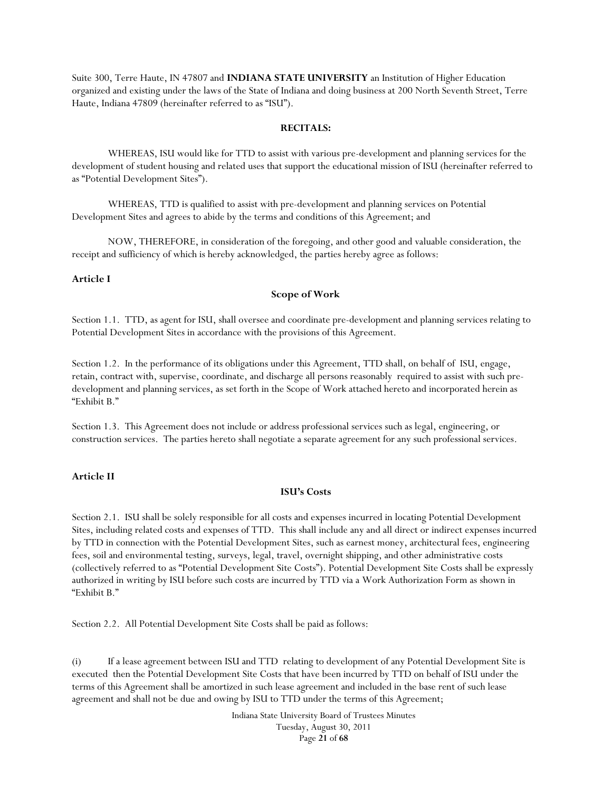Suite 300, Terre Haute, IN 47807 and **INDIANA STATE UNIVERSITY** an Institution of Higher Education organized and existing under the laws of the State of Indiana and doing business at 200 North Seventh Street, Terre Haute, Indiana 47809 (hereinafter referred to as "ISU").

### **RECITALS:**

 WHEREAS, ISU would like for TTD to assist with various pre-development and planning services for the development of student housing and related uses that support the educational mission of ISU (hereinafter referred to as "Potential Development Sites").

 WHEREAS, TTD is qualified to assist with pre-development and planning services on Potential Development Sites and agrees to abide by the terms and conditions of this Agreement; and

 NOW, THEREFORE, in consideration of the foregoing, and other good and valuable consideration, the receipt and sufficiency of which is hereby acknowledged, the parties hereby agree as follows:

#### **Article I**

#### **Scope of Work**

Section 1.1. TTD, as agent for ISU, shall oversee and coordinate pre-development and planning services relating to Potential Development Sites in accordance with the provisions of this Agreement.

Section 1.2. In the performance of its obligations under this Agreement, TTD shall, on behalf of ISU, engage, retain, contract with, supervise, coordinate, and discharge all persons reasonably required to assist with such predevelopment and planning services, as set forth in the Scope of Work attached hereto and incorporated herein as "Exhibit B."

Section 1.3. This Agreement does not include or address professional services such as legal, engineering, or construction services. The parties hereto shall negotiate a separate agreement for any such professional services.

#### **Article II**

#### **ISU's Costs**

Section 2.1. ISU shall be solely responsible for all costs and expenses incurred in locating Potential Development Sites, including related costs and expenses of TTD. This shall include any and all direct or indirect expenses incurred by TTD in connection with the Potential Development Sites, such as earnest money, architectural fees, engineering fees, soil and environmental testing, surveys, legal, travel, overnight shipping, and other administrative costs (collectively referred to as "Potential Development Site Costs"). Potential Development Site Costs shall be expressly authorized in writing by ISU before such costs are incurred by TTD via a Work Authorization Form as shown in "Exhibit B."

Section 2.2. All Potential Development Site Costs shall be paid as follows:

(i) If a lease agreement between ISU and TTD relating to development of any Potential Development Site is executed then the Potential Development Site Costs that have been incurred by TTD on behalf of ISU under the terms of this Agreement shall be amortized in such lease agreement and included in the base rent of such lease agreement and shall not be due and owing by ISU to TTD under the terms of this Agreement;

> Indiana State University Board of Trustees Minutes Tuesday, August 30, 2011 Page **21** of **68**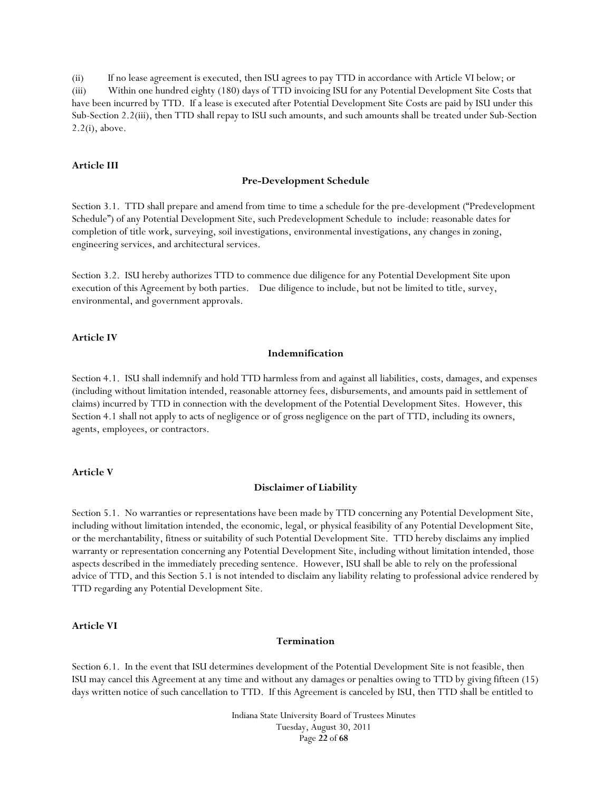(ii) If no lease agreement is executed, then ISU agrees to pay TTD in accordance with Article VI below; or (iii) Within one hundred eighty (180) days of TTD invoicing ISU for any Potential Development Site Costs that have been incurred by TTD. If a lease is executed after Potential Development Site Costs are paid by ISU under this Sub-Section 2.2(iii), then TTD shall repay to ISU such amounts, and such amounts shall be treated under Sub-Section 2.2(i), above.

#### **Article III**

#### **Pre-Development Schedule**

Section 3.1. TTD shall prepare and amend from time to time a schedule for the pre-development ("Predevelopment Schedule") of any Potential Development Site, such Predevelopment Schedule to include: reasonable dates for completion of title work, surveying, soil investigations, environmental investigations, any changes in zoning, engineering services, and architectural services.

Section 3.2. ISU hereby authorizes TTD to commence due diligence for any Potential Development Site upon execution of this Agreement by both parties. Due diligence to include, but not be limited to title, survey, environmental, and government approvals.

#### **Article IV**

#### **Indemnification**

Section 4.1. ISU shall indemnify and hold TTD harmless from and against all liabilities, costs, damages, and expenses (including without limitation intended, reasonable attorney fees, disbursements, and amounts paid in settlement of claims) incurred by TTD in connection with the development of the Potential Development Sites. However, this Section 4.1 shall not apply to acts of negligence or of gross negligence on the part of TTD, including its owners, agents, employees, or contractors.

#### **Article V**

#### **Disclaimer of Liability**

Section 5.1. No warranties or representations have been made by TTD concerning any Potential Development Site, including without limitation intended, the economic, legal, or physical feasibility of any Potential Development Site, or the merchantability, fitness or suitability of such Potential Development Site. TTD hereby disclaims any implied warranty or representation concerning any Potential Development Site, including without limitation intended, those aspects described in the immediately preceding sentence. However, ISU shall be able to rely on the professional advice of TTD, and this Section 5.1 is not intended to disclaim any liability relating to professional advice rendered by TTD regarding any Potential Development Site.

#### **Article VI**

#### **Termination**

Section 6.1. In the event that ISU determines development of the Potential Development Site is not feasible, then ISU may cancel this Agreement at any time and without any damages or penalties owing to TTD by giving fifteen (15) days written notice of such cancellation to TTD. If this Agreement is canceled by ISU, then TTD shall be entitled to

> Indiana State University Board of Trustees Minutes Tuesday, August 30, 2011 Page **22** of **68**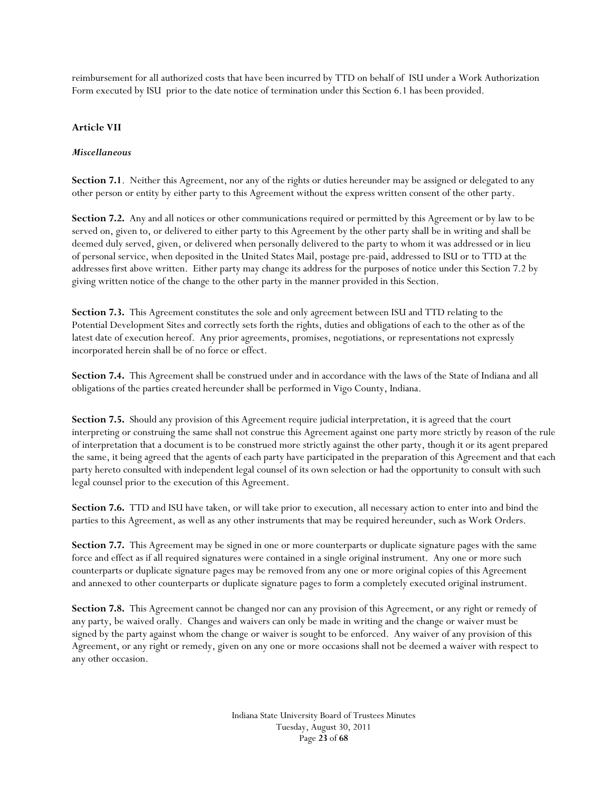reimbursement for all authorized costs that have been incurred by TTD on behalf of ISU under a Work Authorization Form executed by ISU prior to the date notice of termination under this Section 6.1 has been provided.

### **Article VII**

#### *Miscellaneous*

**Section 7.1**. Neither this Agreement, nor any of the rights or duties hereunder may be assigned or delegated to any other person or entity by either party to this Agreement without the express written consent of the other party.

**Section 7.2.** Any and all notices or other communications required or permitted by this Agreement or by law to be served on, given to, or delivered to either party to this Agreement by the other party shall be in writing and shall be deemed duly served, given, or delivered when personally delivered to the party to whom it was addressed or in lieu of personal service, when deposited in the United States Mail, postage pre-paid, addressed to ISU or to TTD at the addresses first above written. Either party may change its address for the purposes of notice under this Section 7.2 by giving written notice of the change to the other party in the manner provided in this Section.

**Section 7.3.** This Agreement constitutes the sole and only agreement between ISU and TTD relating to the Potential Development Sites and correctly sets forth the rights, duties and obligations of each to the other as of the latest date of execution hereof. Any prior agreements, promises, negotiations, or representations not expressly incorporated herein shall be of no force or effect.

**Section 7.4.** This Agreement shall be construed under and in accordance with the laws of the State of Indiana and all obligations of the parties created hereunder shall be performed in Vigo County, Indiana.

**Section 7.5.** Should any provision of this Agreement require judicial interpretation, it is agreed that the court interpreting or construing the same shall not construe this Agreement against one party more strictly by reason of the rule of interpretation that a document is to be construed more strictly against the other party, though it or its agent prepared the same, it being agreed that the agents of each party have participated in the preparation of this Agreement and that each party hereto consulted with independent legal counsel of its own selection or had the opportunity to consult with such legal counsel prior to the execution of this Agreement.

**Section 7.6.** TTD and ISU have taken, or will take prior to execution, all necessary action to enter into and bind the parties to this Agreement, as well as any other instruments that may be required hereunder, such as Work Orders.

**Section 7.7.** This Agreement may be signed in one or more counterparts or duplicate signature pages with the same force and effect as if all required signatures were contained in a single original instrument. Any one or more such counterparts or duplicate signature pages may be removed from any one or more original copies of this Agreement and annexed to other counterparts or duplicate signature pages to form a completely executed original instrument.

**Section 7.8.** This Agreement cannot be changed nor can any provision of this Agreement, or any right or remedy of any party, be waived orally. Changes and waivers can only be made in writing and the change or waiver must be signed by the party against whom the change or waiver is sought to be enforced. Any waiver of any provision of this Agreement, or any right or remedy, given on any one or more occasions shall not be deemed a waiver with respect to any other occasion.

> Indiana State University Board of Trustees Minutes Tuesday, August 30, 2011 Page **23** of **68**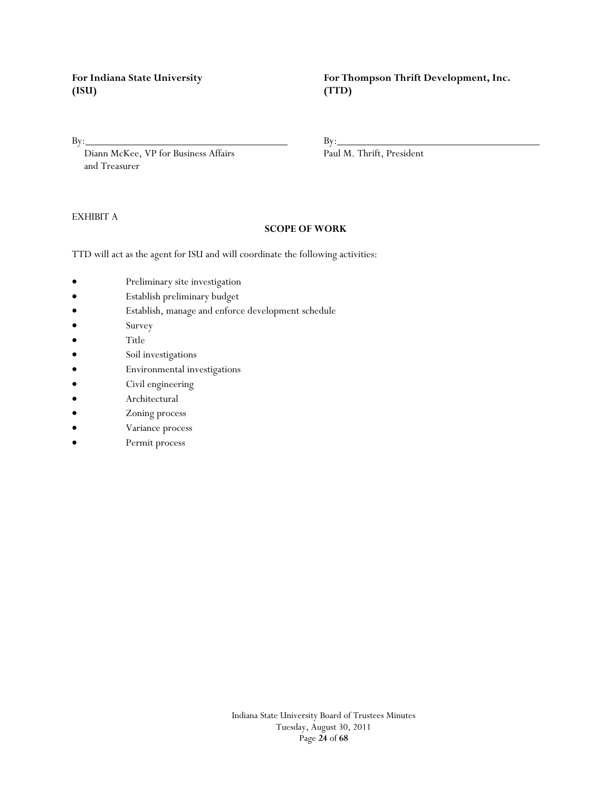**(ISU) (TTD)**

Diann McKee, VP for Business Affairs Paul M. Thrift, President and Treasurer

### EXHIBIT A

#### **SCOPE OF WORK**

TTD will act as the agent for ISU and will coordinate the following activities:

- Preliminary site investigation
- Establish preliminary budget
- Establish, manage and enforce development schedule
- Survey
- Title
- Soil investigations
- Environmental investigations
- Civil engineering
- Architectural
- Zoning process
- Variance process
- Permit process

For Indiana State University **For Thompson Thrift Development, Inc.** 

 $By:$  By:

Indiana State University Board of Trustees Minutes Tuesday, August 30, 2011 Page **24** of **68**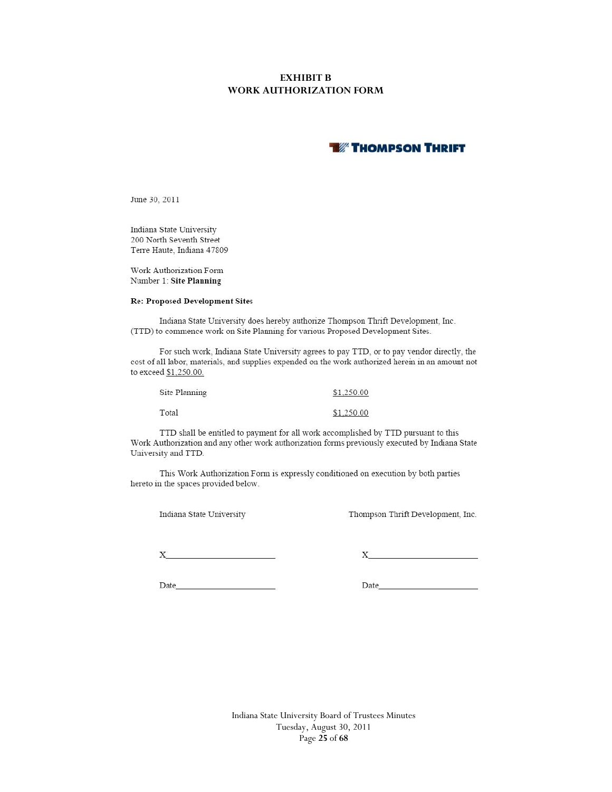### **EXHIBIT B WORK AUTHORIZATION FORM**

# **THOMPSON THRIFT**

June 30, 2011

Indiana State University 200 North Seventh Street Terre Haute, Indiana 47809

Work Authorization Form Number 1: Site Planning

#### **Re: Proposed Development Sites**

Indiana State University does hereby authorize Thompson Thrift Development, Inc. (TTD) to commence work on Site Planning for various Proposed Development Sites.

For such work, Indiana State University agrees to pay TTD, or to pay vendor directly, the cost of all labor, materials, and supplies expended on the work authorized herein in an amount not to exceed \$1,250.00.

| Site Planning | \$1,250.00 |
|---------------|------------|
| Total         | \$1,250.00 |

TTD shall be entitled to payment for all work accomplished by TTD pursuant to this Work Authorization and any other work authorization forms previously executed by Indiana State University and TTD.

This Work Authorization Form is expressly conditioned on execution by both parties hereto in the spaces provided below.

Indiana State University

Thompson Thrift Development, Inc.

 $X$  and  $X$  and  $X$  and  $X$  and  $X$  and  $X$  and  $X$  and  $X$  and  $X$  and  $X$  and  $X$  and  $X$  and  $X$  and  $X$  and  $X$  and  $X$  and  $X$  and  $X$  and  $X$  and  $X$  and  $X$  and  $X$  and  $X$  and  $X$  and  $X$  and  $X$  and  $X$  and  $X$  a

 $\mathbf X$ 

Date and the state of the state of the state of the state of the state of the state of the state of the state of the state of the state of the state of the state of the state of the state of the state of the state of the s

Date and the state of the state of the state of the state of the state of the state of the state of the state of the state of the state of the state of the state of the state of the state of the state of the state of the s

Indiana State University Board of Trustees Minutes Tuesday, August 30, 2011 Page **25** of **68**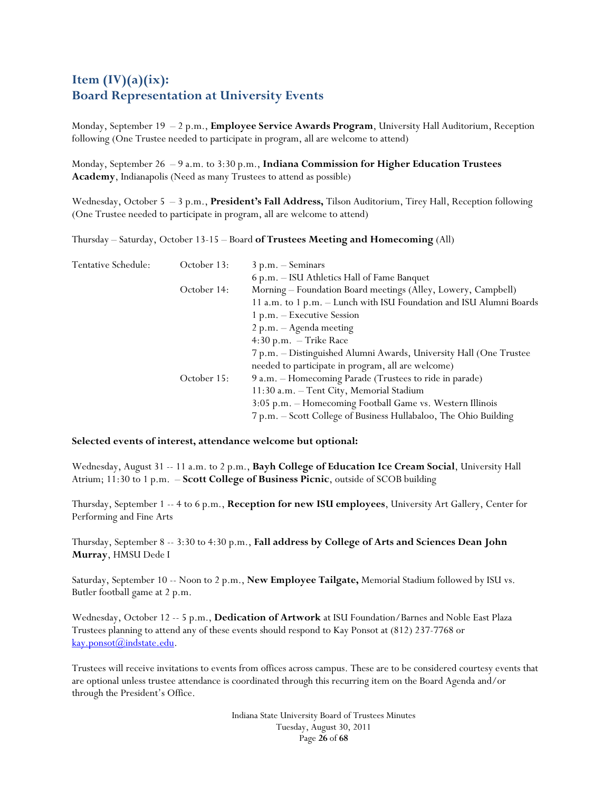# **Item (IV)(a)(ix): Board Representation at University Events**

Monday, September 19 – 2 p.m., **Employee Service Awards Program**, University Hall Auditorium, Reception following (One Trustee needed to participate in program, all are welcome to attend)

Monday, September 26 – 9 a.m. to 3:30 p.m., **Indiana Commission for Higher Education Trustees Academy**, Indianapolis (Need as many Trustees to attend as possible)

Wednesday, October 5 – 3 p.m., **President's Fall Address,** Tilson Auditorium, Tirey Hall, Reception following (One Trustee needed to participate in program, all are welcome to attend)

Thursday – Saturday, October 13-15 – Board **of Trustees Meeting and Homecoming** (All)

| Tentative Schedule: | October 13: | $3 p.m. - Seminary$                                                 |
|---------------------|-------------|---------------------------------------------------------------------|
|                     |             | 6 p.m. - ISU Athletics Hall of Fame Banquet                         |
|                     | October 14: | Morning - Foundation Board meetings (Alley, Lowery, Campbell)       |
|                     |             | 11 a.m. to 1 p.m. - Lunch with ISU Foundation and ISU Alumni Boards |
|                     |             | 1 p.m. – Executive Session                                          |
|                     |             | $2 p.m. - A$ genda meeting                                          |
|                     |             | $4:30$ p.m. $-$ Trike Race                                          |
|                     |             | 7 p.m. - Distinguished Alumni Awards, University Hall (One Trustee  |
|                     |             | needed to participate in program, all are welcome)                  |
|                     | October 15: | 9 a.m. - Homecoming Parade (Trustees to ride in parade)             |
|                     |             | 11:30 a.m. - Tent City, Memorial Stadium                            |
|                     |             | 3:05 p.m. - Homecoming Football Game vs. Western Illinois           |
|                     |             | 7 p.m. – Scott College of Business Hullabaloo, The Ohio Building    |

#### **Selected events of interest, attendance welcome but optional:**

Wednesday, August 31 -- 11 a.m. to 2 p.m., **Bayh College of Education Ice Cream Social**, University Hall Atrium; 11:30 to 1 p.m. – **Scott College of Business Picnic**, outside of SCOB building

Thursday, September 1 -- 4 to 6 p.m., **Reception for new ISU employees**, University Art Gallery, Center for Performing and Fine Arts

Thursday, September 8 -- 3:30 to 4:30 p.m., **Fall address by College of Arts and Sciences Dean John Murray**, HMSU Dede I

Saturday, September 10 -- Noon to 2 p.m., **New Employee Tailgate,** Memorial Stadium followed by ISU vs. Butler football game at 2 p.m.

Wednesday, October 12 -- 5 p.m., **Dedication of Artwork** at ISU Foundation/Barnes and Noble East Plaza Trustees planning to attend any of these events should respond to Kay Ponsot at (812) 237-7768 or kay.ponsot@indstate.edu.

Trustees will receive invitations to events from offices across campus. These are to be considered courtesy events that are optional unless trustee attendance is coordinated through this recurring item on the Board Agenda and/or through the President's Office.

> Indiana State University Board of Trustees Minutes Tuesday, August 30, 2011 Page **26** of **68**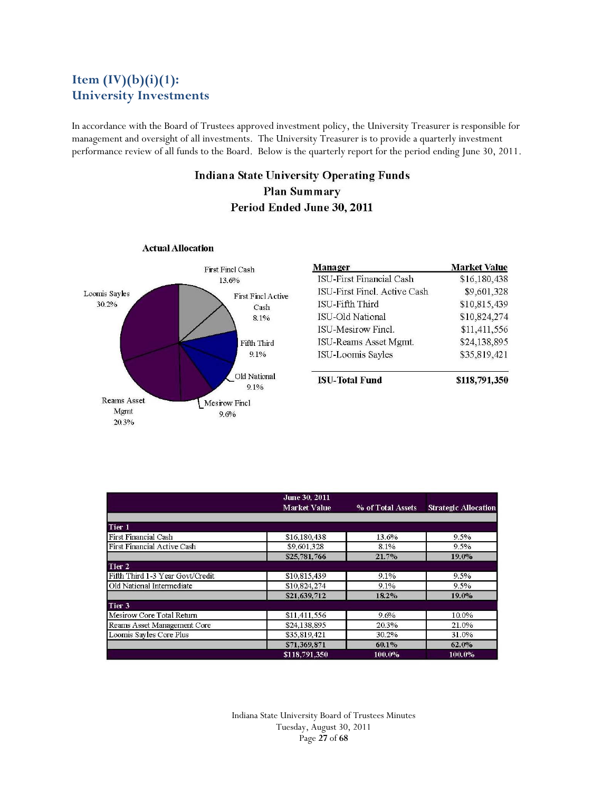# **Item (IV)(b)(i)(1): University Investments**

In accordance with the Board of Trustees approved investment policy, the University Treasurer is responsible for management and oversight of all investments. The University Treasurer is to provide a quarterly investment performance review of all funds to the Board. Below is the quarterly report for the period ending June 30, 2011.

# **Indiana State University Operating Funds Plan Summary** Period Ended June 30, 2011



**Actual Allocation** 

| Manager                      | <b>Market Value</b> |
|------------------------------|---------------------|
| ISU-First Financial Cash     | \$16,180,438        |
| ISU-First Finel, Active Cash | \$9,601,328         |
| ISU-Fifth Third              | \$10,815,439        |
| ISU-Old National             | \$10,824,274        |
| <b>ISU-Mesirow Finel.</b>    | \$11,411,556        |
| <b>ISU-Reams Asset Mgmt.</b> | \$24,138,895        |
| <b>ISU-Loomis Sayles</b>     | \$35,819,421        |
| <b>ISU-Total Fund</b>        | \$118,791,350       |

|                                    | June 30, 2011       |                   |                             |
|------------------------------------|---------------------|-------------------|-----------------------------|
|                                    | <b>Market Value</b> | % of Total Assets | <b>Strategic Allocation</b> |
|                                    |                     |                   |                             |
| Tier <sub>1</sub>                  |                     |                   |                             |
| <b>First Financial Cash</b>        | \$16,180,438        | 13.6%             | 9.5%                        |
| <b>First Financial Active Cash</b> | \$9,601,328         | 8.1%              | $9.5\%$                     |
|                                    | \$25,781,766        | 21.7%             | 19.0%                       |
| Tier 2                             |                     |                   |                             |
| Fifth Third 1-3 Year Govt/Credit   | \$10,815,439        | 9.1%              | 9.5%                        |
| Old National Intermediate          | \$10,824,274        | 9.1%              | 9.5%                        |
|                                    | \$21,639,712        | 18.2%             | 19.0%                       |
| Tier 3                             |                     |                   |                             |
| Mesirow Core Total Return          | \$11,411,556        | 9.6%              | 10.0%                       |
| Reams Asset Management Core        | \$24,138,895        | 20.3%             | 21.0%                       |
| Loomis Sayles Core Plus            | \$35,819,421        | 30.2%             | 31.0%                       |
|                                    | \$71,369,871        | 60.1%             | 62.0%                       |
|                                    | \$118,791,350       | 100.0%            | 100.0%                      |

Indiana State University Board of Trustees Minutes Tuesday, August 30, 2011 Page **27** of **68**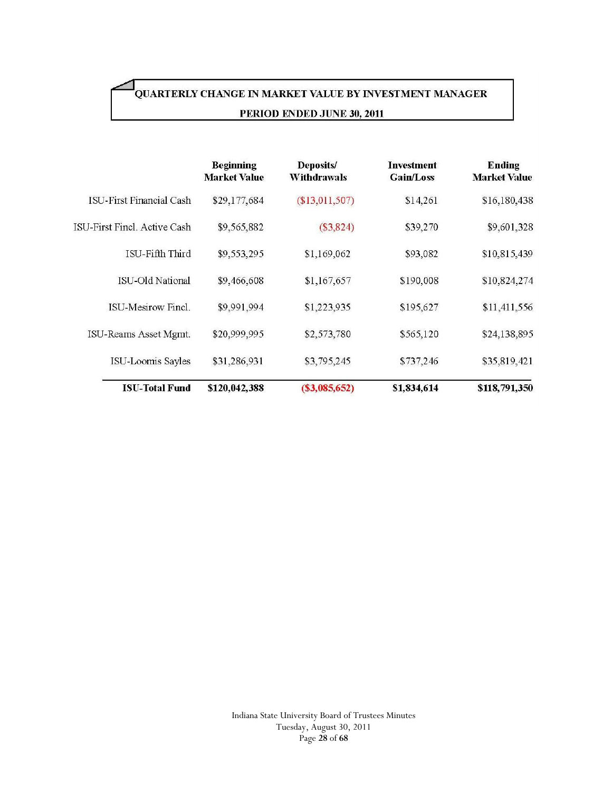# QUARTERLY CHANGE IN MARKET VALUE BY INVESTMENT MANAGER PERIOD ENDED JUNE 30, 2011

|                                 | <b>Beginning</b><br><b>Market Value</b> | Deposits/<br><b>Withdrawals</b> | <b>Investment</b><br>Gain/Loss | <b>Ending</b><br><b>Market Value</b> |
|---------------------------------|-----------------------------------------|---------------------------------|--------------------------------|--------------------------------------|
| <b>ISU-First Financial Cash</b> | \$29,177,684                            | $(\$13,011,507)$                | \$14,261                       | \$16,180,438                         |
| ISU-First Fincl. Active Cash    | \$9,565,882                             | $(\$3,824)$                     | \$39,270                       | \$9,601,328                          |
| ISU-Fifth Third                 | \$9,553,295                             | \$1,169,062                     | \$93,082                       | \$10,815,439                         |
| ISU-Old National                | \$9,466,608                             | \$1,167,657                     | \$190,008                      | \$10,824,274                         |
| <b>ISU-Mesirow Finel.</b>       | \$9,991,994                             | \$1,223,935                     | \$195,627                      | \$11,411,556                         |
| ISU-Reams Asset Mgmt.           | \$20,999,995                            | \$2,573,780                     | \$565,120                      | \$24,138,895                         |
| ISU-Loomis Sayles               | \$31,286,931                            | \$3,795,245                     | \$737,246                      | \$35,819,421                         |
| <b>ISU-Total Fund</b>           | \$120,042,388                           | (S3,085,652)                    | \$1,834,614                    | \$118,791,350                        |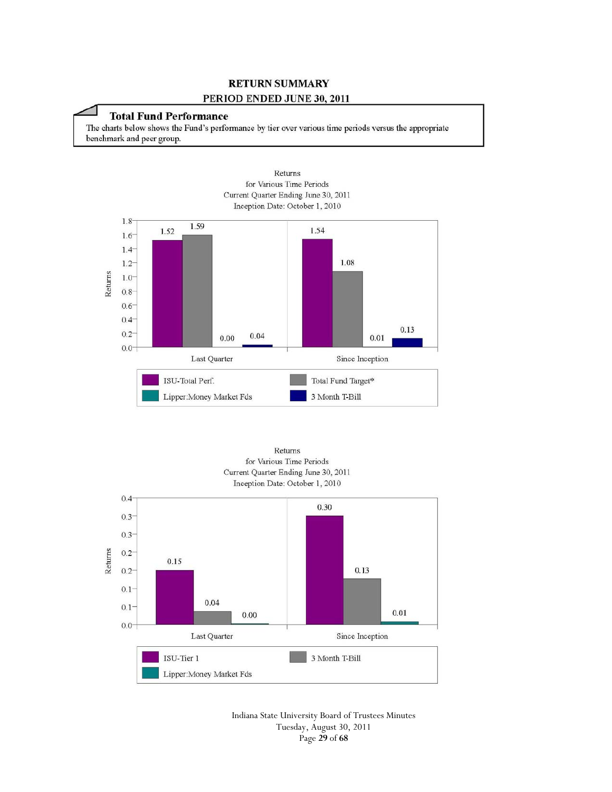# **RETURN SUMMARY**

#### PERIOD ENDED JUNE 30, 2011

### **Total Fund Performance**

The charts below shows the Fund's performance by tier over various time periods versus the appropriate benchmark and peer group.







Indiana State University Board of Trustees Minutes Tuesday, August 30, 2011 Page **29** of **68**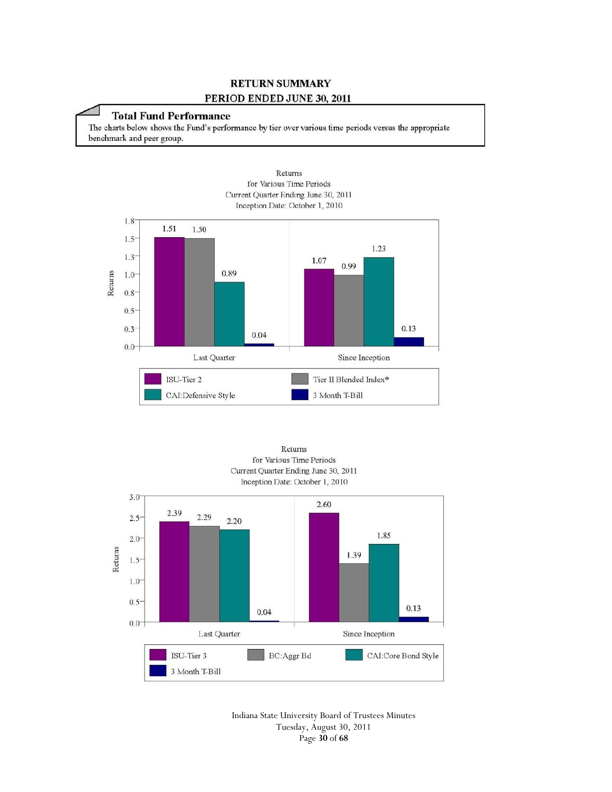# **RETURN SUMMARY**

#### PERIOD ENDED JUNE 30, 2011

### **Total Fund Performance**

The charts below shows the Fund's performance by tier over various time periods versus the appropriate benchmark and peer group.









Indiana State University Board of Trustees Minutes Tuesday, August 30, 2011 Page **30** of **68**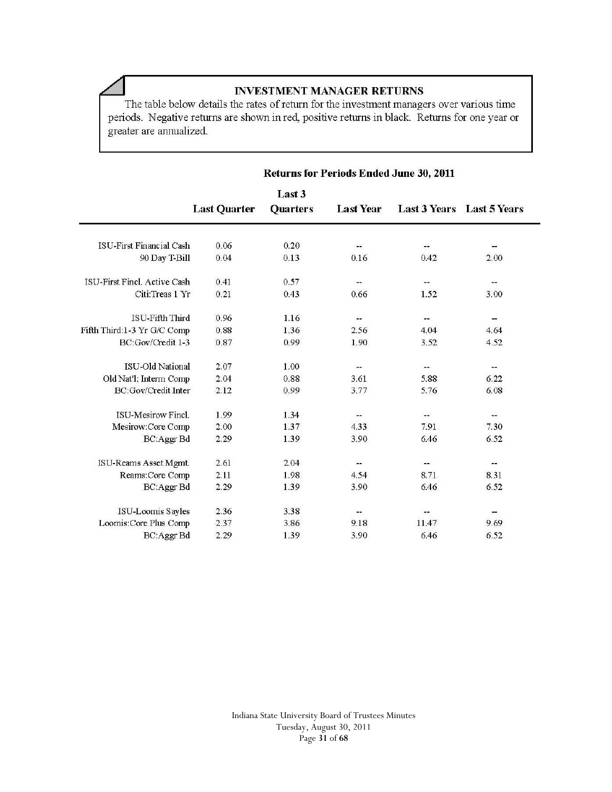# **INVESTMENT MANAGER RETURNS**

The table below details the rates of return for the investment managers over various time periods. Negative returns are shown in red, positive returns in black. Returns for one year or greater are annualized.

 $\overline{\phantom{0}}$ 

|                              | <b>Returns for Periods Ended June 30, 2011</b> |                           |                              |                              |                           |
|------------------------------|------------------------------------------------|---------------------------|------------------------------|------------------------------|---------------------------|
|                              | <b>Last Quarter</b>                            | Last 3<br><b>Quarters</b> | Last Year                    |                              | Last 3 Years Last 5 Years |
| ISU-First Financial Cash     | 0.06                                           | 0.20                      | $\qquad \qquad \blacksquare$ | --                           | --                        |
| 90 Day T-Bill                | 0.04                                           | 0.13                      | 0.16                         | 0.42                         | 2.00                      |
| ISU-First Fincl. Active Cash | 0.41                                           | 0.57                      | --                           | --                           | --                        |
| Citi:Treas 1 Yr              | 0.21                                           | 0.43                      | 0.66                         | 1.52                         | 3.00                      |
| <b>ISU-Fifth Third</b>       | 0.96                                           | 1.16                      | $-1$                         | $-$                          | --                        |
| Fifth Third:1-3 Yr G/C Comp  | 0.88                                           | 1.36                      | 2.56                         | 4.04                         | 4.64                      |
| BC:Gov/Credit 1-3            | 0.87                                           | 0.99                      | 1.90                         | 3.52                         | 4.52                      |
| <b>ISU-Old National</b>      | 2.07                                           | 1.00                      | --                           | --                           | --                        |
| Old Nat'l: Interm Comp       | 2.04                                           | 0.88                      | 3.61                         | 5.88                         | 6.22                      |
| BC:Gov/Credit Inter          | 2.12                                           | 0.99                      | 3.77                         | 5.76                         | 6.08                      |
| <b>ISU-Mesirow Fincl.</b>    | 1.99                                           | 1.34                      | $- -$                        | $\qquad \qquad \blacksquare$ | --                        |
| Mesirow:Core Comp            | 2.00                                           | 1.37                      | 4.33                         | 7.91                         | 7.30                      |
| BC:Aggr Bd                   | 2.29                                           | 1.39                      | 3.90                         | 6.46                         | 6.52                      |
| ISU-Reams Asset Mgmt.        | 2.61                                           | 2.04                      | --                           | --                           | $- -$                     |
| Reams:Core Comp              | 2.11                                           | 1.98                      | 4.54                         | 8.71                         | 8.31                      |
| BC:Aggr Bd                   | 2.29                                           | 1.39                      | 3.90                         | 6.46                         | 6.52                      |
| ISU-Loomis Sayles            | 2.36                                           | 3.38                      | --                           |                              | --                        |
| Loomis: Core Plus Comp       | 2.37                                           | 3.86                      | 9.18                         | 11.47                        | 9.69                      |
| BC:Aggr Bd                   | 2.29                                           | 1.39                      | 3.90                         | 6.46                         | 6.52                      |

Indiana State University Board of Trustees Minutes Tuesday, August 30, 2011 Page **31** of **68**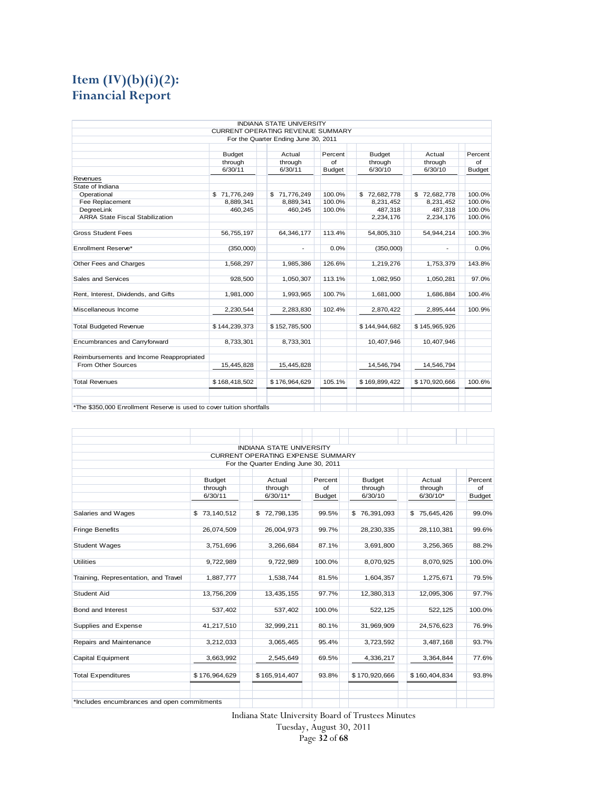# **Item (IV)(b)(i)(2): Financial Report**

|                                                                       |               | <b>INDIANA STATE UNIVERSITY</b>          |               |               |               |               |
|-----------------------------------------------------------------------|---------------|------------------------------------------|---------------|---------------|---------------|---------------|
|                                                                       |               | <b>CURRENT OPERATING REVENUE SUMMARY</b> |               |               |               |               |
|                                                                       |               | For the Quarter Ending June 30, 2011     |               |               |               |               |
|                                                                       | <b>Budget</b> | Actual                                   | Percent       | <b>Budget</b> | Actual        | Percent       |
|                                                                       | through       | through                                  | of            | through       | through       | of            |
|                                                                       | 6/30/11       | 6/30/11                                  | <b>Budget</b> | 6/30/10       | 6/30/10       | <b>Budget</b> |
| Revenues                                                              |               |                                          |               |               |               |               |
| State of Indiana                                                      |               |                                          |               |               |               |               |
| Operational                                                           | \$71,776,249  | \$71,776,249                             | 100.0%        | \$72,682,778  | \$72,682,778  | 100.0%        |
| Fee Replacement                                                       | 8,889,341     | 8,889,341                                | 100.0%        | 8,231,452     | 8,231,452     | 100.0%        |
| DegreeLink                                                            | 460,245       | 460,245                                  | 100.0%        | 487,318       | 487,318       | 100.0%        |
| <b>ARRA State Fiscal Stabilization</b>                                |               |                                          |               | 2,234,176     | 2,234,176     | 100.0%        |
| <b>Gross Student Fees</b>                                             | 56,755,197    | 64,346,177                               | 113.4%        | 54,805,310    | 54,944,214    | 100.3%        |
| Enrollment Reserve*                                                   | (350,000)     | $\overline{\phantom{a}}$                 | 0.0%          | (350,000)     |               | 0.0%          |
| Other Fees and Charges                                                | 1,568,297     | 1,985,386                                | 126.6%        | 1,219,276     | 1,753,379     | 143.8%        |
| Sales and Services                                                    | 928,500       | 1,050,307                                | 113.1%        | 1,082,950     | 1,050,281     | 97.0%         |
| Rent, Interest, Dividends, and Gifts                                  | 1,981,000     | 1,993,965                                | 100.7%        | 1,681,000     | 1,686,884     | 100.4%        |
| Miscellaneous Income                                                  | 2,230,544     | 2,283,830                                | 102.4%        | 2,870,422     | 2,895,444     | 100.9%        |
| <b>Total Budgeted Revenue</b>                                         | \$144,239,373 | \$152,785,500                            |               | \$144,944,682 | \$145,965,926 |               |
| Encumbrances and Carryforward                                         | 8,733,301     | 8,733,301                                |               | 10,407,946    | 10.407.946    |               |
| Reimbursements and Income Reappropriated                              |               |                                          |               |               |               |               |
| From Other Sources                                                    | 15,445,828    | 15,445,828                               |               | 14,546,794    | 14,546,794    |               |
| <b>Total Revenues</b>                                                 | \$168,418,502 | \$176,964,629                            | 105.1%        | \$169,899,422 | \$170,920,666 | 100.6%        |
| *The \$350,000 Enrollment Reserve is used to cover tuition shortfalls |               |                                          |               |               |               |               |

|                                             |               | <b>INDIANA STATE UNIVERSITY</b>          |               |               |                  |               |
|---------------------------------------------|---------------|------------------------------------------|---------------|---------------|------------------|---------------|
|                                             |               | <b>CURRENT OPERATING EXPENSE SUMMARY</b> |               |               |                  |               |
|                                             |               | For the Quarter Ending June 30, 2011     |               |               |                  |               |
|                                             | <b>Budget</b> | Actual                                   | Percent       | <b>Budget</b> | Actual           | Percent       |
|                                             | through       | through                                  | $\sigma$      | through       | through          | $\sigma$ f    |
|                                             | 6/30/11       | $6/30/11$ *                              | <b>Budget</b> | 6/30/10       | $6/30/10*$       | <b>Budget</b> |
| Salaries and Wages                          | \$73,140,512  | \$72,798,135                             | 99.5%         | \$76,391,093  | 75,645,426<br>\$ | 99.0%         |
| <b>Fringe Benefits</b>                      | 26,074,509    | 26,004,973                               | 99.7%         | 28,230,335    | 28,110,381       | 99.6%         |
| <b>Student Wages</b>                        | 3,751,696     | 3,266,684                                | 87.1%         | 3,691,800     | 3,256,365        | 88.2%         |
| <b>Utilities</b>                            | 9,722,989     | 9,722,989                                | 100.0%        | 8,070,925     | 8,070,925        | 100.0%        |
| Training, Representation, and Travel        | 1,887,777     | 1,538,744                                | 81.5%         | 1,604,357     | 1,275,671        | 79.5%         |
| Student Aid                                 | 13,756,209    | 13,435,155                               | 97.7%         | 12,380,313    | 12,095,306       | 97.7%         |
| Bond and Interest                           | 537,402       | 537,402                                  | 100.0%        | 522,125       | 522,125          | 100.0%        |
| Supplies and Expense                        | 41,217,510    | 32,999,211                               | 80.1%         | 31,969,909    | 24,576,623       | 76.9%         |
| Repairs and Maintenance                     | 3,212,033     | 3,065,465                                | 95.4%         | 3,723,592     | 3,487,168        | 93.7%         |
| <b>Capital Equipment</b>                    | 3,663,992     | 2,545,649                                | 69.5%         | 4,336,217     | 3,364,844        | 77.6%         |
| <b>Total Expenditures</b>                   | \$176,964,629 | \$165,914,407                            | 93.8%         | \$170,920,666 | \$160,404,834    | 93.8%         |
| *Includes encumbrances and open commitments |               |                                          |               |               |                  |               |

Indiana State University Board of Trustees Minutes

Tuesday, August 30, 2011

Page **32** of **68**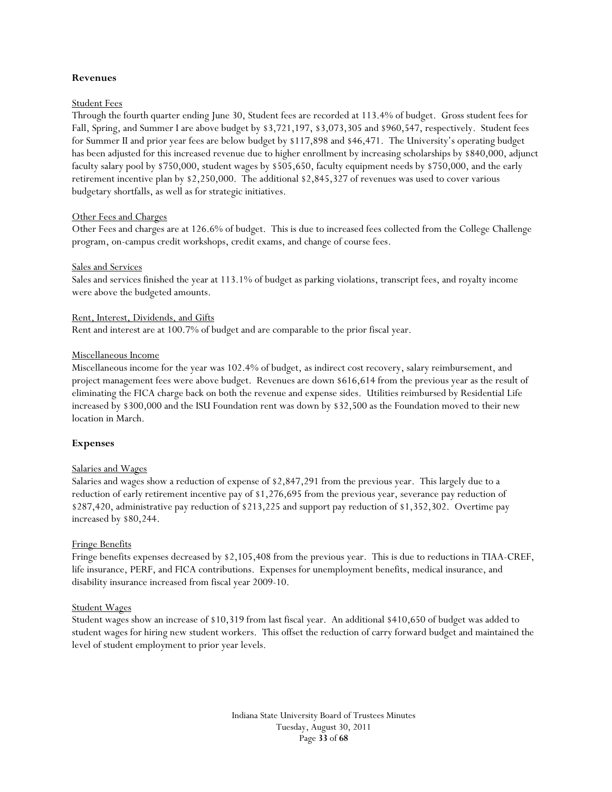#### **Revenues**

#### Student Fees

Through the fourth quarter ending June 30, Student fees are recorded at 113.4% of budget. Gross student fees for Fall, Spring, and Summer I are above budget by \$3,721,197, \$3,073,305 and \$960,547, respectively. Student fees for Summer II and prior year fees are below budget by \$117,898 and \$46,471. The University's operating budget has been adjusted for this increased revenue due to higher enrollment by increasing scholarships by \$840,000, adjunct faculty salary pool by \$750,000, student wages by \$505,650, faculty equipment needs by \$750,000, and the early retirement incentive plan by \$2,250,000. The additional \$2,845,327 of revenues was used to cover various budgetary shortfalls, as well as for strategic initiatives.

#### Other Fees and Charges

Other Fees and charges are at 126.6% of budget. This is due to increased fees collected from the College Challenge program, on-campus credit workshops, credit exams, and change of course fees.

#### Sales and Services

Sales and services finished the year at 113.1% of budget as parking violations, transcript fees, and royalty income were above the budgeted amounts.

#### Rent, Interest, Dividends, and Gifts

Rent and interest are at 100.7% of budget and are comparable to the prior fiscal year.

#### Miscellaneous Income

Miscellaneous income for the year was 102.4% of budget, as indirect cost recovery, salary reimbursement, and project management fees were above budget. Revenues are down \$616,614 from the previous year as the result of eliminating the FICA charge back on both the revenue and expense sides. Utilities reimbursed by Residential Life increased by \$300,000 and the ISU Foundation rent was down by \$32,500 as the Foundation moved to their new location in March.

#### **Expenses**

#### Salaries and Wages

Salaries and wages show a reduction of expense of \$2,847,291 from the previous year. This largely due to a reduction of early retirement incentive pay of \$1,276,695 from the previous year, severance pay reduction of \$287,420, administrative pay reduction of \$213,225 and support pay reduction of \$1,352,302. Overtime pay increased by \$80,244.

#### Fringe Benefits

Fringe benefits expenses decreased by \$2,105,408 from the previous year. This is due to reductions in TIAA-CREF, life insurance, PERF, and FICA contributions. Expenses for unemployment benefits, medical insurance, and disability insurance increased from fiscal year 2009-10.

#### Student Wages

Student wages show an increase of \$10,319 from last fiscal year. An additional \$410,650 of budget was added to student wages for hiring new student workers. This offset the reduction of carry forward budget and maintained the level of student employment to prior year levels.

> Indiana State University Board of Trustees Minutes Tuesday, August 30, 2011 Page **33** of **68**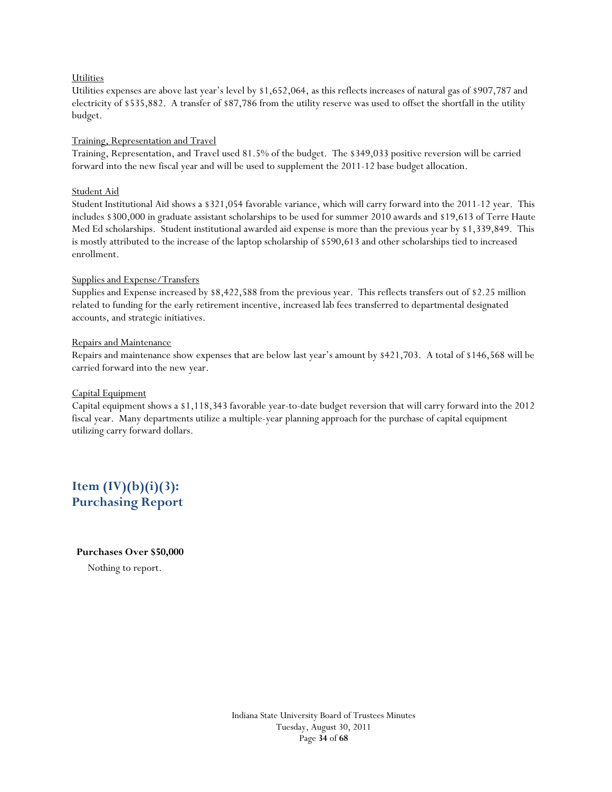#### **Utilities**

Utilities expenses are above last year's level by \$1,652,064, as this reflects increases of natural gas of \$907,787 and electricity of \$535,882. A transfer of \$87,786 from the utility reserve was used to offset the shortfall in the utility budget.

#### Training, Representation and Travel

Training, Representation, and Travel used 81.5% of the budget. The \$349,033 positive reversion will be carried forward into the new fiscal year and will be used to supplement the 2011-12 base budget allocation.

#### Student Aid

Student Institutional Aid shows a \$321,054 favorable variance, which will carry forward into the 2011-12 year. This includes \$300,000 in graduate assistant scholarships to be used for summer 2010 awards and \$19,613 of Terre Haute Med Ed scholarships. Student institutional awarded aid expense is more than the previous year by \$1,339,849. This is mostly attributed to the increase of the laptop scholarship of \$590,613 and other scholarships tied to increased enrollment.

#### Supplies and Expense/Transfers

Supplies and Expense increased by \$8,422,588 from the previous year. This reflects transfers out of \$2.25 million related to funding for the early retirement incentive, increased lab fees transferred to departmental designated accounts, and strategic initiatives.

#### Repairs and Maintenance

Repairs and maintenance show expenses that are below last year's amount by \$421,703. A total of \$146,568 will be carried forward into the new year.

#### Capital Equipment

Capital equipment shows a \$1,118,343 favorable year-to-date budget reversion that will carry forward into the 2012 fiscal year. Many departments utilize a multiple-year planning approach for the purchase of capital equipment utilizing carry forward dollars.

**Item (IV)(b)(i)(3): Purchasing Report** 

#### **Purchases Over \$50,000**

Nothing to report.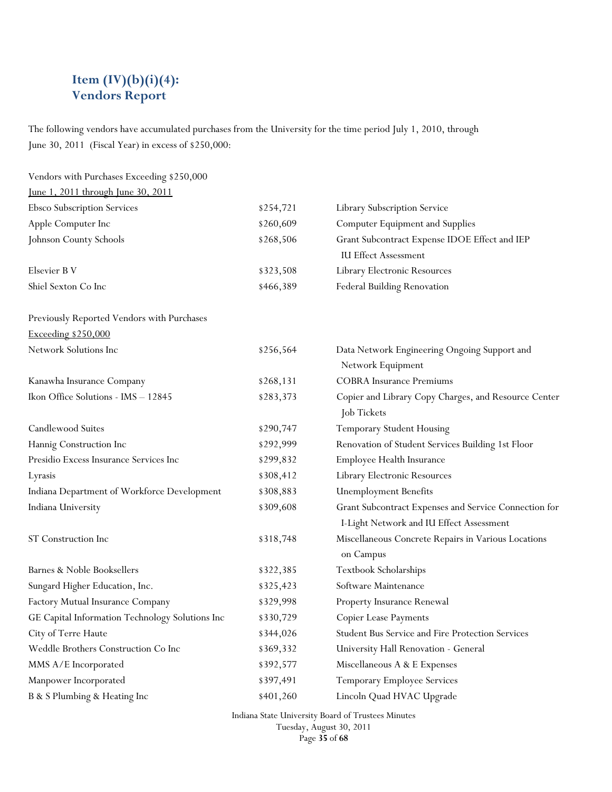# **Item (IV)(b)(i)(4): Vendors Report**

The following vendors have accumulated purchases from the University for the time period July 1, 2010, through June 30, 2011 (Fiscal Year) in excess of \$250,000:

| Vendors with Purchases Exceeding \$250,000      |           |                                                                                                   |
|-------------------------------------------------|-----------|---------------------------------------------------------------------------------------------------|
| <u>June 1, 2011 through June 30, 2011</u>       |           |                                                                                                   |
| Ebsco Subscription Services                     | \$254,721 | Library Subscription Service                                                                      |
| Apple Computer Inc                              | \$260,609 | <b>Computer Equipment and Supplies</b>                                                            |
| Johnson County Schools                          | \$268,506 | Grant Subcontract Expense IDOE Effect and IEP                                                     |
|                                                 |           | <b>IU Effect Assessment</b>                                                                       |
| Elsevier B V                                    | \$323,508 | Library Electronic Resources                                                                      |
| Shiel Sexton Co Inc                             | \$466,389 | Federal Building Renovation                                                                       |
| Previously Reported Vendors with Purchases      |           |                                                                                                   |
| Exceeding \$250,000                             |           |                                                                                                   |
| Network Solutions Inc                           | \$256,564 | Data Network Engineering Ongoing Support and<br>Network Equipment                                 |
| Kanawha Insurance Company                       | \$268,131 | <b>COBRA</b> Insurance Premiums                                                                   |
| Ikon Office Solutions - IMS - 12845             | \$283,373 | Copier and Library Copy Charges, and Resource Center<br>Job Tickets                               |
| Candlewood Suites                               | \$290,747 | Temporary Student Housing                                                                         |
| Hannig Construction Inc                         | \$292,999 | Renovation of Student Services Building 1st Floor                                                 |
| Presidio Excess Insurance Services Inc          | \$299,832 | Employee Health Insurance                                                                         |
| Lyrasis                                         | \$308,412 | Library Electronic Resources                                                                      |
| Indiana Department of Workforce Development     | \$308,883 | <b>Unemployment Benefits</b>                                                                      |
| Indiana University                              | \$309,608 | Grant Subcontract Expenses and Service Connection for<br>I-Light Network and IU Effect Assessment |
| ST Construction Inc                             | \$318,748 | Miscellaneous Concrete Repairs in Various Locations<br>on Campus                                  |
| Barnes & Noble Booksellers                      | \$322,385 | Textbook Scholarships                                                                             |
| Sungard Higher Education, Inc.                  | \$325,423 | Software Maintenance                                                                              |
| Factory Mutual Insurance Company                | \$329,998 | Property Insurance Renewal                                                                        |
| GE Capital Information Technology Solutions Inc | \$330,729 | Copier Lease Payments                                                                             |
| City of Terre Haute                             | \$344,026 | Student Bus Service and Fire Protection Services                                                  |
| Weddle Brothers Construction Co Inc             | \$369,332 | University Hall Renovation - General                                                              |
| MMS A/E Incorporated                            | \$392,577 | Miscellaneous A & E Expenses                                                                      |
| Manpower Incorporated                           | \$397,491 | Temporary Employee Services                                                                       |
| B & S Plumbing & Heating Inc                    | \$401,260 | Lincoln Quad HVAC Upgrade                                                                         |

Indiana State University Board of Trustees Minutes

Tuesday, August 30, 2011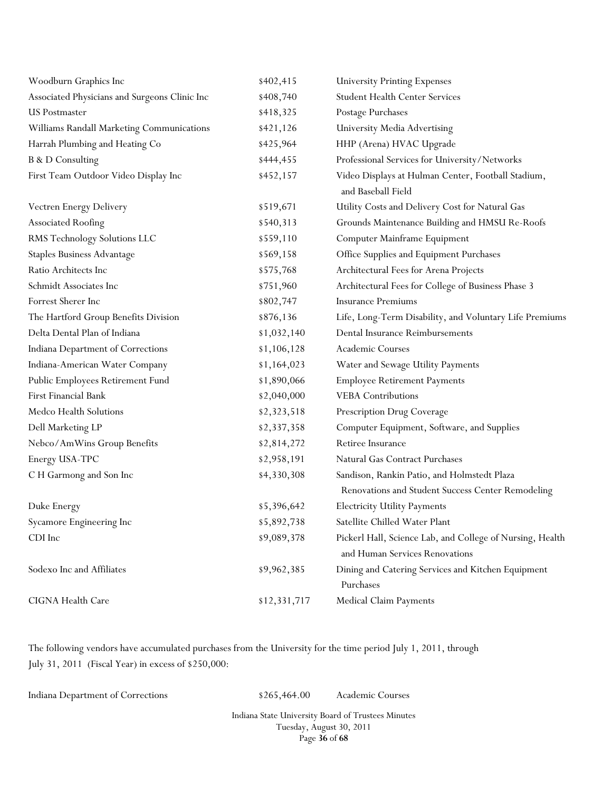| Woodburn Graphics Inc                         | \$402,415    | <b>University Printing Expenses</b>                                                         |
|-----------------------------------------------|--------------|---------------------------------------------------------------------------------------------|
| Associated Physicians and Surgeons Clinic Inc | \$408,740    | <b>Student Health Center Services</b>                                                       |
| <b>US Postmaster</b>                          | \$418,325    | Postage Purchases                                                                           |
| Williams Randall Marketing Communications     | \$421,126    | University Media Advertising                                                                |
| Harrah Plumbing and Heating Co                | \$425,964    | HHP (Arena) HVAC Upgrade                                                                    |
| <b>B</b> & D Consulting                       | \$444,455    | Professional Services for University/Networks                                               |
| First Team Outdoor Video Display Inc          | \$452,157    | Video Displays at Hulman Center, Football Stadium,<br>and Baseball Field                    |
| Vectren Energy Delivery                       | \$519,671    | Utility Costs and Delivery Cost for Natural Gas                                             |
| <b>Associated Roofing</b>                     | \$540,313    | Grounds Maintenance Building and HMSU Re-Roofs                                              |
| RMS Technology Solutions LLC                  | \$559,110    | Computer Mainframe Equipment                                                                |
| <b>Staples Business Advantage</b>             | \$569,158    | Office Supplies and Equipment Purchases                                                     |
| Ratio Architects Inc                          | \$575,768    | Architectural Fees for Arena Projects                                                       |
| Schmidt Associates Inc                        | \$751,960    | Architectural Fees for College of Business Phase 3                                          |
| Forrest Sherer Inc                            | \$802,747    | <b>Insurance Premiums</b>                                                                   |
| The Hartford Group Benefits Division          | \$876,136    | Life, Long-Term Disability, and Voluntary Life Premiums                                     |
| Delta Dental Plan of Indiana                  | \$1,032,140  | Dental Insurance Reimbursements                                                             |
| Indiana Department of Corrections             | \$1,106,128  | Academic Courses                                                                            |
| Indiana-American Water Company                | \$1,164,023  | Water and Sewage Utility Payments                                                           |
| Public Employees Retirement Fund              | \$1,890,066  | <b>Employee Retirement Payments</b>                                                         |
| First Financial Bank                          | \$2,040,000  | <b>VEBA</b> Contributions                                                                   |
| Medco Health Solutions                        | \$2,323,518  | Prescription Drug Coverage                                                                  |
| Dell Marketing LP                             | \$2,337,358  | Computer Equipment, Software, and Supplies                                                  |
| Nebco/AmWins Group Benefits                   | \$2,814,272  | Retiree Insurance                                                                           |
| Energy USA-TPC                                | \$2,958,191  | Natural Gas Contract Purchases                                                              |
| C H Garmong and Son Inc                       | \$4,330,308  | Sandison, Rankin Patio, and Holmstedt Plaza                                                 |
|                                               |              | Renovations and Student Success Center Remodeling                                           |
| Duke Energy                                   | \$5,396,642  | <b>Electricity Utility Payments</b>                                                         |
| Sycamore Engineering Inc                      | \$5,892,738  | Satellite Chilled Water Plant                                                               |
| CDI Inc                                       | \$9,089,378  | Pickerl Hall, Science Lab, and College of Nursing, Health<br>and Human Services Renovations |
| Sodexo Inc and Affiliates                     | \$9,962,385  | Dining and Catering Services and Kitchen Equipment<br>Purchases                             |
| CIGNA Health Care                             | \$12,331,717 | Medical Claim Payments                                                                      |

The following vendors have accumulated purchases from the University for the time period July 1, 2011, through July 31, 2011 (Fiscal Year) in excess of \$250,000:

Indiana Department of Corrections \$265,464.00 Academic Courses

Indiana State University Board of Trustees Minutes Tuesday, August 30, 2011 Page **36** of **68**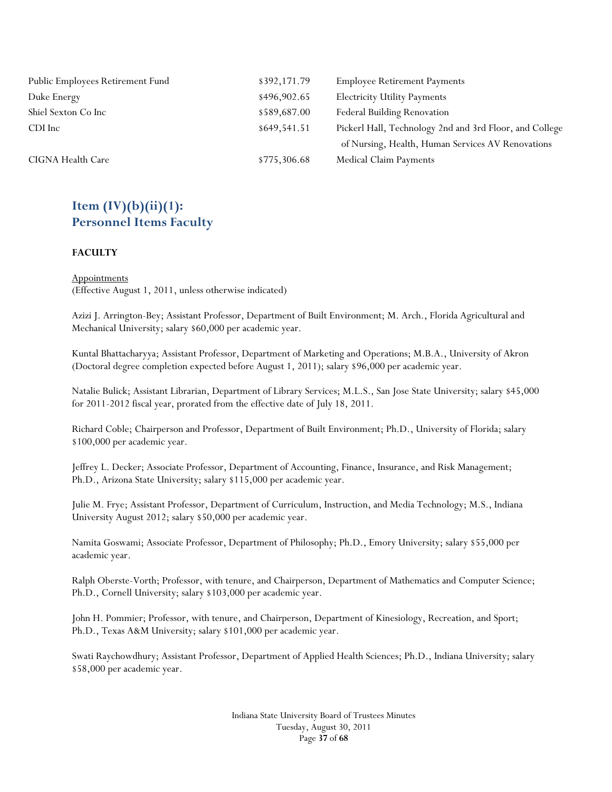| Public Employees Retirement Fund | \$392,171.79 | <b>Employee Retirement Payments</b>                     |
|----------------------------------|--------------|---------------------------------------------------------|
| Duke Energy                      | \$496,902.65 | <b>Electricity Utility Payments</b>                     |
| Shiel Sexton Co Inc              | \$589,687.00 | Federal Building Renovation                             |
| CDI Inc                          | \$649,541.51 | Pickerl Hall, Technology 2nd and 3rd Floor, and College |
|                                  |              | of Nursing, Health, Human Services AV Renovations       |
| CIGNA Health Care                | \$775,306.68 | Medical Claim Payments                                  |

# **Item (IV)(b)(ii)(1): Personnel Items Faculty**

#### **FACULTY**

**Appointments** (Effective August 1, 2011, unless otherwise indicated)

Azizi J. Arrington-Bey; Assistant Professor, Department of Built Environment; M. Arch., Florida Agricultural and Mechanical University; salary \$60,000 per academic year.

Kuntal Bhattacharyya; Assistant Professor, Department of Marketing and Operations; M.B.A., University of Akron (Doctoral degree completion expected before August 1, 2011); salary \$96,000 per academic year.

Natalie Bulick; Assistant Librarian, Department of Library Services; M.L.S., San Jose State University; salary \$45,000 for 2011-2012 fiscal year, prorated from the effective date of July 18, 2011.

Richard Coble; Chairperson and Professor, Department of Built Environment; Ph.D., University of Florida; salary \$100,000 per academic year.

Jeffrey L. Decker; Associate Professor, Department of Accounting, Finance, Insurance, and Risk Management; Ph.D., Arizona State University; salary \$115,000 per academic year.

Julie M. Frye; Assistant Professor, Department of Curriculum, Instruction, and Media Technology; M.S., Indiana University August 2012; salary \$50,000 per academic year.

Namita Goswami; Associate Professor, Department of Philosophy; Ph.D., Emory University; salary \$55,000 per academic year.

Ralph Oberste-Vorth; Professor, with tenure, and Chairperson, Department of Mathematics and Computer Science; Ph.D., Cornell University; salary \$103,000 per academic year.

John H. Pommier; Professor, with tenure, and Chairperson, Department of Kinesiology, Recreation, and Sport; Ph.D., Texas A&M University; salary \$101,000 per academic year.

Swati Raychowdhury; Assistant Professor, Department of Applied Health Sciences; Ph.D., Indiana University; salary \$58,000 per academic year.

> Indiana State University Board of Trustees Minutes Tuesday, August 30, 2011 Page **37** of **68**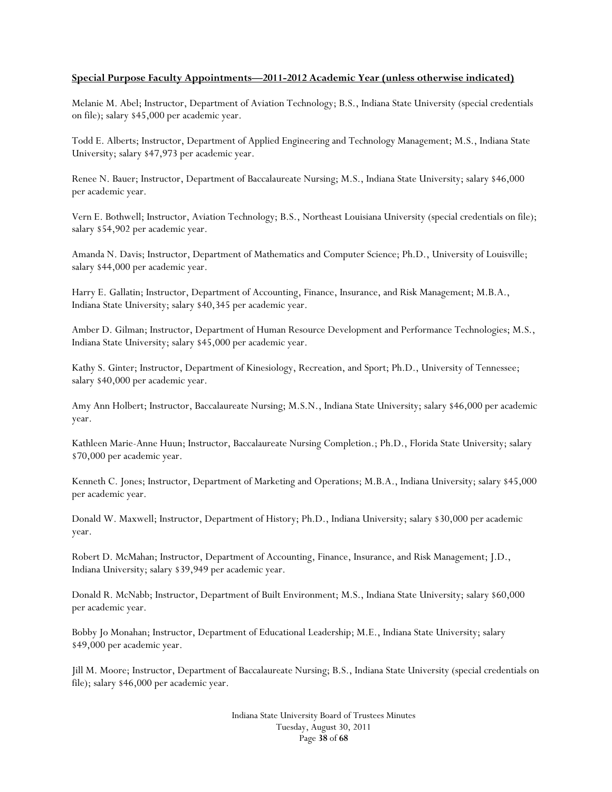#### **Special Purpose Faculty Appointments—2011-2012 Academic Year (unless otherwise indicated)**

Melanie M. Abel; Instructor, Department of Aviation Technology; B.S., Indiana State University (special credentials on file); salary \$45,000 per academic year.

Todd E. Alberts; Instructor, Department of Applied Engineering and Technology Management; M.S., Indiana State University; salary \$47,973 per academic year.

Renee N. Bauer; Instructor, Department of Baccalaureate Nursing; M.S., Indiana State University; salary \$46,000 per academic year.

Vern E. Bothwell; Instructor, Aviation Technology; B.S., Northeast Louisiana University (special credentials on file); salary \$54,902 per academic year.

Amanda N. Davis; Instructor, Department of Mathematics and Computer Science; Ph.D., University of Louisville; salary \$44,000 per academic year.

Harry E. Gallatin; Instructor, Department of Accounting, Finance, Insurance, and Risk Management; M.B.A., Indiana State University; salary \$40,345 per academic year.

Amber D. Gilman; Instructor, Department of Human Resource Development and Performance Technologies; M.S., Indiana State University; salary \$45,000 per academic year.

Kathy S. Ginter; Instructor, Department of Kinesiology, Recreation, and Sport; Ph.D., University of Tennessee; salary \$40,000 per academic year.

Amy Ann Holbert; Instructor, Baccalaureate Nursing; M.S.N., Indiana State University; salary \$46,000 per academic year.

Kathleen Marie-Anne Huun; Instructor, Baccalaureate Nursing Completion.; Ph.D., Florida State University; salary \$70,000 per academic year.

Kenneth C. Jones; Instructor, Department of Marketing and Operations; M.B.A., Indiana University; salary \$45,000 per academic year.

Donald W. Maxwell; Instructor, Department of History; Ph.D., Indiana University; salary \$30,000 per academic year.

Robert D. McMahan; Instructor, Department of Accounting, Finance, Insurance, and Risk Management; J.D., Indiana University; salary \$39,949 per academic year.

Donald R. McNabb; Instructor, Department of Built Environment; M.S., Indiana State University; salary \$60,000 per academic year.

Bobby Jo Monahan; Instructor, Department of Educational Leadership; M.E., Indiana State University; salary \$49,000 per academic year.

Jill M. Moore; Instructor, Department of Baccalaureate Nursing; B.S., Indiana State University (special credentials on file); salary \$46,000 per academic year.

> Indiana State University Board of Trustees Minutes Tuesday, August 30, 2011 Page **38** of **68**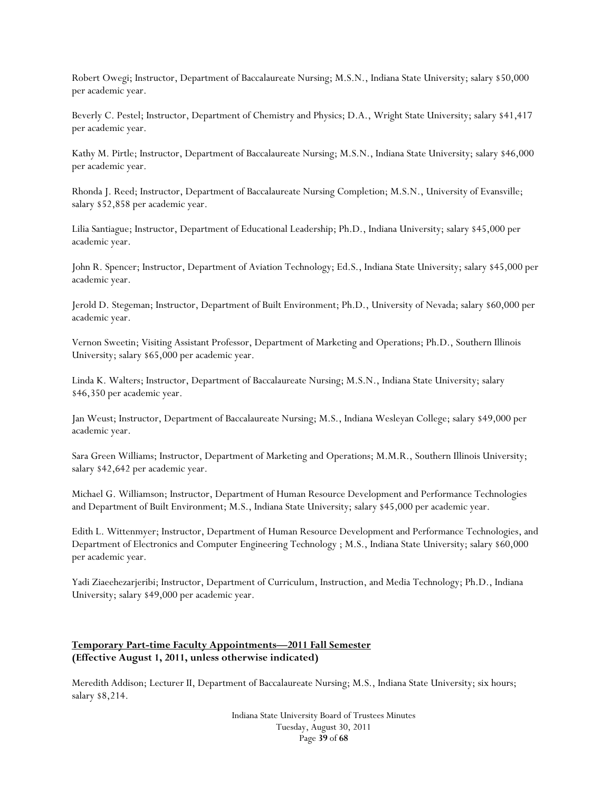Robert Owegi; Instructor, Department of Baccalaureate Nursing; M.S.N., Indiana State University; salary \$50,000 per academic year.

Beverly C. Pestel; Instructor, Department of Chemistry and Physics; D.A., Wright State University; salary \$41,417 per academic year.

Kathy M. Pirtle; Instructor, Department of Baccalaureate Nursing; M.S.N., Indiana State University; salary \$46,000 per academic year.

Rhonda J. Reed; Instructor, Department of Baccalaureate Nursing Completion; M.S.N., University of Evansville; salary \$52,858 per academic year.

Lilia Santiague; Instructor, Department of Educational Leadership; Ph.D., Indiana University; salary \$45,000 per academic year.

John R. Spencer; Instructor, Department of Aviation Technology; Ed.S., Indiana State University; salary \$45,000 per academic year.

Jerold D. Stegeman; Instructor, Department of Built Environment; Ph.D., University of Nevada; salary \$60,000 per academic year.

Vernon Sweetin; Visiting Assistant Professor, Department of Marketing and Operations; Ph.D., Southern Illinois University; salary \$65,000 per academic year.

Linda K. Walters; Instructor, Department of Baccalaureate Nursing; M.S.N., Indiana State University; salary \$46,350 per academic year.

Jan Weust; Instructor, Department of Baccalaureate Nursing; M.S., Indiana Wesleyan College; salary \$49,000 per academic year.

Sara Green Williams; Instructor, Department of Marketing and Operations; M.M.R., Southern Illinois University; salary \$42,642 per academic year.

Michael G. Williamson; Instructor, Department of Human Resource Development and Performance Technologies and Department of Built Environment; M.S., Indiana State University; salary \$45,000 per academic year.

Edith L. Wittenmyer; Instructor, Department of Human Resource Development and Performance Technologies, and Department of Electronics and Computer Engineering Technology ; M.S., Indiana State University; salary \$60,000 per academic year.

Yadi Ziaeehezarjeribi; Instructor, Department of Curriculum, Instruction, and Media Technology; Ph.D., Indiana University; salary \$49,000 per academic year.

### **Temporary Part-time Faculty Appointments—2011 Fall Semester (Effective August 1, 2011, unless otherwise indicated)**

Meredith Addison; Lecturer II, Department of Baccalaureate Nursing; M.S., Indiana State University; six hours; salary \$8,214.

> Indiana State University Board of Trustees Minutes Tuesday, August 30, 2011 Page **39** of **68**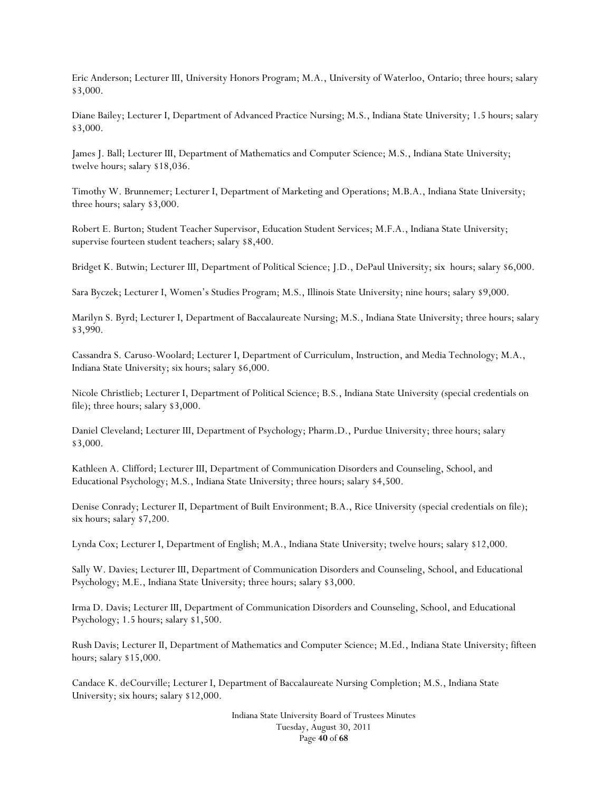Eric Anderson; Lecturer III, University Honors Program; M.A., University of Waterloo, Ontario; three hours; salary \$3,000.

Diane Bailey; Lecturer I, Department of Advanced Practice Nursing; M.S., Indiana State University; 1.5 hours; salary \$3,000.

James J. Ball; Lecturer III, Department of Mathematics and Computer Science; M.S., Indiana State University; twelve hours; salary \$18,036.

Timothy W. Brunnemer; Lecturer I, Department of Marketing and Operations; M.B.A., Indiana State University; three hours; salary \$3,000.

Robert E. Burton; Student Teacher Supervisor, Education Student Services; M.F.A., Indiana State University; supervise fourteen student teachers; salary \$8,400.

Bridget K. Butwin; Lecturer III, Department of Political Science; J.D., DePaul University; six hours; salary \$6,000.

Sara Byczek; Lecturer I, Women's Studies Program; M.S., Illinois State University; nine hours; salary \$9,000.

Marilyn S. Byrd; Lecturer I, Department of Baccalaureate Nursing; M.S., Indiana State University; three hours; salary \$3,990.

Cassandra S. Caruso-Woolard; Lecturer I, Department of Curriculum, Instruction, and Media Technology; M.A., Indiana State University; six hours; salary \$6,000.

Nicole Christlieb; Lecturer I, Department of Political Science; B.S., Indiana State University (special credentials on file); three hours; salary \$3,000.

Daniel Cleveland; Lecturer III, Department of Psychology; Pharm.D., Purdue University; three hours; salary \$3,000.

Kathleen A. Clifford; Lecturer III, Department of Communication Disorders and Counseling, School, and Educational Psychology; M.S., Indiana State University; three hours; salary \$4,500.

Denise Conrady; Lecturer II, Department of Built Environment; B.A., Rice University (special credentials on file); six hours; salary \$7,200.

Lynda Cox; Lecturer I, Department of English; M.A., Indiana State University; twelve hours; salary \$12,000.

Sally W. Davies; Lecturer III, Department of Communication Disorders and Counseling, School, and Educational Psychology; M.E., Indiana State University; three hours; salary \$3,000.

Irma D. Davis; Lecturer III, Department of Communication Disorders and Counseling, School, and Educational Psychology; 1.5 hours; salary \$1,500.

Rush Davis; Lecturer II, Department of Mathematics and Computer Science; M.Ed., Indiana State University; fifteen hours; salary \$15,000.

Candace K. deCourville; Lecturer I, Department of Baccalaureate Nursing Completion; M.S., Indiana State University; six hours; salary \$12,000.

> Indiana State University Board of Trustees Minutes Tuesday, August 30, 2011 Page **40** of **68**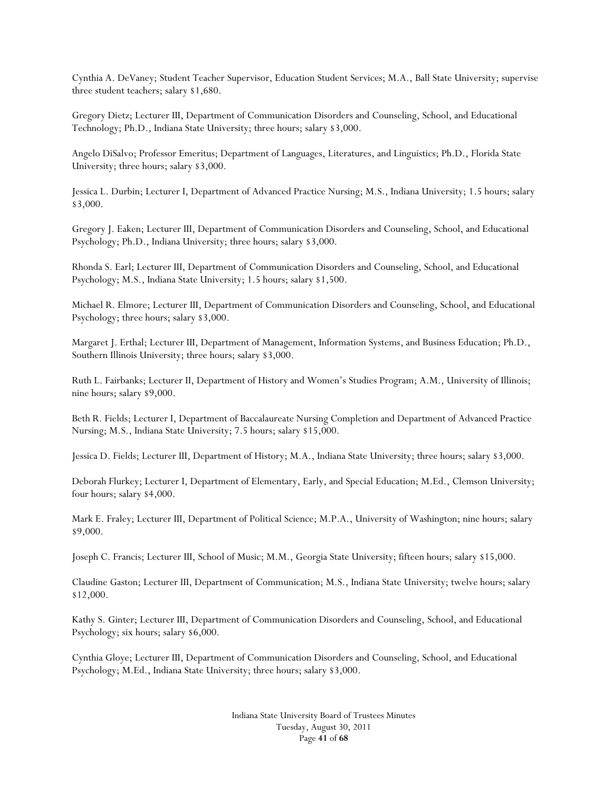Cynthia A. DeVaney; Student Teacher Supervisor, Education Student Services; M.A., Ball State University; supervise three student teachers; salary \$1,680.

Gregory Dietz; Lecturer III, Department of Communication Disorders and Counseling, School, and Educational Technology; Ph.D., Indiana State University; three hours; salary \$3,000.

Angelo DiSalvo; Professor Emeritus; Department of Languages, Literatures, and Linguistics; Ph.D., Florida State University; three hours; salary \$3,000.

Jessica L. Durbin; Lecturer I, Department of Advanced Practice Nursing; M.S., Indiana University; 1.5 hours; salary \$3,000.

Gregory J. Eaken; Lecturer III, Department of Communication Disorders and Counseling, School, and Educational Psychology; Ph.D., Indiana University; three hours; salary \$3,000.

Rhonda S. Earl; Lecturer III, Department of Communication Disorders and Counseling, School, and Educational Psychology; M.S., Indiana State University; 1.5 hours; salary \$1,500.

Michael R. Elmore; Lecturer III, Department of Communication Disorders and Counseling, School, and Educational Psychology; three hours; salary \$3,000.

Margaret J. Erthal; Lecturer III, Department of Management, Information Systems, and Business Education; Ph.D., Southern Illinois University; three hours; salary \$3,000.

Ruth L. Fairbanks; Lecturer II, Department of History and Women's Studies Program; A.M., University of Illinois; nine hours; salary \$9,000.

Beth R. Fields; Lecturer I, Department of Baccalaureate Nursing Completion and Department of Advanced Practice Nursing; M.S., Indiana State University; 7.5 hours; salary \$15,000.

Jessica D. Fields; Lecturer III, Department of History; M.A., Indiana State University; three hours; salary \$3,000.

Deborah Flurkey; Lecturer I, Department of Elementary, Early, and Special Education; M.Ed., Clemson University; four hours; salary \$4,000.

Mark E. Fraley; Lecturer III, Department of Political Science; M.P.A., University of Washington; nine hours; salary \$9,000.

Joseph C. Francis; Lecturer III, School of Music; M.M., Georgia State University; fifteen hours; salary \$15,000.

Claudine Gaston; Lecturer III, Department of Communication; M.S., Indiana State University; twelve hours; salary \$12,000.

Kathy S. Ginter; Lecturer III, Department of Communication Disorders and Counseling, School, and Educational Psychology; six hours; salary \$6,000.

Cynthia Gloye; Lecturer III, Department of Communication Disorders and Counseling, School, and Educational Psychology; M.Ed., Indiana State University; three hours; salary \$3,000.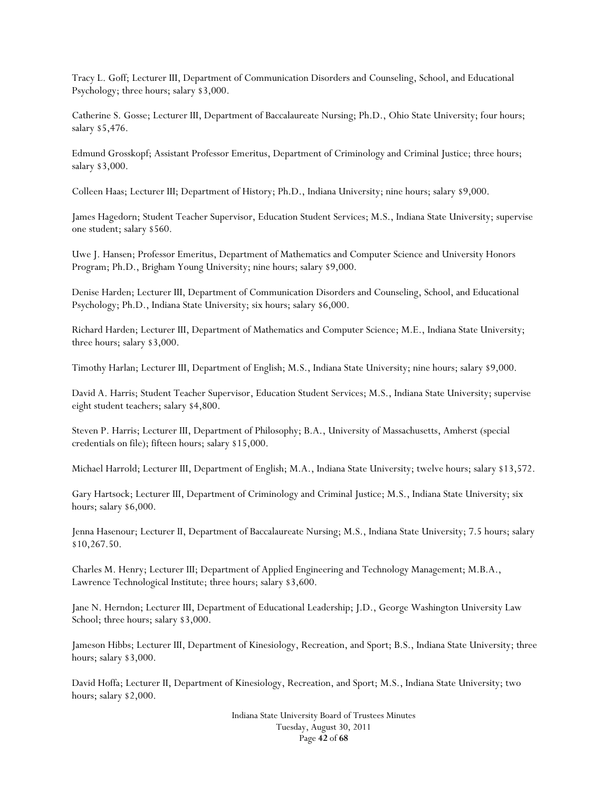Tracy L. Goff; Lecturer III, Department of Communication Disorders and Counseling, School, and Educational Psychology; three hours; salary \$3,000.

Catherine S. Gosse; Lecturer III, Department of Baccalaureate Nursing; Ph.D., Ohio State University; four hours; salary \$5,476.

Edmund Grosskopf; Assistant Professor Emeritus, Department of Criminology and Criminal Justice; three hours; salary \$3,000.

Colleen Haas; Lecturer III; Department of History; Ph.D., Indiana University; nine hours; salary \$9,000.

James Hagedorn; Student Teacher Supervisor, Education Student Services; M.S., Indiana State University; supervise one student; salary \$560.

Uwe J. Hansen; Professor Emeritus, Department of Mathematics and Computer Science and University Honors Program; Ph.D., Brigham Young University; nine hours; salary \$9,000.

Denise Harden; Lecturer III, Department of Communication Disorders and Counseling, School, and Educational Psychology; Ph.D., Indiana State University; six hours; salary \$6,000.

Richard Harden; Lecturer III, Department of Mathematics and Computer Science; M.E., Indiana State University; three hours; salary \$3,000.

Timothy Harlan; Lecturer III, Department of English; M.S., Indiana State University; nine hours; salary \$9,000.

David A. Harris; Student Teacher Supervisor, Education Student Services; M.S., Indiana State University; supervise eight student teachers; salary \$4,800.

Steven P. Harris; Lecturer III, Department of Philosophy; B.A., University of Massachusetts, Amherst (special credentials on file); fifteen hours; salary \$15,000.

Michael Harrold; Lecturer III, Department of English; M.A., Indiana State University; twelve hours; salary \$13,572.

Gary Hartsock; Lecturer III, Department of Criminology and Criminal Justice; M.S., Indiana State University; six hours; salary \$6,000.

Jenna Hasenour; Lecturer II, Department of Baccalaureate Nursing; M.S., Indiana State University; 7.5 hours; salary \$10,267.50.

Charles M. Henry; Lecturer III; Department of Applied Engineering and Technology Management; M.B.A., Lawrence Technological Institute; three hours; salary \$3,600.

Jane N. Herndon; Lecturer III, Department of Educational Leadership; J.D., George Washington University Law School; three hours; salary \$3,000.

Jameson Hibbs; Lecturer III, Department of Kinesiology, Recreation, and Sport; B.S., Indiana State University; three hours; salary \$3,000.

David Hoffa; Lecturer II, Department of Kinesiology, Recreation, and Sport; M.S., Indiana State University; two hours; salary \$2,000.

> Indiana State University Board of Trustees Minutes Tuesday, August 30, 2011 Page **42** of **68**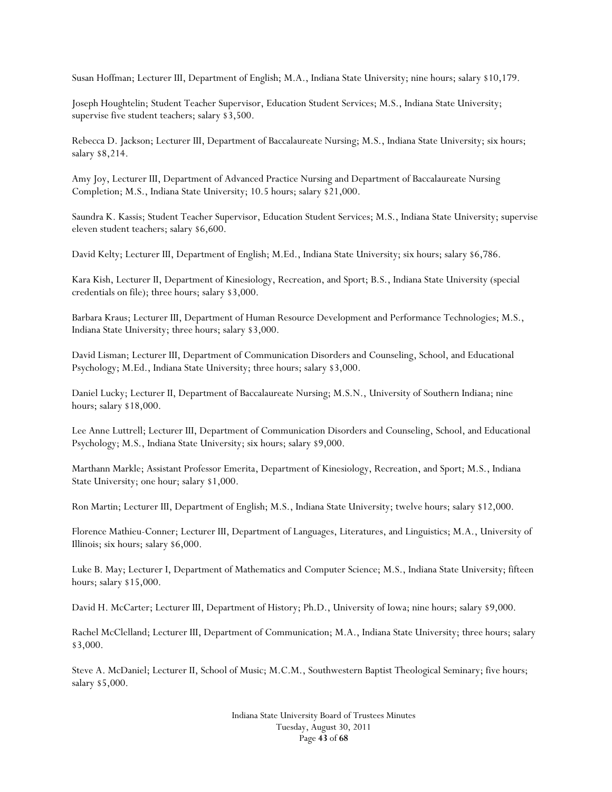Susan Hoffman; Lecturer III, Department of English; M.A., Indiana State University; nine hours; salary \$10,179.

Joseph Houghtelin; Student Teacher Supervisor, Education Student Services; M.S., Indiana State University; supervise five student teachers; salary \$3,500.

Rebecca D. Jackson; Lecturer III, Department of Baccalaureate Nursing; M.S., Indiana State University; six hours; salary \$8,214.

Amy Joy, Lecturer III, Department of Advanced Practice Nursing and Department of Baccalaureate Nursing Completion; M.S., Indiana State University; 10.5 hours; salary \$21,000.

Saundra K. Kassis; Student Teacher Supervisor, Education Student Services; M.S., Indiana State University; supervise eleven student teachers; salary \$6,600.

David Kelty; Lecturer III, Department of English; M.Ed., Indiana State University; six hours; salary \$6,786.

Kara Kish, Lecturer II, Department of Kinesiology, Recreation, and Sport; B.S., Indiana State University (special credentials on file); three hours; salary \$3,000.

Barbara Kraus; Lecturer III, Department of Human Resource Development and Performance Technologies; M.S., Indiana State University; three hours; salary \$3,000.

David Lisman; Lecturer III, Department of Communication Disorders and Counseling, School, and Educational Psychology; M.Ed., Indiana State University; three hours; salary \$3,000.

Daniel Lucky; Lecturer II, Department of Baccalaureate Nursing; M.S.N., University of Southern Indiana; nine hours; salary \$18,000.

Lee Anne Luttrell; Lecturer III, Department of Communication Disorders and Counseling, School, and Educational Psychology; M.S., Indiana State University; six hours; salary \$9,000.

Marthann Markle; Assistant Professor Emerita, Department of Kinesiology, Recreation, and Sport; M.S., Indiana State University; one hour; salary \$1,000.

Ron Martin; Lecturer III, Department of English; M.S., Indiana State University; twelve hours; salary \$12,000.

Florence Mathieu-Conner; Lecturer III, Department of Languages, Literatures, and Linguistics; M.A., University of Illinois; six hours; salary \$6,000.

Luke B. May; Lecturer I, Department of Mathematics and Computer Science; M.S., Indiana State University; fifteen hours; salary \$15,000.

David H. McCarter; Lecturer III, Department of History; Ph.D., University of Iowa; nine hours; salary \$9,000.

Rachel McClelland; Lecturer III, Department of Communication; M.A., Indiana State University; three hours; salary \$3,000.

Steve A. McDaniel; Lecturer II, School of Music; M.C.M., Southwestern Baptist Theological Seminary; five hours; salary \$5,000.

> Indiana State University Board of Trustees Minutes Tuesday, August 30, 2011 Page **43** of **68**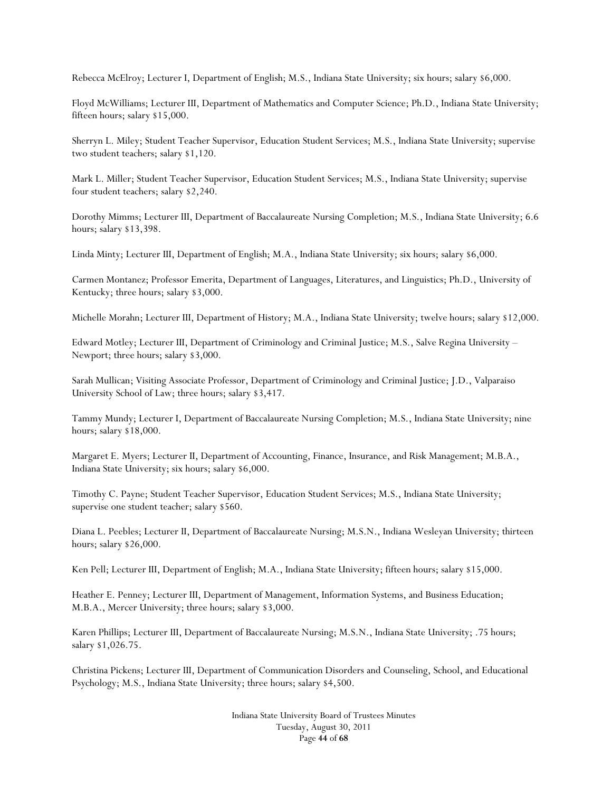Rebecca McElroy; Lecturer I, Department of English; M.S., Indiana State University; six hours; salary \$6,000.

Floyd McWilliams; Lecturer III, Department of Mathematics and Computer Science; Ph.D., Indiana State University; fifteen hours; salary \$15,000.

Sherryn L. Miley; Student Teacher Supervisor, Education Student Services; M.S., Indiana State University; supervise two student teachers; salary \$1,120.

Mark L. Miller; Student Teacher Supervisor, Education Student Services; M.S., Indiana State University; supervise four student teachers; salary \$2,240.

Dorothy Mimms; Lecturer III, Department of Baccalaureate Nursing Completion; M.S., Indiana State University; 6.6 hours; salary \$13,398.

Linda Minty; Lecturer III, Department of English; M.A., Indiana State University; six hours; salary \$6,000.

Carmen Montanez; Professor Emerita, Department of Languages, Literatures, and Linguistics; Ph.D., University of Kentucky; three hours; salary \$3,000.

Michelle Morahn; Lecturer III, Department of History; M.A., Indiana State University; twelve hours; salary \$12,000.

Edward Motley; Lecturer III, Department of Criminology and Criminal Justice; M.S., Salve Regina University – Newport; three hours; salary \$3,000.

Sarah Mullican; Visiting Associate Professor, Department of Criminology and Criminal Justice; J.D., Valparaiso University School of Law; three hours; salary \$3,417.

Tammy Mundy; Lecturer I, Department of Baccalaureate Nursing Completion; M.S., Indiana State University; nine hours; salary \$18,000.

Margaret E. Myers; Lecturer II, Department of Accounting, Finance, Insurance, and Risk Management; M.B.A., Indiana State University; six hours; salary \$6,000.

Timothy C. Payne; Student Teacher Supervisor, Education Student Services; M.S., Indiana State University; supervise one student teacher; salary \$560.

Diana L. Peebles; Lecturer II, Department of Baccalaureate Nursing; M.S.N., Indiana Wesleyan University; thirteen hours; salary \$26,000.

Ken Pell; Lecturer III, Department of English; M.A., Indiana State University; fifteen hours; salary \$15,000.

Heather E. Penney; Lecturer III, Department of Management, Information Systems, and Business Education; M.B.A., Mercer University; three hours; salary \$3,000.

Karen Phillips; Lecturer III, Department of Baccalaureate Nursing; M.S.N., Indiana State University; .75 hours; salary \$1,026.75.

Christina Pickens; Lecturer III, Department of Communication Disorders and Counseling, School, and Educational Psychology; M.S., Indiana State University; three hours; salary \$4,500.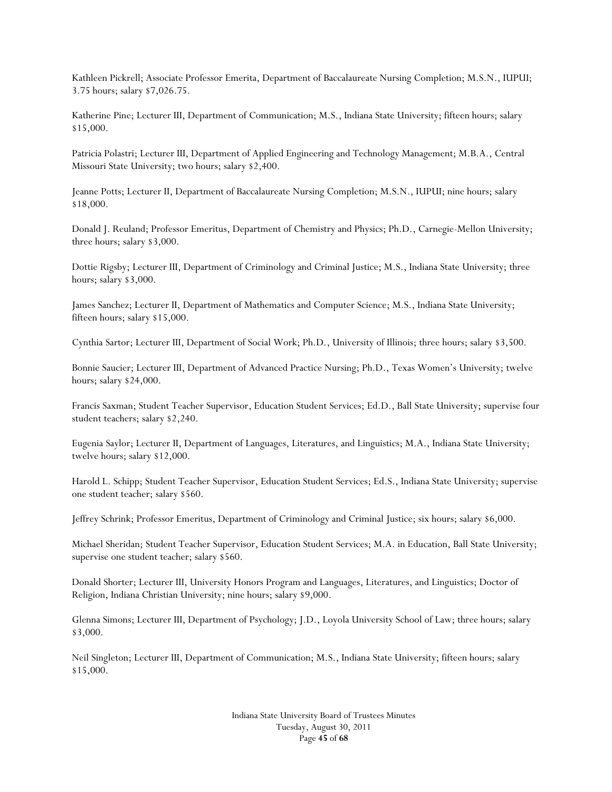Kathleen Pickrell; Associate Professor Emerita, Department of Baccalaureate Nursing Completion; M.S.N., IUPUI; 3.75 hours; salary \$7,026.75.

Katherine Pine; Lecturer III, Department of Communication; M.S., Indiana State University; fifteen hours; salary \$15,000.

Patricia Polastri; Lecturer III, Department of Applied Engineering and Technology Management; M.B.A., Central Missouri State University; two hours; salary \$2,400.

Jeanne Potts; Lecturer II, Department of Baccalaureate Nursing Completion; M.S.N., IUPUI; nine hours; salary \$18,000.

Donald J. Reuland; Professor Emeritus, Department of Chemistry and Physics; Ph.D., Carnegie-Mellon University; three hours; salary \$3,000.

Dottie Rigsby; Lecturer III, Department of Criminology and Criminal Justice; M.S., Indiana State University; three hours; salary \$3,000.

James Sanchez; Lecturer II, Department of Mathematics and Computer Science; M.S., Indiana State University; fifteen hours; salary \$15,000.

Cynthia Sartor; Lecturer III, Department of Social Work; Ph.D., University of Illinois; three hours; salary \$3,500.

Bonnie Saucier; Lecturer III, Department of Advanced Practice Nursing; Ph.D., Texas Women's University; twelve hours; salary \$24,000.

Francis Saxman; Student Teacher Supervisor, Education Student Services; Ed.D., Ball State University; supervise four student teachers; salary \$2,240.

Eugenia Saylor; Lecturer II, Department of Languages, Literatures, and Linguistics; M.A., Indiana State University; twelve hours; salary \$12,000.

Harold L. Schipp; Student Teacher Supervisor, Education Student Services; Ed.S., Indiana State University; supervise one student teacher; salary \$560.

Jeffrey Schrink; Professor Emeritus, Department of Criminology and Criminal Justice; six hours; salary \$6,000.

Michael Sheridan; Student Teacher Supervisor, Education Student Services; M.A. in Education, Ball State University; supervise one student teacher; salary \$560.

Donald Shorter; Lecturer III, University Honors Program and Languages, Literatures, and Linguistics; Doctor of Religion, Indiana Christian University; nine hours; salary \$9,000.

Glenna Simons; Lecturer III, Department of Psychology; J.D., Loyola University School of Law; three hours; salary \$3,000.

Neil Singleton; Lecturer III, Department of Communication; M.S., Indiana State University; fifteen hours; salary \$15,000.

> Indiana State University Board of Trustees Minutes Tuesday, August 30, 2011 Page **45** of **68**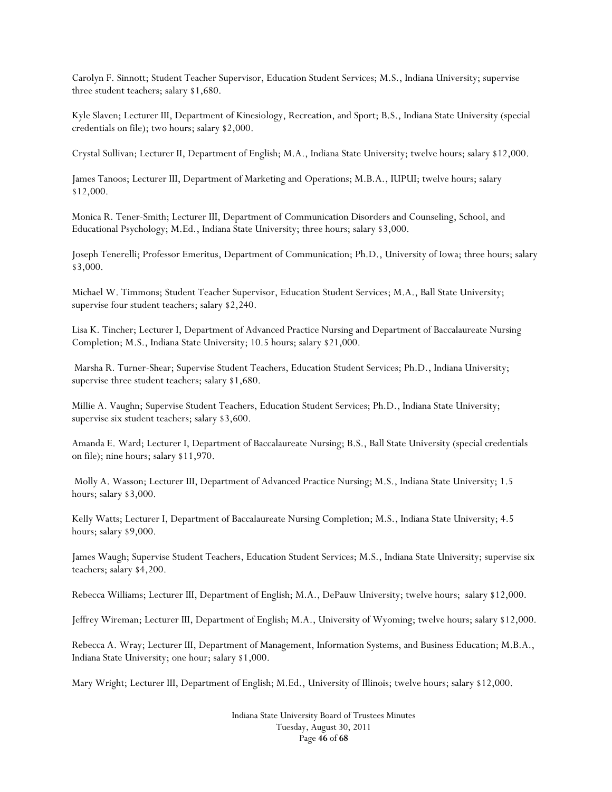Carolyn F. Sinnott; Student Teacher Supervisor, Education Student Services; M.S., Indiana University; supervise three student teachers; salary \$1,680.

Kyle Slaven; Lecturer III, Department of Kinesiology, Recreation, and Sport; B.S., Indiana State University (special credentials on file); two hours; salary \$2,000.

Crystal Sullivan; Lecturer II, Department of English; M.A., Indiana State University; twelve hours; salary \$12,000.

James Tanoos; Lecturer III, Department of Marketing and Operations; M.B.A., IUPUI; twelve hours; salary \$12,000.

Monica R. Tener-Smith; Lecturer III, Department of Communication Disorders and Counseling, School, and Educational Psychology; M.Ed., Indiana State University; three hours; salary \$3,000.

Joseph Tenerelli; Professor Emeritus, Department of Communication; Ph.D., University of Iowa; three hours; salary \$3,000.

Michael W. Timmons; Student Teacher Supervisor, Education Student Services; M.A., Ball State University; supervise four student teachers; salary \$2,240.

Lisa K. Tincher; Lecturer I, Department of Advanced Practice Nursing and Department of Baccalaureate Nursing Completion; M.S., Indiana State University; 10.5 hours; salary \$21,000.

 Marsha R. Turner-Shear; Supervise Student Teachers, Education Student Services; Ph.D., Indiana University; supervise three student teachers; salary \$1,680.

Millie A. Vaughn; Supervise Student Teachers, Education Student Services; Ph.D., Indiana State University; supervise six student teachers; salary \$3,600.

Amanda E. Ward; Lecturer I, Department of Baccalaureate Nursing; B.S., Ball State University (special credentials on file); nine hours; salary \$11,970.

 Molly A. Wasson; Lecturer III, Department of Advanced Practice Nursing; M.S., Indiana State University; 1.5 hours; salary \$3,000.

Kelly Watts; Lecturer I, Department of Baccalaureate Nursing Completion; M.S., Indiana State University; 4.5 hours; salary \$9,000.

James Waugh; Supervise Student Teachers, Education Student Services; M.S., Indiana State University; supervise six teachers; salary \$4,200.

Rebecca Williams; Lecturer III, Department of English; M.A., DePauw University; twelve hours; salary \$12,000.

Jeffrey Wireman; Lecturer III, Department of English; M.A., University of Wyoming; twelve hours; salary \$12,000.

Rebecca A. Wray; Lecturer III, Department of Management, Information Systems, and Business Education; M.B.A., Indiana State University; one hour; salary \$1,000.

Mary Wright; Lecturer III, Department of English; M.Ed., University of Illinois; twelve hours; salary \$12,000.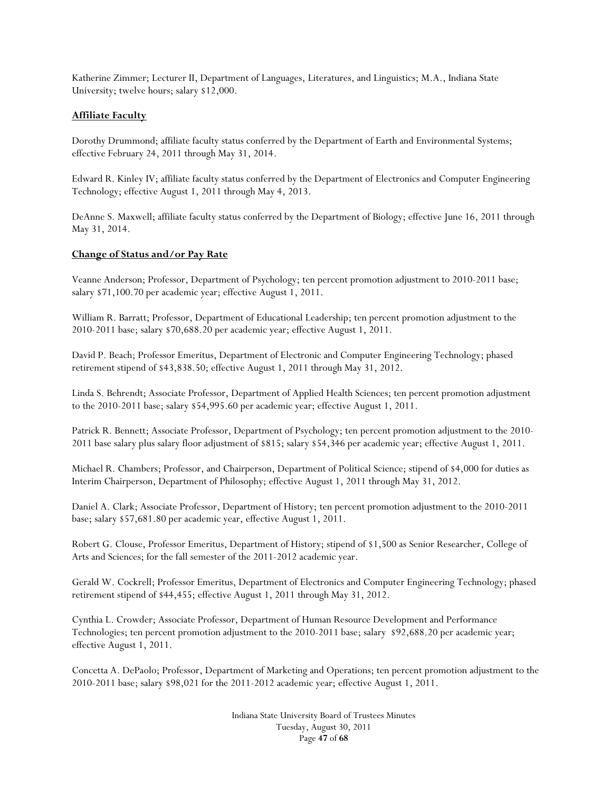Katherine Zimmer; Lecturer II, Department of Languages, Literatures, and Linguistics; M.A., Indiana State University; twelve hours; salary \$12,000.

### **Affiliate Faculty**

Dorothy Drummond; affiliate faculty status conferred by the Department of Earth and Environmental Systems; effective February 24, 2011 through May 31, 2014.

Edward R. Kinley IV; affiliate faculty status conferred by the Department of Electronics and Computer Engineering Technology; effective August 1, 2011 through May 4, 2013.

DeAnne S. Maxwell; affiliate faculty status conferred by the Department of Biology; effective June 16, 2011 through May 31, 2014.

### **Change of Status and/or Pay Rate**

Veanne Anderson; Professor, Department of Psychology; ten percent promotion adjustment to 2010-2011 base; salary \$71,100.70 per academic year; effective August 1, 2011.

William R. Barratt; Professor, Department of Educational Leadership; ten percent promotion adjustment to the 2010-2011 base; salary \$70,688.20 per academic year; effective August 1, 2011.

David P. Beach; Professor Emeritus, Department of Electronic and Computer Engineering Technology; phased retirement stipend of \$43,838.50; effective August 1, 2011 through May 31, 2012.

Linda S. Behrendt; Associate Professor, Department of Applied Health Sciences; ten percent promotion adjustment to the 2010-2011 base; salary \$54,995.60 per academic year; effective August 1, 2011.

Patrick R. Bennett; Associate Professor, Department of Psychology; ten percent promotion adjustment to the 2010- 2011 base salary plus salary floor adjustment of \$815; salary \$54,346 per academic year; effective August 1, 2011.

Michael R. Chambers; Professor, and Chairperson, Department of Political Science; stipend of \$4,000 for duties as Interim Chairperson, Department of Philosophy; effective August 1, 2011 through May 31, 2012.

Daniel A. Clark; Associate Professor, Department of History; ten percent promotion adjustment to the 2010-2011 base; salary \$57,681.80 per academic year, effective August 1, 2011.

Robert G. Clouse, Professor Emeritus, Department of History; stipend of \$1,500 as Senior Researcher, College of Arts and Sciences; for the fall semester of the 2011-2012 academic year.

Gerald W. Cockrell; Professor Emeritus, Department of Electronics and Computer Engineering Technology; phased retirement stipend of \$44,455; effective August 1, 2011 through May 31, 2012.

Cynthia L. Crowder; Associate Professor, Department of Human Resource Development and Performance Technologies; ten percent promotion adjustment to the 2010-2011 base; salary \$92,688.20 per academic year; effective August 1, 2011.

Concetta A. DePaolo; Professor, Department of Marketing and Operations; ten percent promotion adjustment to the 2010-2011 base; salary \$98,021 for the 2011-2012 academic year; effective August 1, 2011.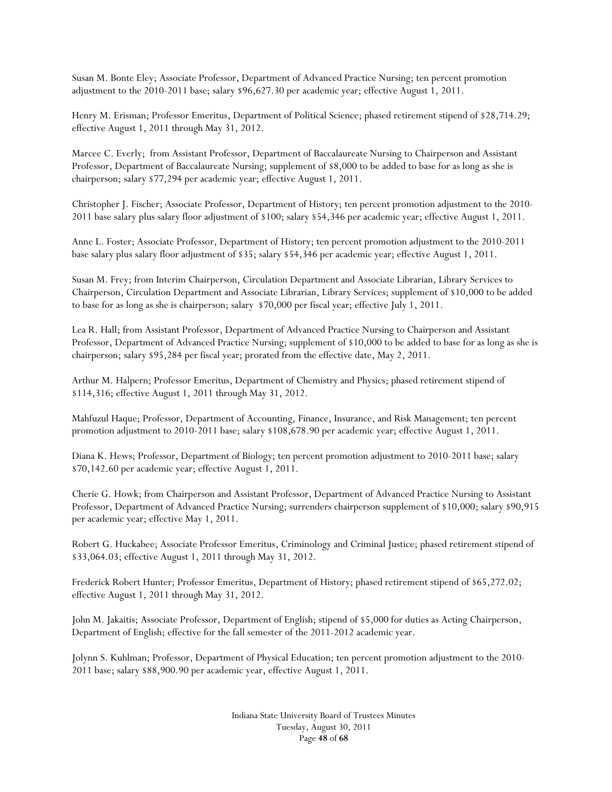Susan M. Bonte Eley; Associate Professor, Department of Advanced Practice Nursing; ten percent promotion adjustment to the 2010-2011 base; salary \$96,627.30 per academic year; effective August 1, 2011.

Henry M. Erisman; Professor Emeritus, Department of Political Science; phased retirement stipend of \$28,714.29; effective August 1, 2011 through May 31, 2012.

Marcee C. Everly; from Assistant Professor, Department of Baccalaureate Nursing to Chairperson and Assistant Professor, Department of Baccalaureate Nursing; supplement of \$8,000 to be added to base for as long as she is chairperson; salary \$77,294 per academic year; effective August 1, 2011.

Christopher J. Fischer; Associate Professor, Department of History; ten percent promotion adjustment to the 2010- 2011 base salary plus salary floor adjustment of \$100; salary \$54,346 per academic year; effective August 1, 2011.

Anne L. Foster; Associate Professor, Department of History; ten percent promotion adjustment to the 2010-2011 base salary plus salary floor adjustment of \$35; salary \$54,346 per academic year; effective August 1, 2011.

Susan M. Frey; from Interim Chairperson, Circulation Department and Associate Librarian, Library Services to Chairperson, Circulation Department and Associate Librarian, Library Services; supplement of \$10,000 to be added to base for as long as she is chairperson; salary \$70,000 per fiscal year; effective July 1, 2011.

Lea R. Hall; from Assistant Professor, Department of Advanced Practice Nursing to Chairperson and Assistant Professor, Department of Advanced Practice Nursing; supplement of \$10,000 to be added to base for as long as she is chairperson; salary \$95,284 per fiscal year; prorated from the effective date, May 2, 2011.

Arthur M. Halpern; Professor Emeritus, Department of Chemistry and Physics; phased retirement stipend of \$114,316; effective August 1, 2011 through May 31, 2012.

Mahfuzul Haque; Professor, Department of Accounting, Finance, Insurance, and Risk Management; ten percent promotion adjustment to 2010-2011 base; salary \$108,678.90 per academic year; effective August 1, 2011.

Diana K. Hews; Professor, Department of Biology; ten percent promotion adjustment to 2010-2011 base; salary \$70,142.60 per academic year; effective August 1, 2011.

Cherie G. Howk; from Chairperson and Assistant Professor, Department of Advanced Practice Nursing to Assistant Professor, Department of Advanced Practice Nursing; surrenders chairperson supplement of \$10,000; salary \$90,915 per academic year; effective May 1, 2011.

Robert G. Huckabee; Associate Professor Emeritus, Criminology and Criminal Justice; phased retirement stipend of \$33,064.03; effective August 1, 2011 through May 31, 2012.

Frederick Robert Hunter; Professor Emeritus, Department of History; phased retirement stipend of \$65,272.02; effective August 1, 2011 through May 31, 2012.

John M. Jakaitis; Associate Professor, Department of English; stipend of \$5,000 for duties as Acting Chairperson, Department of English; effective for the fall semester of the 2011-2012 academic year.

Jolynn S. Kuhlman; Professor, Department of Physical Education; ten percent promotion adjustment to the 2010- 2011 base; salary \$88,900.90 per academic year, effective August 1, 2011.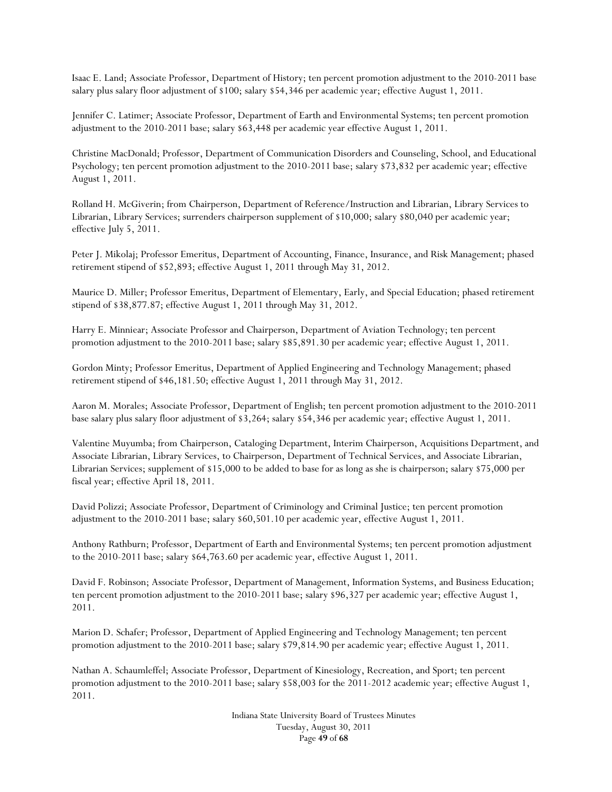Isaac E. Land; Associate Professor, Department of History; ten percent promotion adjustment to the 2010-2011 base salary plus salary floor adjustment of \$100; salary \$54,346 per academic year; effective August 1, 2011.

Jennifer C. Latimer; Associate Professor, Department of Earth and Environmental Systems; ten percent promotion adjustment to the 2010-2011 base; salary \$63,448 per academic year effective August 1, 2011.

Christine MacDonald; Professor, Department of Communication Disorders and Counseling, School, and Educational Psychology; ten percent promotion adjustment to the 2010-2011 base; salary \$73,832 per academic year; effective August 1, 2011.

Rolland H. McGiverin; from Chairperson, Department of Reference/Instruction and Librarian, Library Services to Librarian, Library Services; surrenders chairperson supplement of \$10,000; salary \$80,040 per academic year; effective July 5, 2011.

Peter J. Mikolaj; Professor Emeritus, Department of Accounting, Finance, Insurance, and Risk Management; phased retirement stipend of \$52,893; effective August 1, 2011 through May 31, 2012.

Maurice D. Miller; Professor Emeritus, Department of Elementary, Early, and Special Education; phased retirement stipend of \$38,877.87; effective August 1, 2011 through May 31, 2012.

Harry E. Minniear; Associate Professor and Chairperson, Department of Aviation Technology; ten percent promotion adjustment to the 2010-2011 base; salary \$85,891.30 per academic year; effective August 1, 2011.

Gordon Minty; Professor Emeritus, Department of Applied Engineering and Technology Management; phased retirement stipend of \$46,181.50; effective August 1, 2011 through May 31, 2012.

Aaron M. Morales; Associate Professor, Department of English; ten percent promotion adjustment to the 2010-2011 base salary plus salary floor adjustment of \$3,264; salary \$54,346 per academic year; effective August 1, 2011.

Valentine Muyumba; from Chairperson, Cataloging Department, Interim Chairperson, Acquisitions Department, and Associate Librarian, Library Services, to Chairperson, Department of Technical Services, and Associate Librarian, Librarian Services; supplement of \$15,000 to be added to base for as long as she is chairperson; salary \$75,000 per fiscal year; effective April 18, 2011.

David Polizzi; Associate Professor, Department of Criminology and Criminal Justice; ten percent promotion adjustment to the 2010-2011 base; salary \$60,501.10 per academic year, effective August 1, 2011.

Anthony Rathburn; Professor, Department of Earth and Environmental Systems; ten percent promotion adjustment to the 2010-2011 base; salary \$64,763.60 per academic year, effective August 1, 2011.

David F. Robinson; Associate Professor, Department of Management, Information Systems, and Business Education; ten percent promotion adjustment to the 2010-2011 base; salary \$96,327 per academic year; effective August 1, 2011.

Marion D. Schafer; Professor, Department of Applied Engineering and Technology Management; ten percent promotion adjustment to the 2010-2011 base; salary \$79,814.90 per academic year; effective August 1, 2011.

Nathan A. Schaumleffel; Associate Professor, Department of Kinesiology, Recreation, and Sport; ten percent promotion adjustment to the 2010-2011 base; salary \$58,003 for the 2011-2012 academic year; effective August 1, 2011.

> Indiana State University Board of Trustees Minutes Tuesday, August 30, 2011 Page **49** of **68**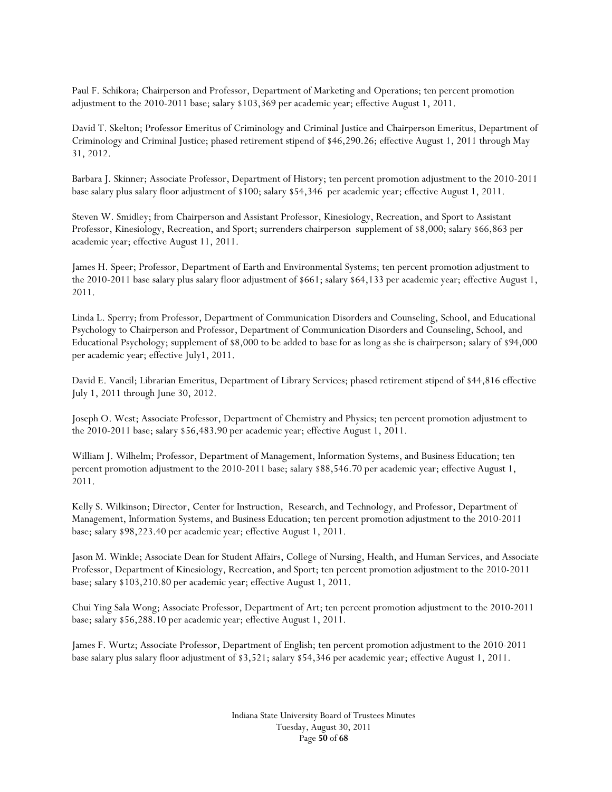Paul F. Schikora; Chairperson and Professor, Department of Marketing and Operations; ten percent promotion adjustment to the 2010-2011 base; salary \$103,369 per academic year; effective August 1, 2011.

David T. Skelton; Professor Emeritus of Criminology and Criminal Justice and Chairperson Emeritus, Department of Criminology and Criminal Justice; phased retirement stipend of \$46,290.26; effective August 1, 2011 through May 31, 2012.

Barbara J. Skinner; Associate Professor, Department of History; ten percent promotion adjustment to the 2010-2011 base salary plus salary floor adjustment of \$100; salary \$54,346 per academic year; effective August 1, 2011.

Steven W. Smidley; from Chairperson and Assistant Professor, Kinesiology, Recreation, and Sport to Assistant Professor, Kinesiology, Recreation, and Sport; surrenders chairperson supplement of \$8,000; salary \$66,863 per academic year; effective August 11, 2011.

James H. Speer; Professor, Department of Earth and Environmental Systems; ten percent promotion adjustment to the 2010-2011 base salary plus salary floor adjustment of \$661; salary \$64,133 per academic year; effective August 1, 2011.

Linda L. Sperry; from Professor, Department of Communication Disorders and Counseling, School, and Educational Psychology to Chairperson and Professor, Department of Communication Disorders and Counseling, School, and Educational Psychology; supplement of \$8,000 to be added to base for as long as she is chairperson; salary of \$94,000 per academic year; effective July1, 2011.

David E. Vancil; Librarian Emeritus, Department of Library Services; phased retirement stipend of \$44,816 effective July 1, 2011 through June 30, 2012.

Joseph O. West; Associate Professor, Department of Chemistry and Physics; ten percent promotion adjustment to the 2010-2011 base; salary \$56,483.90 per academic year; effective August 1, 2011.

William J. Wilhelm; Professor, Department of Management, Information Systems, and Business Education; ten percent promotion adjustment to the 2010-2011 base; salary \$88,546.70 per academic year; effective August 1, 2011.

Kelly S. Wilkinson; Director, Center for Instruction, Research, and Technology, and Professor, Department of Management, Information Systems, and Business Education; ten percent promotion adjustment to the 2010-2011 base; salary \$98,223.40 per academic year; effective August 1, 2011.

Jason M. Winkle; Associate Dean for Student Affairs, College of Nursing, Health, and Human Services, and Associate Professor, Department of Kinesiology, Recreation, and Sport; ten percent promotion adjustment to the 2010-2011 base; salary \$103,210.80 per academic year; effective August 1, 2011.

Chui Ying Sala Wong; Associate Professor, Department of Art; ten percent promotion adjustment to the 2010-2011 base; salary \$56,288.10 per academic year; effective August 1, 2011.

James F. Wurtz; Associate Professor, Department of English; ten percent promotion adjustment to the 2010-2011 base salary plus salary floor adjustment of \$3,521; salary \$54,346 per academic year; effective August 1, 2011.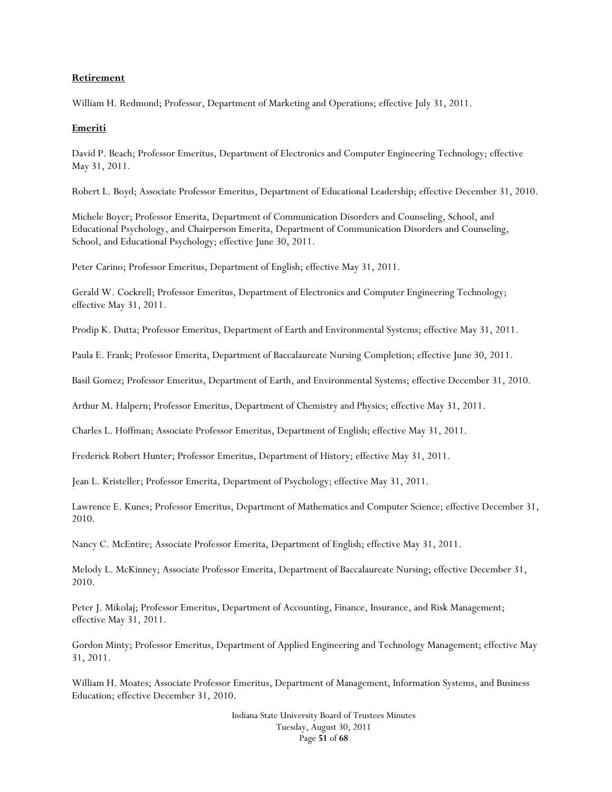#### **Retirement**

William H. Redmond; Professor, Department of Marketing and Operations; effective July 31, 2011.

#### **Emeriti**

David P. Beach; Professor Emeritus, Department of Electronics and Computer Engineering Technology; effective May 31, 2011.

Robert L. Boyd; Associate Professor Emeritus, Department of Educational Leadership; effective December 31, 2010.

Michele Boyer; Professor Emerita, Department of Communication Disorders and Counseling, School, and Educational Psychology, and Chairperson Emerita, Department of Communication Disorders and Counseling, School, and Educational Psychology; effective June 30, 2011.

Peter Carino; Professor Emeritus, Department of English; effective May 31, 2011.

Gerald W. Cockrell; Professor Emeritus, Department of Electronics and Computer Engineering Technology; effective May 31, 2011.

Prodip K. Dutta; Professor Emeritus, Department of Earth and Environmental Systems; effective May 31, 2011.

Paula E. Frank; Professor Emerita, Department of Baccalaureate Nursing Completion; effective June 30, 2011.

Basil Gomez; Professor Emeritus, Department of Earth, and Environmental Systems; effective December 31, 2010.

Arthur M. Halpern; Professor Emeritus, Department of Chemistry and Physics; effective May 31, 2011.

Charles L. Hoffman; Associate Professor Emeritus, Department of English; effective May 31, 2011.

Frederick Robert Hunter; Professor Emeritus, Department of History; effective May 31, 2011.

Jean L. Kristeller; Professor Emerita, Department of Psychology; effective May 31, 2011.

Lawrence E. Kunes; Professor Emeritus, Department of Mathematics and Computer Science; effective December 31, 2010.

Nancy C. McEntire; Associate Professor Emerita, Department of English; effective May 31, 2011.

Melody L. McKinney; Associate Professor Emerita, Department of Baccalaureate Nursing; effective December 31, 2010.

Peter J. Mikolaj; Professor Emeritus, Department of Accounting, Finance, Insurance, and Risk Management; effective May 31, 2011.

Gordon Minty; Professor Emeritus, Department of Applied Engineering and Technology Management; effective May 31, 2011.

William H. Moates; Associate Professor Emeritus, Department of Management, Information Systems, and Business Education; effective December 31, 2010.

> Indiana State University Board of Trustees Minutes Tuesday, August 30, 2011 Page **51** of **68**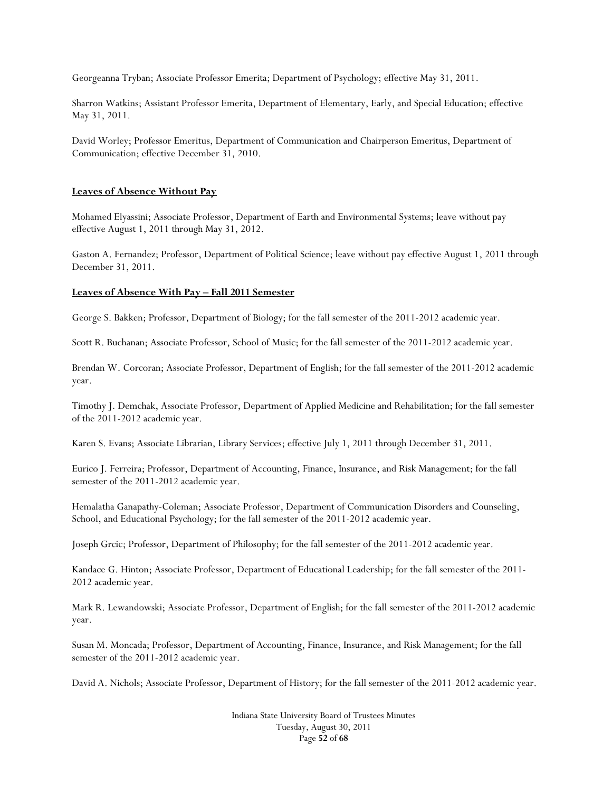Georgeanna Tryban; Associate Professor Emerita; Department of Psychology; effective May 31, 2011.

Sharron Watkins; Assistant Professor Emerita, Department of Elementary, Early, and Special Education; effective May 31, 2011.

David Worley; Professor Emeritus, Department of Communication and Chairperson Emeritus, Department of Communication; effective December 31, 2010.

#### **Leaves of Absence Without Pay**

Mohamed Elyassini; Associate Professor, Department of Earth and Environmental Systems; leave without pay effective August 1, 2011 through May 31, 2012.

Gaston A. Fernandez; Professor, Department of Political Science; leave without pay effective August 1, 2011 through December 31, 2011.

#### **Leaves of Absence With Pay – Fall 2011 Semester**

George S. Bakken; Professor, Department of Biology; for the fall semester of the 2011-2012 academic year.

Scott R. Buchanan; Associate Professor, School of Music; for the fall semester of the 2011-2012 academic year.

Brendan W. Corcoran; Associate Professor, Department of English; for the fall semester of the 2011-2012 academic year.

Timothy J. Demchak, Associate Professor, Department of Applied Medicine and Rehabilitation; for the fall semester of the 2011-2012 academic year.

Karen S. Evans; Associate Librarian, Library Services; effective July 1, 2011 through December 31, 2011.

Eurico J. Ferreira; Professor, Department of Accounting, Finance, Insurance, and Risk Management; for the fall semester of the 2011-2012 academic year.

Hemalatha Ganapathy-Coleman; Associate Professor, Department of Communication Disorders and Counseling, School, and Educational Psychology; for the fall semester of the 2011-2012 academic year.

Joseph Grcic; Professor, Department of Philosophy; for the fall semester of the 2011-2012 academic year.

Kandace G. Hinton; Associate Professor, Department of Educational Leadership; for the fall semester of the 2011- 2012 academic year.

Mark R. Lewandowski; Associate Professor, Department of English; for the fall semester of the 2011-2012 academic year.

Susan M. Moncada; Professor, Department of Accounting, Finance, Insurance, and Risk Management; for the fall semester of the 2011-2012 academic year.

David A. Nichols; Associate Professor, Department of History; for the fall semester of the 2011-2012 academic year.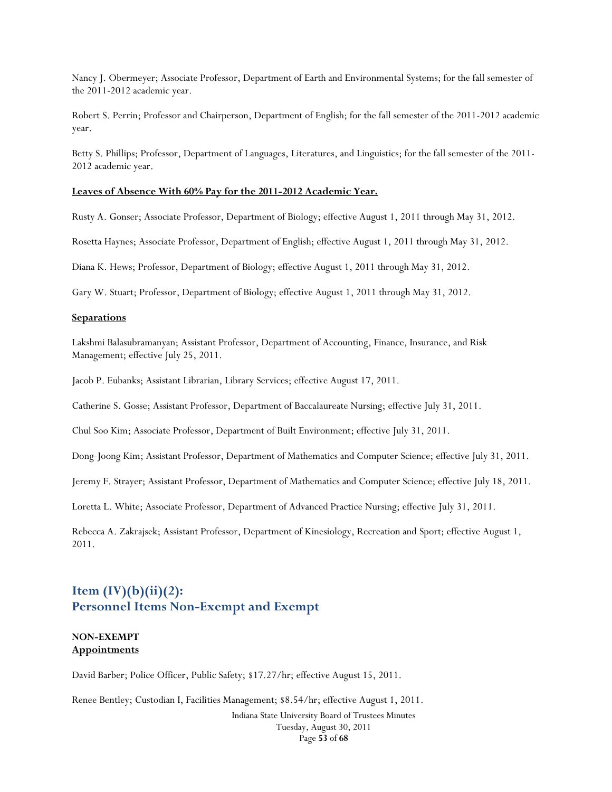Nancy J. Obermeyer; Associate Professor, Department of Earth and Environmental Systems; for the fall semester of the 2011-2012 academic year.

Robert S. Perrin; Professor and Chairperson, Department of English; for the fall semester of the 2011-2012 academic year.

Betty S. Phillips; Professor, Department of Languages, Literatures, and Linguistics; for the fall semester of the 2011- 2012 academic year.

#### **Leaves of Absence With 60% Pay for the 2011-2012 Academic Year.**

Rusty A. Gonser; Associate Professor, Department of Biology; effective August 1, 2011 through May 31, 2012.

Rosetta Haynes; Associate Professor, Department of English; effective August 1, 2011 through May 31, 2012.

Diana K. Hews; Professor, Department of Biology; effective August 1, 2011 through May 31, 2012.

Gary W. Stuart; Professor, Department of Biology; effective August 1, 2011 through May 31, 2012.

#### **Separations**

Lakshmi Balasubramanyan; Assistant Professor, Department of Accounting, Finance, Insurance, and Risk Management; effective July 25, 2011.

Jacob P. Eubanks; Assistant Librarian, Library Services; effective August 17, 2011.

Catherine S. Gosse; Assistant Professor, Department of Baccalaureate Nursing; effective July 31, 2011.

Chul Soo Kim; Associate Professor, Department of Built Environment; effective July 31, 2011.

Dong-Joong Kim; Assistant Professor, Department of Mathematics and Computer Science; effective July 31, 2011.

Jeremy F. Strayer; Assistant Professor, Department of Mathematics and Computer Science; effective July 18, 2011.

Loretta L. White; Associate Professor, Department of Advanced Practice Nursing; effective July 31, 2011.

Rebecca A. Zakrajsek; Assistant Professor, Department of Kinesiology, Recreation and Sport; effective August 1, 2011.

# **Item (IV)(b)(ii)(2): Personnel Items Non-Exempt and Exempt**

### **NON-EXEMPT Appointments**

David Barber; Police Officer, Public Safety; \$17.27/hr; effective August 15, 2011.

Indiana State University Board of Trustees Minutes Renee Bentley; Custodian I, Facilities Management; \$8.54/hr; effective August 1, 2011.

Tuesday, August 30, 2011 Page **53** of **68**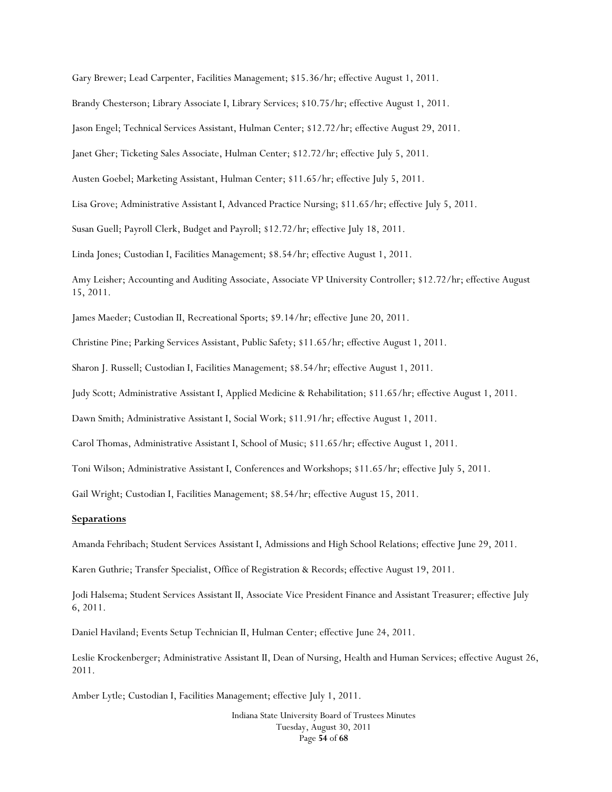Gary Brewer; Lead Carpenter, Facilities Management; \$15.36/hr; effective August 1, 2011.

Brandy Chesterson; Library Associate I, Library Services; \$10.75/hr; effective August 1, 2011.

Jason Engel; Technical Services Assistant, Hulman Center; \$12.72/hr; effective August 29, 2011.

Janet Gher; Ticketing Sales Associate, Hulman Center; \$12.72/hr; effective July 5, 2011.

Austen Goebel; Marketing Assistant, Hulman Center; \$11.65/hr; effective July 5, 2011.

Lisa Grove; Administrative Assistant I, Advanced Practice Nursing; \$11.65/hr; effective July 5, 2011.

Susan Guell; Payroll Clerk, Budget and Payroll; \$12.72/hr; effective July 18, 2011.

Linda Jones; Custodian I, Facilities Management; \$8.54/hr; effective August 1, 2011.

Amy Leisher; Accounting and Auditing Associate, Associate VP University Controller; \$12.72/hr; effective August 15, 2011.

James Maeder; Custodian II, Recreational Sports; \$9.14/hr; effective June 20, 2011.

Christine Pine; Parking Services Assistant, Public Safety; \$11.65/hr; effective August 1, 2011.

Sharon J. Russell; Custodian I, Facilities Management; \$8.54/hr; effective August 1, 2011.

Judy Scott; Administrative Assistant I, Applied Medicine & Rehabilitation; \$11.65/hr; effective August 1, 2011.

Dawn Smith; Administrative Assistant I, Social Work; \$11.91/hr; effective August 1, 2011.

Carol Thomas, Administrative Assistant I, School of Music; \$11.65/hr; effective August 1, 2011.

Toni Wilson; Administrative Assistant I, Conferences and Workshops; \$11.65/hr; effective July 5, 2011.

Gail Wright; Custodian I, Facilities Management; \$8.54/hr; effective August 15, 2011.

#### **Separations**

Amanda Fehribach; Student Services Assistant I, Admissions and High School Relations; effective June 29, 2011.

Karen Guthrie; Transfer Specialist, Office of Registration & Records; effective August 19, 2011.

Jodi Halsema; Student Services Assistant II, Associate Vice President Finance and Assistant Treasurer; effective July 6, 2011.

Daniel Haviland; Events Setup Technician II, Hulman Center; effective June 24, 2011.

Leslie Krockenberger; Administrative Assistant II, Dean of Nursing, Health and Human Services; effective August 26, 2011.

Amber Lytle; Custodian I, Facilities Management; effective July 1, 2011.

Indiana State University Board of Trustees Minutes Tuesday, August 30, 2011 Page **54** of **68**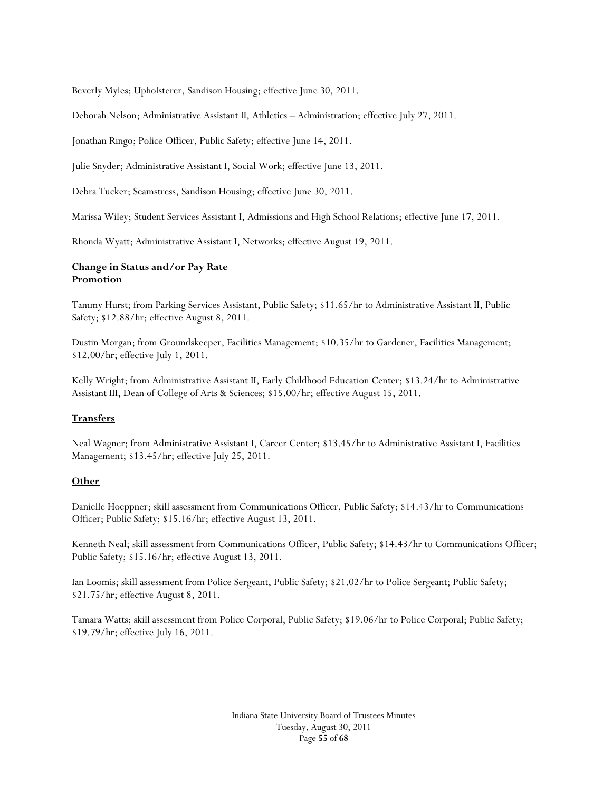Beverly Myles; Upholsterer, Sandison Housing; effective June 30, 2011.

Deborah Nelson; Administrative Assistant II, Athletics – Administration; effective July 27, 2011.

Jonathan Ringo; Police Officer, Public Safety; effective June 14, 2011.

Julie Snyder; Administrative Assistant I, Social Work; effective June 13, 2011.

Debra Tucker; Seamstress, Sandison Housing; effective June 30, 2011.

Marissa Wiley; Student Services Assistant I, Admissions and High School Relations; effective June 17, 2011.

Rhonda Wyatt; Administrative Assistant I, Networks; effective August 19, 2011.

### **Change in Status and/or Pay Rate Promotion**

Tammy Hurst; from Parking Services Assistant, Public Safety; \$11.65/hr to Administrative Assistant II, Public Safety; \$12.88/hr; effective August 8, 2011.

Dustin Morgan; from Groundskeeper, Facilities Management; \$10.35/hr to Gardener, Facilities Management; \$12.00/hr; effective July 1, 2011.

Kelly Wright; from Administrative Assistant II, Early Childhood Education Center; \$13.24/hr to Administrative Assistant III, Dean of College of Arts & Sciences; \$15.00/hr; effective August 15, 2011.

#### **Transfers**

Neal Wagner; from Administrative Assistant I, Career Center; \$13.45/hr to Administrative Assistant I, Facilities Management; \$13.45/hr; effective July 25, 2011.

#### **Other**

Danielle Hoeppner; skill assessment from Communications Officer, Public Safety; \$14.43/hr to Communications Officer; Public Safety; \$15.16/hr; effective August 13, 2011.

Kenneth Neal; skill assessment from Communications Officer, Public Safety; \$14.43/hr to Communications Officer; Public Safety; \$15.16/hr; effective August 13, 2011.

Ian Loomis; skill assessment from Police Sergeant, Public Safety; \$21.02/hr to Police Sergeant; Public Safety; \$21.75/hr; effective August 8, 2011.

Tamara Watts; skill assessment from Police Corporal, Public Safety; \$19.06/hr to Police Corporal; Public Safety; \$19.79/hr; effective July 16, 2011.

> Indiana State University Board of Trustees Minutes Tuesday, August 30, 2011 Page **55** of **68**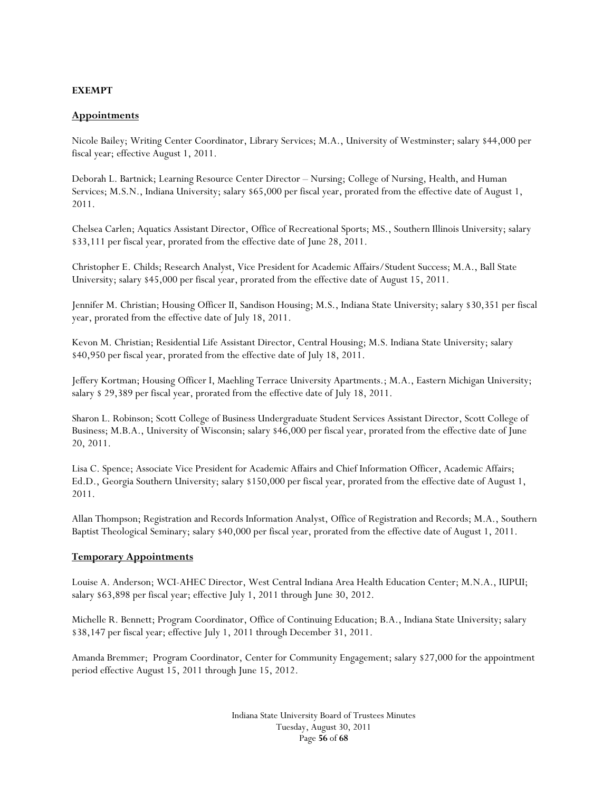### **EXEMPT**

### **Appointments**

Nicole Bailey; Writing Center Coordinator, Library Services; M.A., University of Westminster; salary \$44,000 per fiscal year; effective August 1, 2011.

Deborah L. Bartnick; Learning Resource Center Director – Nursing; College of Nursing, Health, and Human Services; M.S.N., Indiana University; salary \$65,000 per fiscal year, prorated from the effective date of August 1, 2011.

Chelsea Carlen; Aquatics Assistant Director, Office of Recreational Sports; MS., Southern Illinois University; salary \$33,111 per fiscal year, prorated from the effective date of June 28, 2011.

Christopher E. Childs; Research Analyst, Vice President for Academic Affairs/Student Success; M.A., Ball State University; salary \$45,000 per fiscal year, prorated from the effective date of August 15, 2011.

Jennifer M. Christian; Housing Officer II, Sandison Housing; M.S., Indiana State University; salary \$30,351 per fiscal year, prorated from the effective date of July 18, 2011.

Kevon M. Christian; Residential Life Assistant Director, Central Housing; M.S. Indiana State University; salary \$40,950 per fiscal year, prorated from the effective date of July 18, 2011.

Jeffery Kortman; Housing Officer I, Maehling Terrace University Apartments.; M.A., Eastern Michigan University; salary \$ 29,389 per fiscal year, prorated from the effective date of July 18, 2011.

Sharon L. Robinson; Scott College of Business Undergraduate Student Services Assistant Director, Scott College of Business; M.B.A., University of Wisconsin; salary \$46,000 per fiscal year, prorated from the effective date of June 20, 2011.

Lisa C. Spence; Associate Vice President for Academic Affairs and Chief Information Officer, Academic Affairs; Ed.D., Georgia Southern University; salary \$150,000 per fiscal year, prorated from the effective date of August 1, 2011.

Allan Thompson; Registration and Records Information Analyst, Office of Registration and Records; M.A., Southern Baptist Theological Seminary; salary \$40,000 per fiscal year, prorated from the effective date of August 1, 2011.

#### **Temporary Appointments**

Louise A. Anderson; WCI-AHEC Director, West Central Indiana Area Health Education Center; M.N.A., IUPUI; salary \$63,898 per fiscal year; effective July 1, 2011 through June 30, 2012.

Michelle R. Bennett; Program Coordinator, Office of Continuing Education; B.A., Indiana State University; salary \$38,147 per fiscal year; effective July 1, 2011 through December 31, 2011.

Amanda Bremmer; Program Coordinator, Center for Community Engagement; salary \$27,000 for the appointment period effective August 15, 2011 through June 15, 2012.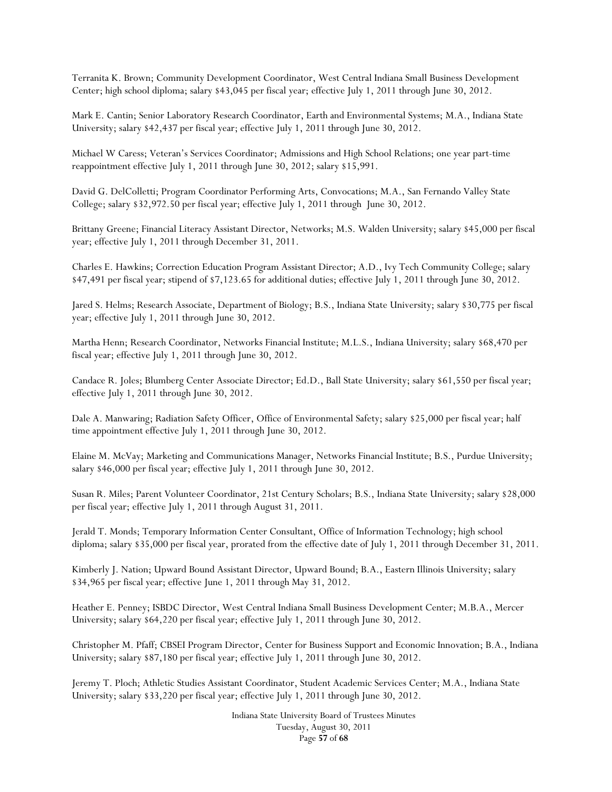Terranita K. Brown; Community Development Coordinator, West Central Indiana Small Business Development Center; high school diploma; salary \$43,045 per fiscal year; effective July 1, 2011 through June 30, 2012.

Mark E. Cantin; Senior Laboratory Research Coordinator, Earth and Environmental Systems; M.A., Indiana State University; salary \$42,437 per fiscal year; effective July 1, 2011 through June 30, 2012.

Michael W Caress; Veteran's Services Coordinator; Admissions and High School Relations; one year part-time reappointment effective July 1, 2011 through June 30, 2012; salary \$15,991.

David G. DelColletti; Program Coordinator Performing Arts, Convocations; M.A., San Fernando Valley State College; salary \$32,972.50 per fiscal year; effective July 1, 2011 through June 30, 2012.

Brittany Greene; Financial Literacy Assistant Director, Networks; M.S. Walden University; salary \$45,000 per fiscal year; effective July 1, 2011 through December 31, 2011.

Charles E. Hawkins; Correction Education Program Assistant Director; A.D., Ivy Tech Community College; salary \$47,491 per fiscal year; stipend of \$7,123.65 for additional duties; effective July 1, 2011 through June 30, 2012.

Jared S. Helms; Research Associate, Department of Biology; B.S., Indiana State University; salary \$30,775 per fiscal year; effective July 1, 2011 through June 30, 2012.

Martha Henn; Research Coordinator, Networks Financial Institute; M.L.S., Indiana University; salary \$68,470 per fiscal year; effective July 1, 2011 through June 30, 2012.

Candace R. Joles; Blumberg Center Associate Director; Ed.D., Ball State University; salary \$61,550 per fiscal year; effective July 1, 2011 through June 30, 2012.

Dale A. Manwaring; Radiation Safety Officer, Office of Environmental Safety; salary \$25,000 per fiscal year; half time appointment effective July 1, 2011 through June 30, 2012.

Elaine M. McVay; Marketing and Communications Manager, Networks Financial Institute; B.S., Purdue University; salary \$46,000 per fiscal year; effective July 1, 2011 through June 30, 2012.

Susan R. Miles; Parent Volunteer Coordinator, 21st Century Scholars; B.S., Indiana State University; salary \$28,000 per fiscal year; effective July 1, 2011 through August 31, 2011.

Jerald T. Monds; Temporary Information Center Consultant, Office of Information Technology; high school diploma; salary \$35,000 per fiscal year, prorated from the effective date of July 1, 2011 through December 31, 2011.

Kimberly J. Nation; Upward Bound Assistant Director, Upward Bound; B.A., Eastern Illinois University; salary \$34,965 per fiscal year; effective June 1, 2011 through May 31, 2012.

Heather E. Penney; ISBDC Director, West Central Indiana Small Business Development Center; M.B.A., Mercer University; salary \$64,220 per fiscal year; effective July 1, 2011 through June 30, 2012.

Christopher M. Pfaff; CBSEI Program Director, Center for Business Support and Economic Innovation; B.A., Indiana University; salary \$87,180 per fiscal year; effective July 1, 2011 through June 30, 2012.

Jeremy T. Ploch; Athletic Studies Assistant Coordinator, Student Academic Services Center; M.A., Indiana State University; salary \$33,220 per fiscal year; effective July 1, 2011 through June 30, 2012.

> Indiana State University Board of Trustees Minutes Tuesday, August 30, 2011 Page **57** of **68**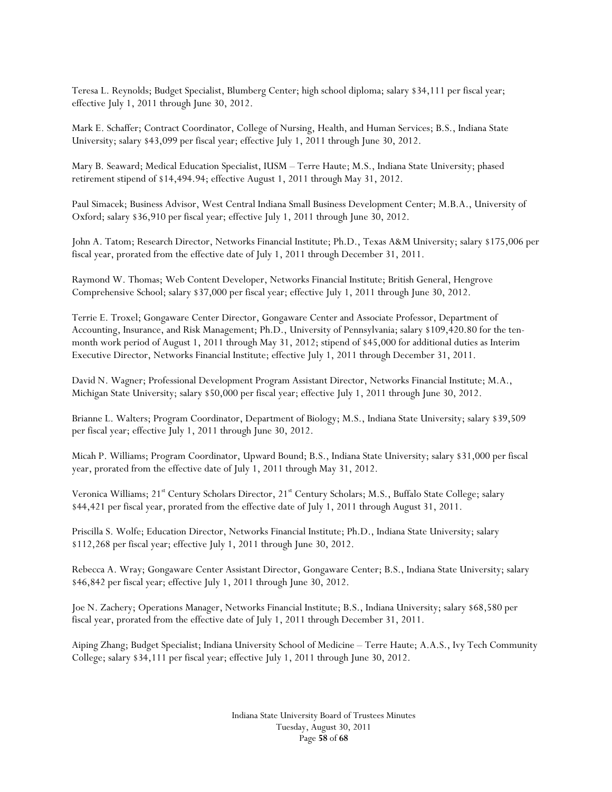Teresa L. Reynolds; Budget Specialist, Blumberg Center; high school diploma; salary \$34,111 per fiscal year; effective July 1, 2011 through June 30, 2012.

Mark E. Schaffer; Contract Coordinator, College of Nursing, Health, and Human Services; B.S., Indiana State University; salary \$43,099 per fiscal year; effective July 1, 2011 through June 30, 2012.

Mary B. Seaward; Medical Education Specialist, IUSM – Terre Haute; M.S., Indiana State University; phased retirement stipend of \$14,494.94; effective August 1, 2011 through May 31, 2012.

Paul Simacek; Business Advisor, West Central Indiana Small Business Development Center; M.B.A., University of Oxford; salary \$36,910 per fiscal year; effective July 1, 2011 through June 30, 2012.

John A. Tatom; Research Director, Networks Financial Institute; Ph.D., Texas A&M University; salary \$175,006 per fiscal year, prorated from the effective date of July 1, 2011 through December 31, 2011.

Raymond W. Thomas; Web Content Developer, Networks Financial Institute; British General, Hengrove Comprehensive School; salary \$37,000 per fiscal year; effective July 1, 2011 through June 30, 2012.

Terrie E. Troxel; Gongaware Center Director, Gongaware Center and Associate Professor, Department of Accounting, Insurance, and Risk Management; Ph.D., University of Pennsylvania; salary \$109,420.80 for the tenmonth work period of August 1, 2011 through May 31, 2012; stipend of \$45,000 for additional duties as Interim Executive Director, Networks Financial Institute; effective July 1, 2011 through December 31, 2011.

David N. Wagner; Professional Development Program Assistant Director, Networks Financial Institute; M.A., Michigan State University; salary \$50,000 per fiscal year; effective July 1, 2011 through June 30, 2012.

Brianne L. Walters; Program Coordinator, Department of Biology; M.S., Indiana State University; salary \$39,509 per fiscal year; effective July 1, 2011 through June 30, 2012.

Micah P. Williams; Program Coordinator, Upward Bound; B.S., Indiana State University; salary \$31,000 per fiscal year, prorated from the effective date of July 1, 2011 through May 31, 2012.

Veronica Williams; 21<sup>st</sup> Century Scholars Director, 21<sup>st</sup> Century Scholars; M.S., Buffalo State College; salary \$44,421 per fiscal year, prorated from the effective date of July 1, 2011 through August 31, 2011.

Priscilla S. Wolfe; Education Director, Networks Financial Institute; Ph.D., Indiana State University; salary \$112,268 per fiscal year; effective July 1, 2011 through June 30, 2012.

Rebecca A. Wray; Gongaware Center Assistant Director, Gongaware Center; B.S., Indiana State University; salary \$46,842 per fiscal year; effective July 1, 2011 through June 30, 2012.

Joe N. Zachery; Operations Manager, Networks Financial Institute; B.S., Indiana University; salary \$68,580 per fiscal year, prorated from the effective date of July 1, 2011 through December 31, 2011.

Aiping Zhang; Budget Specialist; Indiana University School of Medicine – Terre Haute; A.A.S., Ivy Tech Community College; salary \$34,111 per fiscal year; effective July 1, 2011 through June 30, 2012.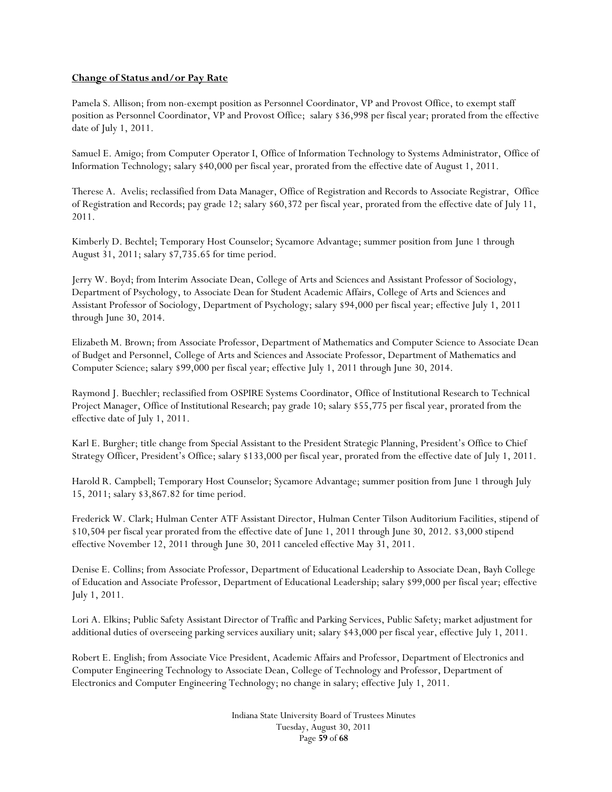### **Change of Status and/or Pay Rate**

Pamela S. Allison; from non-exempt position as Personnel Coordinator, VP and Provost Office, to exempt staff position as Personnel Coordinator, VP and Provost Office; salary \$36,998 per fiscal year; prorated from the effective date of July 1, 2011.

Samuel E. Amigo; from Computer Operator I, Office of Information Technology to Systems Administrator, Office of Information Technology; salary \$40,000 per fiscal year, prorated from the effective date of August 1, 2011.

Therese A. Avelis; reclassified from Data Manager, Office of Registration and Records to Associate Registrar, Office of Registration and Records; pay grade 12; salary \$60,372 per fiscal year, prorated from the effective date of July 11, 2011.

Kimberly D. Bechtel; Temporary Host Counselor; Sycamore Advantage; summer position from June 1 through August 31, 2011; salary \$7,735.65 for time period.

Jerry W. Boyd; from Interim Associate Dean, College of Arts and Sciences and Assistant Professor of Sociology, Department of Psychology, to Associate Dean for Student Academic Affairs, College of Arts and Sciences and Assistant Professor of Sociology, Department of Psychology; salary \$94,000 per fiscal year; effective July 1, 2011 through June 30, 2014.

Elizabeth M. Brown; from Associate Professor, Department of Mathematics and Computer Science to Associate Dean of Budget and Personnel, College of Arts and Sciences and Associate Professor, Department of Mathematics and Computer Science; salary \$99,000 per fiscal year; effective July 1, 2011 through June 30, 2014.

Raymond J. Buechler; reclassified from OSPIRE Systems Coordinator, Office of Institutional Research to Technical Project Manager, Office of Institutional Research; pay grade 10; salary \$55,775 per fiscal year, prorated from the effective date of July 1, 2011.

Karl E. Burgher; title change from Special Assistant to the President Strategic Planning, President's Office to Chief Strategy Officer, President's Office; salary \$133,000 per fiscal year, prorated from the effective date of July 1, 2011.

Harold R. Campbell; Temporary Host Counselor; Sycamore Advantage; summer position from June 1 through July 15, 2011; salary \$3,867.82 for time period.

Frederick W. Clark; Hulman Center ATF Assistant Director, Hulman Center Tilson Auditorium Facilities, stipend of \$10,504 per fiscal year prorated from the effective date of June 1, 2011 through June 30, 2012. \$3,000 stipend effective November 12, 2011 through June 30, 2011 canceled effective May 31, 2011.

Denise E. Collins; from Associate Professor, Department of Educational Leadership to Associate Dean, Bayh College of Education and Associate Professor, Department of Educational Leadership; salary \$99,000 per fiscal year; effective July 1, 2011.

Lori A. Elkins; Public Safety Assistant Director of Traffic and Parking Services, Public Safety; market adjustment for additional duties of overseeing parking services auxiliary unit; salary \$43,000 per fiscal year, effective July 1, 2011.

Robert E. English; from Associate Vice President, Academic Affairs and Professor, Department of Electronics and Computer Engineering Technology to Associate Dean, College of Technology and Professor, Department of Electronics and Computer Engineering Technology; no change in salary; effective July 1, 2011.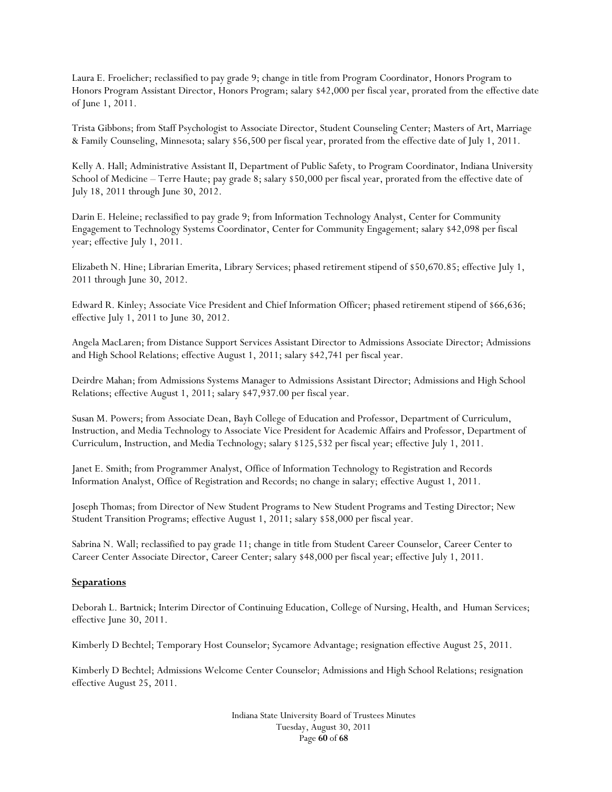Laura E. Froelicher; reclassified to pay grade 9; change in title from Program Coordinator, Honors Program to Honors Program Assistant Director, Honors Program; salary \$42,000 per fiscal year, prorated from the effective date of June 1, 2011.

Trista Gibbons; from Staff Psychologist to Associate Director, Student Counseling Center; Masters of Art, Marriage & Family Counseling, Minnesota; salary \$56,500 per fiscal year, prorated from the effective date of July 1, 2011.

Kelly A. Hall; Administrative Assistant II, Department of Public Safety, to Program Coordinator, Indiana University School of Medicine – Terre Haute; pay grade 8; salary \$50,000 per fiscal year, prorated from the effective date of July 18, 2011 through June 30, 2012.

Darin E. Heleine; reclassified to pay grade 9; from Information Technology Analyst, Center for Community Engagement to Technology Systems Coordinator, Center for Community Engagement; salary \$42,098 per fiscal year; effective July 1, 2011.

Elizabeth N. Hine; Librarian Emerita, Library Services; phased retirement stipend of \$50,670.85; effective July 1, 2011 through June 30, 2012.

Edward R. Kinley; Associate Vice President and Chief Information Officer; phased retirement stipend of \$66,636; effective July 1, 2011 to June 30, 2012.

Angela MacLaren; from Distance Support Services Assistant Director to Admissions Associate Director; Admissions and High School Relations; effective August 1, 2011; salary \$42,741 per fiscal year.

Deirdre Mahan; from Admissions Systems Manager to Admissions Assistant Director; Admissions and High School Relations; effective August 1, 2011; salary \$47,937.00 per fiscal year.

Susan M. Powers; from Associate Dean, Bayh College of Education and Professor, Department of Curriculum, Instruction, and Media Technology to Associate Vice President for Academic Affairs and Professor, Department of Curriculum, Instruction, and Media Technology; salary \$125,532 per fiscal year; effective July 1, 2011.

Janet E. Smith; from Programmer Analyst, Office of Information Technology to Registration and Records Information Analyst, Office of Registration and Records; no change in salary; effective August 1, 2011.

Joseph Thomas; from Director of New Student Programs to New Student Programs and Testing Director; New Student Transition Programs; effective August 1, 2011; salary \$58,000 per fiscal year.

Sabrina N. Wall; reclassified to pay grade 11; change in title from Student Career Counselor, Career Center to Career Center Associate Director, Career Center; salary \$48,000 per fiscal year; effective July 1, 2011.

#### **Separations**

Deborah L. Bartnick; Interim Director of Continuing Education, College of Nursing, Health, and Human Services; effective June 30, 2011.

Kimberly D Bechtel; Temporary Host Counselor; Sycamore Advantage; resignation effective August 25, 2011.

Kimberly D Bechtel; Admissions Welcome Center Counselor; Admissions and High School Relations; resignation effective August 25, 2011.

> Indiana State University Board of Trustees Minutes Tuesday, August 30, 2011 Page **60** of **68**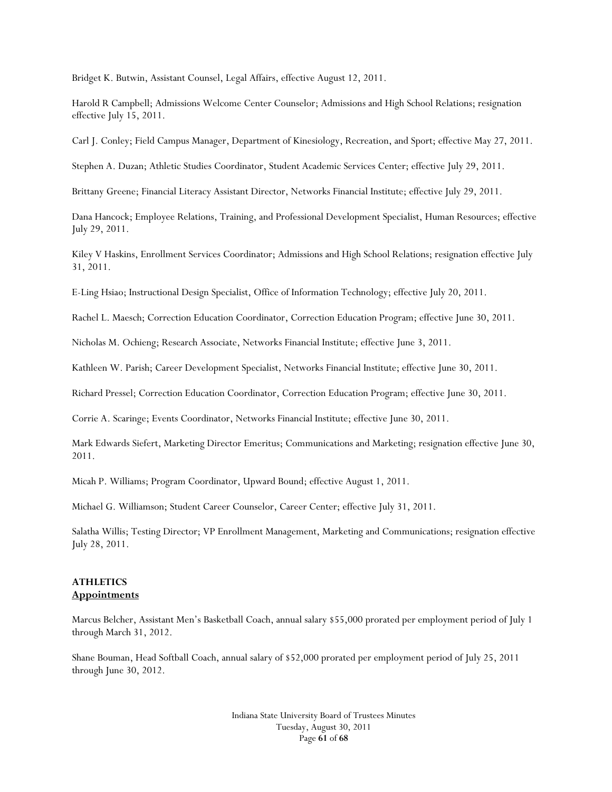Bridget K. Butwin, Assistant Counsel, Legal Affairs, effective August 12, 2011.

Harold R Campbell; Admissions Welcome Center Counselor; Admissions and High School Relations; resignation effective July 15, 2011.

Carl J. Conley; Field Campus Manager, Department of Kinesiology, Recreation, and Sport; effective May 27, 2011.

Stephen A. Duzan; Athletic Studies Coordinator, Student Academic Services Center; effective July 29, 2011.

Brittany Greene; Financial Literacy Assistant Director, Networks Financial Institute; effective July 29, 2011.

Dana Hancock; Employee Relations, Training, and Professional Development Specialist, Human Resources; effective July 29, 2011.

Kiley V Haskins, Enrollment Services Coordinator; Admissions and High School Relations; resignation effective July 31, 2011.

E-Ling Hsiao; Instructional Design Specialist, Office of Information Technology; effective July 20, 2011.

Rachel L. Maesch; Correction Education Coordinator, Correction Education Program; effective June 30, 2011.

Nicholas M. Ochieng; Research Associate, Networks Financial Institute; effective June 3, 2011.

Kathleen W. Parish; Career Development Specialist, Networks Financial Institute; effective June 30, 2011.

Richard Pressel; Correction Education Coordinator, Correction Education Program; effective June 30, 2011.

Corrie A. Scaringe; Events Coordinator, Networks Financial Institute; effective June 30, 2011.

Mark Edwards Siefert, Marketing Director Emeritus; Communications and Marketing; resignation effective June 30, 2011.

Micah P. Williams; Program Coordinator, Upward Bound; effective August 1, 2011.

Michael G. Williamson; Student Career Counselor, Career Center; effective July 31, 2011.

Salatha Willis; Testing Director; VP Enrollment Management, Marketing and Communications; resignation effective July 28, 2011.

#### **ATHLETICS Appointments**

Marcus Belcher, Assistant Men's Basketball Coach, annual salary \$55,000 prorated per employment period of July 1 through March 31, 2012.

Shane Bouman, Head Softball Coach, annual salary of \$52,000 prorated per employment period of July 25, 2011 through June 30, 2012.

> Indiana State University Board of Trustees Minutes Tuesday, August 30, 2011 Page **61** of **68**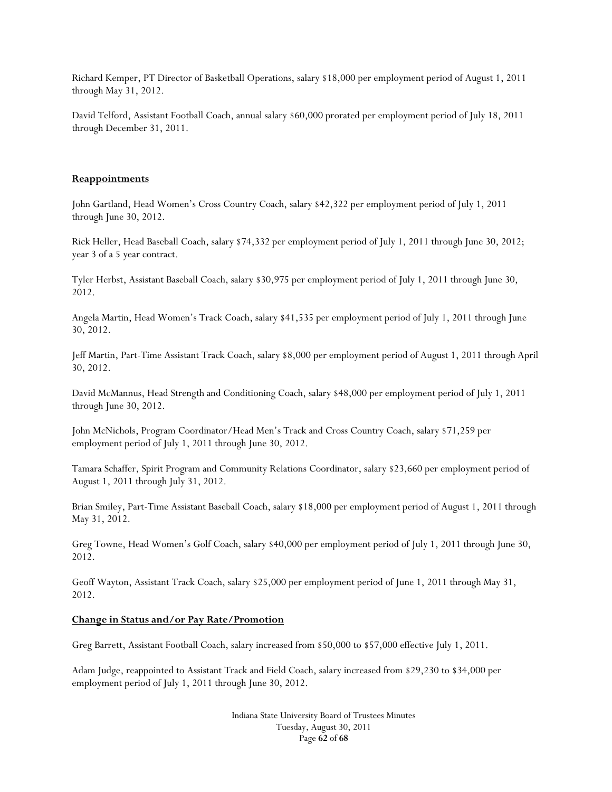Richard Kemper, PT Director of Basketball Operations, salary \$18,000 per employment period of August 1, 2011 through May 31, 2012.

David Telford, Assistant Football Coach, annual salary \$60,000 prorated per employment period of July 18, 2011 through December 31, 2011.

#### **Reappointments**

John Gartland, Head Women's Cross Country Coach, salary \$42,322 per employment period of July 1, 2011 through June 30, 2012.

Rick Heller, Head Baseball Coach, salary \$74,332 per employment period of July 1, 2011 through June 30, 2012; year 3 of a 5 year contract.

Tyler Herbst, Assistant Baseball Coach, salary \$30,975 per employment period of July 1, 2011 through June 30, 2012.

Angela Martin, Head Women's Track Coach, salary \$41,535 per employment period of July 1, 2011 through June 30, 2012.

Jeff Martin, Part-Time Assistant Track Coach, salary \$8,000 per employment period of August 1, 2011 through April 30, 2012.

David McMannus, Head Strength and Conditioning Coach, salary \$48,000 per employment period of July 1, 2011 through June 30, 2012.

John McNichols, Program Coordinator/Head Men's Track and Cross Country Coach, salary \$71,259 per employment period of July 1, 2011 through June 30, 2012.

Tamara Schaffer, Spirit Program and Community Relations Coordinator, salary \$23,660 per employment period of August 1, 2011 through July 31, 2012.

Brian Smiley, Part-Time Assistant Baseball Coach, salary \$18,000 per employment period of August 1, 2011 through May 31, 2012.

Greg Towne, Head Women's Golf Coach, salary \$40,000 per employment period of July 1, 2011 through June 30, 2012.

Geoff Wayton, Assistant Track Coach, salary \$25,000 per employment period of June 1, 2011 through May 31, 2012.

#### **Change in Status and/or Pay Rate/Promotion**

Greg Barrett, Assistant Football Coach, salary increased from \$50,000 to \$57,000 effective July 1, 2011.

Adam Judge, reappointed to Assistant Track and Field Coach, salary increased from \$29,230 to \$34,000 per employment period of July 1, 2011 through June 30, 2012.

> Indiana State University Board of Trustees Minutes Tuesday, August 30, 2011 Page **62** of **68**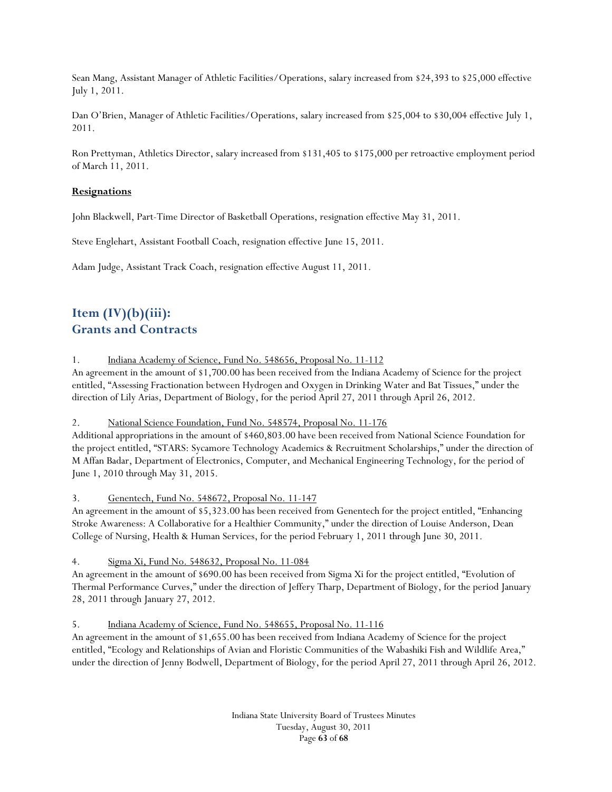Sean Mang, Assistant Manager of Athletic Facilities/Operations, salary increased from \$24,393 to \$25,000 effective July 1, 2011.

Dan O'Brien, Manager of Athletic Facilities/Operations, salary increased from \$25,004 to \$30,004 effective July 1, 2011.

Ron Prettyman, Athletics Director, salary increased from \$131,405 to \$175,000 per retroactive employment period of March 11, 2011.

### **Resignations**

John Blackwell, Part-Time Director of Basketball Operations, resignation effective May 31, 2011.

Steve Englehart, Assistant Football Coach, resignation effective June 15, 2011.

Adam Judge, Assistant Track Coach, resignation effective August 11, 2011.

# **Item (IV)(b)(iii): Grants and Contracts**

1. Indiana Academy of Science, Fund No. 548656, Proposal No. 11-112

An agreement in the amount of \$1,700.00 has been received from the Indiana Academy of Science for the project entitled, "Assessing Fractionation between Hydrogen and Oxygen in Drinking Water and Bat Tissues," under the direction of Lily Arias, Department of Biology, for the period April 27, 2011 through April 26, 2012.

2. National Science Foundation, Fund No. 548574, Proposal No. 11-176

Additional appropriations in the amount of \$460,803.00 have been received from National Science Foundation for the project entitled, "STARS: Sycamore Technology Academics & Recruitment Scholarships," under the direction of M Affan Badar, Department of Electronics, Computer, and Mechanical Engineering Technology, for the period of June 1, 2010 through May 31, 2015.

## 3. Genentech, Fund No. 548672, Proposal No. 11-147

An agreement in the amount of \$5,323.00 has been received from Genentech for the project entitled, "Enhancing Stroke Awareness: A Collaborative for a Healthier Community," under the direction of Louise Anderson, Dean College of Nursing, Health & Human Services, for the period February 1, 2011 through June 30, 2011.

4. Sigma Xi, Fund No. 548632, Proposal No. 11-084

An agreement in the amount of \$690.00 has been received from Sigma Xi for the project entitled, "Evolution of Thermal Performance Curves," under the direction of Jeffery Tharp, Department of Biology, for the period January 28, 2011 through January 27, 2012.

5. Indiana Academy of Science, Fund No. 548655, Proposal No. 11-116

An agreement in the amount of \$1,655.00 has been received from Indiana Academy of Science for the project entitled, "Ecology and Relationships of Avian and Floristic Communities of the Wabashiki Fish and Wildlife Area," under the direction of Jenny Bodwell, Department of Biology, for the period April 27, 2011 through April 26, 2012.

> Indiana State University Board of Trustees Minutes Tuesday, August 30, 2011 Page **63** of **68**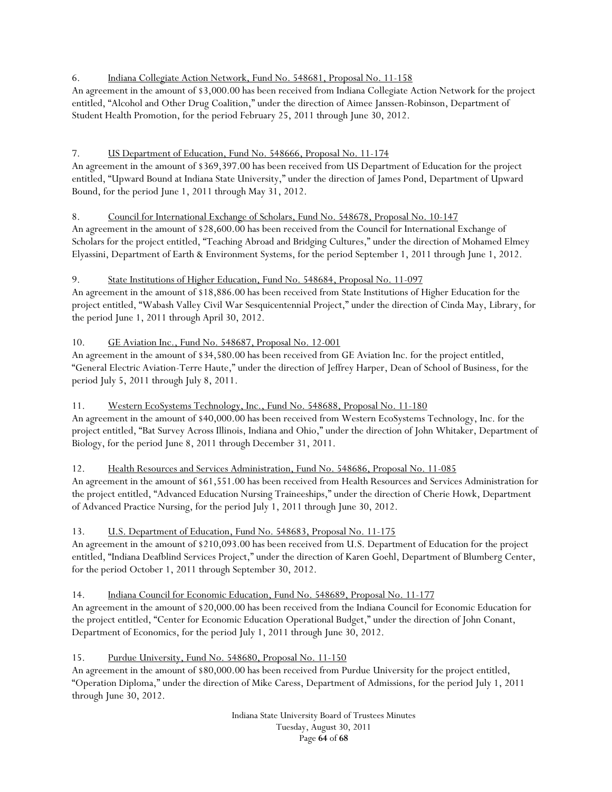# 6. Indiana Collegiate Action Network, Fund No. 548681, Proposal No. 11-158

An agreement in the amount of \$3,000.00 has been received from Indiana Collegiate Action Network for the project entitled, "Alcohol and Other Drug Coalition," under the direction of Aimee Janssen-Robinson, Department of Student Health Promotion, for the period February 25, 2011 through June 30, 2012.

# 7. US Department of Education, Fund No. 548666, Proposal No. 11-174

An agreement in the amount of \$369,397.00 has been received from US Department of Education for the project entitled, "Upward Bound at Indiana State University," under the direction of James Pond, Department of Upward Bound, for the period June 1, 2011 through May 31, 2012.

# 8. Council for International Exchange of Scholars, Fund No. 548678, Proposal No. 10-147

An agreement in the amount of \$28,600.00 has been received from the Council for International Exchange of Scholars for the project entitled, "Teaching Abroad and Bridging Cultures," under the direction of Mohamed Elmey Elyassini, Department of Earth & Environment Systems, for the period September 1, 2011 through June 1, 2012.

## 9. State Institutions of Higher Education, Fund No. 548684, Proposal No. 11-097

An agreement in the amount of \$18,886.00 has been received from State Institutions of Higher Education for the project entitled, "Wabash Valley Civil War Sesquicentennial Project," under the direction of Cinda May, Library, for the period June 1, 2011 through April 30, 2012.

# 10. GE Aviation Inc., Fund No. 548687, Proposal No. 12-001

An agreement in the amount of \$34,580.00 has been received from GE Aviation Inc. for the project entitled, "General Electric Aviation-Terre Haute," under the direction of Jeffrey Harper, Dean of School of Business, for the period July 5, 2011 through July 8, 2011.

11. Western EcoSystems Technology, Inc., Fund No. 548688, Proposal No. 11-180

An agreement in the amount of \$40,000.00 has been received from Western EcoSystems Technology, Inc. for the project entitled, "Bat Survey Across Illinois, Indiana and Ohio," under the direction of John Whitaker, Department of Biology, for the period June 8, 2011 through December 31, 2011.

## 12. Health Resources and Services Administration, Fund No. 548686, Proposal No. 11-085

An agreement in the amount of \$61,551.00 has been received from Health Resources and Services Administration for the project entitled, "Advanced Education Nursing Traineeships," under the direction of Cherie Howk, Department of Advanced Practice Nursing, for the period July 1, 2011 through June 30, 2012.

# 13. U.S. Department of Education, Fund No. 548683, Proposal No. 11-175

An agreement in the amount of \$210,093.00 has been received from U.S. Department of Education for the project entitled, "Indiana Deafblind Services Project," under the direction of Karen Goehl, Department of Blumberg Center, for the period October 1, 2011 through September 30, 2012.

14. Indiana Council for Economic Education, Fund No. 548689, Proposal No. 11-177

An agreement in the amount of \$20,000.00 has been received from the Indiana Council for Economic Education for the project entitled, "Center for Economic Education Operational Budget," under the direction of John Conant, Department of Economics, for the period July 1, 2011 through June 30, 2012.

15. Purdue University, Fund No. 548680, Proposal No. 11-150

An agreement in the amount of \$80,000.00 has been received from Purdue University for the project entitled, "Operation Diploma," under the direction of Mike Caress, Department of Admissions, for the period July 1, 2011 through June 30, 2012.

> Indiana State University Board of Trustees Minutes Tuesday, August 30, 2011 Page **64** of **68**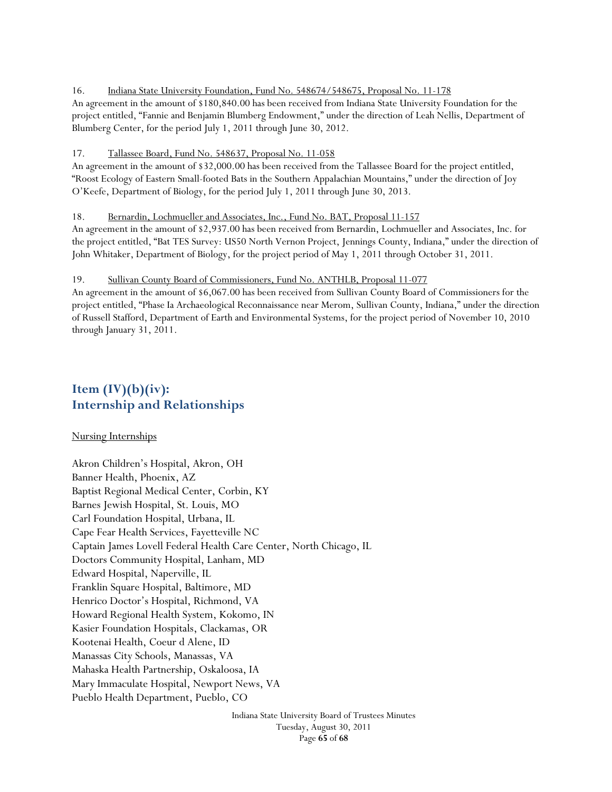#### 16. Indiana State University Foundation, Fund No. 548674/548675, Proposal No. 11-178

An agreement in the amount of \$180,840.00 has been received from Indiana State University Foundation for the project entitled, "Fannie and Benjamin Blumberg Endowment," under the direction of Leah Nellis, Department of Blumberg Center, for the period July 1, 2011 through June 30, 2012.

#### 17. Tallassee Board, Fund No. 548637, Proposal No. 11-058

An agreement in the amount of \$32,000.00 has been received from the Tallassee Board for the project entitled, "Roost Ecology of Eastern Small-footed Bats in the Southern Appalachian Mountains," under the direction of Joy O'Keefe, Department of Biology, for the period July 1, 2011 through June 30, 2013.

#### 18. Bernardin, Lochmueller and Associates, Inc., Fund No. BAT, Proposal 11-157

An agreement in the amount of \$2,937.00 has been received from Bernardin, Lochmueller and Associates, Inc. for the project entitled, "Bat TES Survey: US50 North Vernon Project, Jennings County, Indiana," under the direction of John Whitaker, Department of Biology, for the project period of May 1, 2011 through October 31, 2011.

#### 19. Sullivan County Board of Commissioners, Fund No. ANTHLB, Proposal 11-077

An agreement in the amount of \$6,067.00 has been received from Sullivan County Board of Commissioners for the project entitled, "Phase Ia Archaeological Reconnaissance near Merom, Sullivan County, Indiana," under the direction of Russell Stafford, Department of Earth and Environmental Systems, for the project period of November 10, 2010 through January 31, 2011.

# Item  $(IV)(b)(iv)$ : **Internship and Relationships**

#### Nursing Internships

Akron Children's Hospital, Akron, OH Banner Health, Phoenix, AZ Baptist Regional Medical Center, Corbin, KY Barnes Jewish Hospital, St. Louis, MO Carl Foundation Hospital, Urbana, IL Cape Fear Health Services, Fayetteville NC Captain James Lovell Federal Health Care Center, North Chicago, IL Doctors Community Hospital, Lanham, MD Edward Hospital, Naperville, IL Franklin Square Hospital, Baltimore, MD Henrico Doctor's Hospital, Richmond, VA Howard Regional Health System, Kokomo, IN Kasier Foundation Hospitals, Clackamas, OR Kootenai Health, Coeur d Alene, ID Manassas City Schools, Manassas, VA Mahaska Health Partnership, Oskaloosa, IA Mary Immaculate Hospital, Newport News, VA Pueblo Health Department, Pueblo, CO

> Indiana State University Board of Trustees Minutes Tuesday, August 30, 2011 Page **65** of **68**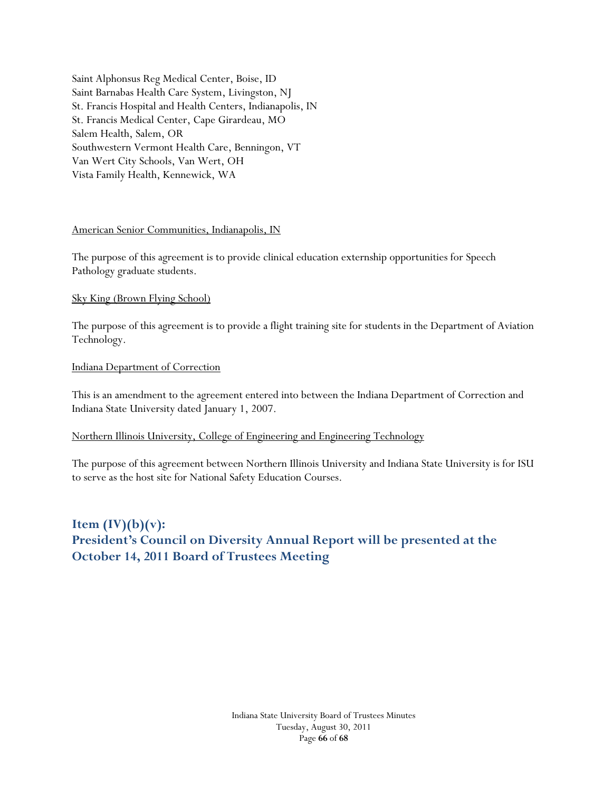Saint Alphonsus Reg Medical Center, Boise, ID Saint Barnabas Health Care System, Livingston, NJ St. Francis Hospital and Health Centers, Indianapolis, IN St. Francis Medical Center, Cape Girardeau, MO Salem Health, Salem, OR Southwestern Vermont Health Care, Benningon, VT Van Wert City Schools, Van Wert, OH Vista Family Health, Kennewick, WA

## American Senior Communities, Indianapolis, IN

The purpose of this agreement is to provide clinical education externship opportunities for Speech Pathology graduate students.

### Sky King (Brown Flying School)

The purpose of this agreement is to provide a flight training site for students in the Department of Aviation Technology.

#### Indiana Department of Correction

This is an amendment to the agreement entered into between the Indiana Department of Correction and Indiana State University dated January 1, 2007.

## Northern Illinois University, College of Engineering and Engineering Technology

The purpose of this agreement between Northern Illinois University and Indiana State University is for ISU to serve as the host site for National Safety Education Courses.

# **Item (IV)(b)(v): President's Council on Diversity Annual Report will be presented at the October 14, 2011 Board of Trustees Meeting**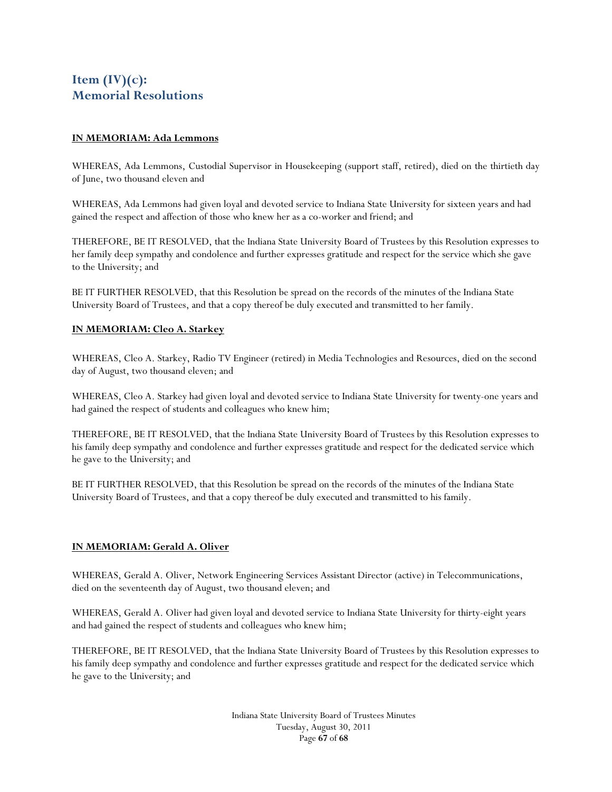# **Item (IV)(c): Memorial Resolutions**

### **IN MEMORIAM: Ada Lemmons**

WHEREAS, Ada Lemmons, Custodial Supervisor in Housekeeping (support staff, retired), died on the thirtieth day of June, two thousand eleven and

WHEREAS, Ada Lemmons had given loyal and devoted service to Indiana State University for sixteen years and had gained the respect and affection of those who knew her as a co-worker and friend; and

THEREFORE, BE IT RESOLVED, that the Indiana State University Board of Trustees by this Resolution expresses to her family deep sympathy and condolence and further expresses gratitude and respect for the service which she gave to the University; and

BE IT FURTHER RESOLVED, that this Resolution be spread on the records of the minutes of the Indiana State University Board of Trustees, and that a copy thereof be duly executed and transmitted to her family.

### **IN MEMORIAM: Cleo A. Starkey**

WHEREAS, Cleo A. Starkey, Radio TV Engineer (retired) in Media Technologies and Resources, died on the second day of August, two thousand eleven; and

WHEREAS, Cleo A. Starkey had given loyal and devoted service to Indiana State University for twenty-one years and had gained the respect of students and colleagues who knew him;

THEREFORE, BE IT RESOLVED, that the Indiana State University Board of Trustees by this Resolution expresses to his family deep sympathy and condolence and further expresses gratitude and respect for the dedicated service which he gave to the University; and

BE IT FURTHER RESOLVED, that this Resolution be spread on the records of the minutes of the Indiana State University Board of Trustees, and that a copy thereof be duly executed and transmitted to his family.

#### **IN MEMORIAM: Gerald A. Oliver**

WHEREAS, Gerald A. Oliver, Network Engineering Services Assistant Director (active) in Telecommunications, died on the seventeenth day of August, two thousand eleven; and

WHEREAS, Gerald A. Oliver had given loyal and devoted service to Indiana State University for thirty-eight years and had gained the respect of students and colleagues who knew him;

THEREFORE, BE IT RESOLVED, that the Indiana State University Board of Trustees by this Resolution expresses to his family deep sympathy and condolence and further expresses gratitude and respect for the dedicated service which he gave to the University; and

> Indiana State University Board of Trustees Minutes Tuesday, August 30, 2011 Page **67** of **68**